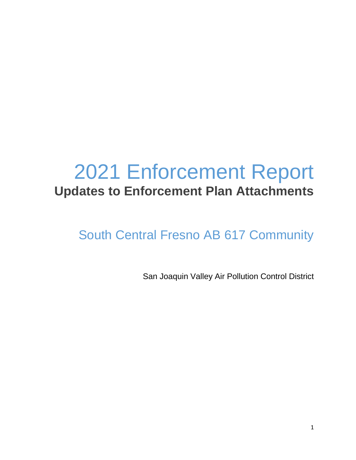# 2021 Enforcement Report **Updates to Enforcement Plan Attachments**

# South Central Fresno AB 617 Community

San Joaquin Valley Air Pollution Control District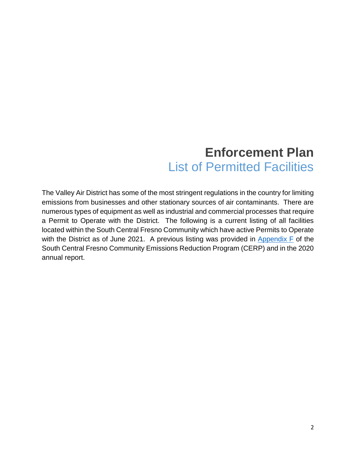#### **Enforcement Plan**  List of Permitted Facilities

The Valley Air District has some of the most stringent regulations in the country for limiting emissions from businesses and other stationary sources of air contaminants. There are numerous types of equipment as well as industrial and commercial processes that require a Permit to Operate with the District. The following is a current listing of all facilities located within the South Central Fresno Community which have active Permits to Operate with the District as of June 2021. A previous listing was provided in  $\Delta$ ppendix F of the South Central Fresno Community Emissions Reduction Program (CERP) and in the 2020 annual report.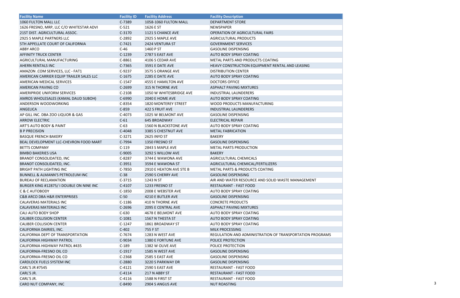| <b>Facility Name</b>                        | <b>Facility ID</b> | <b>Facility Address</b> | <b>Facility Description</b>                                     |  |
|---------------------------------------------|--------------------|-------------------------|-----------------------------------------------------------------|--|
| 1060 FULTON MALL LLC                        | C-7389             | 1058-1060 FULTON MALL   | <b>DEPARTMENT STORE</b>                                         |  |
| 1626 FRESNO, MRP, LLC C/O WHITESTAR ADVI    | $C-521$            | 1626 E ST               | NEWSPAPER                                                       |  |
| 21ST DIST. AGRICULTURAL ASSOC.              | $C-3170$           | 1121 S CHANCE AVE       | OPERATION OF AGRICULTURAL FAIRS                                 |  |
| 2925 S MAPLE PARTNERS LLC                   | $C-2892$           | 2925 S MAPLE AVE        | AGRICULTURAL PRODUCTS                                           |  |
| 5TH APPELLATE COURT OF CALIFORNIA           | $C-7421$           | 2424 VENTURA ST         | <b>GOVERNMENT SERVICES</b>                                      |  |
| <b>ABBY ARCO</b>                            | $C-46$             | 1460 P ST               | <b>GASOLINE DISPENSING</b>                                      |  |
| <b>AFFINITY TRUCK CENTER</b>                | $C-1239$           | 2787 S EAST AVE         | <b>AUTO BODY SPRAY COATING</b>                                  |  |
| AGRICULTURAL MANUFACTURING                  | C-8861             | 4106 S CEDAR AVE        | METAL PARTS AND PRODUCTS COATING                                |  |
| AHERN RENTALS INC                           | $C-7365$           | 3591 E DATE AVE         | HEAVY CONSTRUCTION EQUIPMENT RENTAL AND LEASING                 |  |
| AMAZON .COM SERVICES, LLC - FAT1            | $C-9237$           | 3575 S ORANGE AVE       | <b>DISTRIBUTION CENTER</b>                                      |  |
| AMERICAN CARRIER EQUIP TRAILER SALES LLC    | $C-1675$           | 2285 E DATE AVE         | AUTO BODY SPRAY COATING                                         |  |
| AMERICAN MEDICAL SERVICES                   | $C-1547$           | 4555 E HAMILTON AVE     | <b>DOCTORS OFFICE</b>                                           |  |
| AMERICAN PAVING CO                          | $C-2699$           | 315 N THORNE AVE        | <b>ASPHALT PAVING MIXTURES</b>                                  |  |
| <b>AMERIPRIDE UNIFORM SERVICES</b>          | $C-2108$           | 1050 W WHITESBRIDGE AVE | <b>INDUSTRIAL LAUNDERERS</b>                                    |  |
| AMROS WHOLESALES (KAMAL DAUD SUBOH)         | C-6990             | 2040 E HOME AVE         | <b>AUTO BODY SPRAY COATING</b>                                  |  |
| ANDERSON WOODWORKING                        | $C-8354$           | 1820 MONTEREY STREET    | WOOD PRODUCTS MANUFACTURING                                     |  |
| ANGELICA                                    | $C-859$            | 422 S FRUIT AVE         | INDUSTRIAL LAUNDERERS                                           |  |
| AP GILL INC. DBA ZOO LIQUOR & GAS           | $C-4073$           | 1025 W BELMONT AVE      | <b>GASOLINE DISPENSING</b>                                      |  |
| <b>ARROW ELECTRIC</b>                       | $C-61$             | 645 BROADWAY            | <b>ELECTRICAL REPAIR</b>                                        |  |
| <b>ART'S AUTO BODY &amp; PAINT</b>          | $C-63$             | 1560 N BLACKSTONE AVE   | <b>AUTO BODY SPRAY COATING</b>                                  |  |
| <b>B P PRECISION</b>                        | C-4048             | 3385 S CHESTNUT AVE     | <b>METAL FABRICATION</b>                                        |  |
| <b>BASQUE FRENCH BAKERY</b>                 | $C-3271$           | 2625 INYO ST            | <b>BAKERY</b>                                                   |  |
| BEAL DEVELOPMENT LLC-CHEVRON FOOD MART      | C-7994             | 1350 FRESNO ST          | <b>GASOLINE DISPENSING</b>                                      |  |
| <b>BETTS COMPANY</b>                        | $C-119$            | 2843 S MAPLE AVE        | <b>METAL PARTS PRODUCTION</b>                                   |  |
| <b>BIMBO BAKERIES USA</b>                   | C-9005             | 3292 S WILLOW AVE       | <b>BAKERY</b>                                                   |  |
| <b>BRANDT CONSOLIDATED, INC</b>             | $C-8287$           | 3744 E WAWONA AVE       | AGRICULTURAL CHEMICALS                                          |  |
| BRANDT CONSOLIDATED, INC.                   | $C-3951$           | 3594 E WAWONA ST        | AGRICULTURAL CHEMICAL/FERTILIZERS                               |  |
| <b>BRIGHT PATH LIGHTING INC</b>             | $C-7850$           | 2910 E HEATON AVE STE B | METAL PARTS & PRODUCTS COATING                                  |  |
| BUNNELL & ALMANN'S PETROLEUM INC            | $C-38$             | 2590 S CHERRY AVE       | <b>GASOLINE DISPENSING</b>                                      |  |
| <b>BUREAU OF RECLAMATION</b>                | $C-3715$           | 1243 N ST               | AIR AND WATER RESOURCE AND SOLID WASTE MANAGEMENT               |  |
| BURGER KING #12875/I DOUBLE ON NINE INC     | $C-4107$           | 1233 FRESNO ST          | RESTAURANT - FAST FOOD                                          |  |
| C & C AUTOBODY                              | $C-1850$           | 2008 E WEBSTER AVE      | <b>AUTO BODY SPRAY COATING</b>                                  |  |
| <b>C&amp;B ARCO DBA H&amp;R ENTERPRISES</b> | $C-50$             | 4210 E BUTLER AVE       | <b>GASOLINE DISPENSING</b>                                      |  |
| CALAVERAS MATERIALS INC                     | $C-1186$           | 410 N THORNE AVE        | <b>CONCRETE PRODUCTS</b>                                        |  |
| <b>CALAVERAS MATERIALS INC</b>              | $C-2696$           | 2095 E CENTRAL AVE      | <b>ASPHALT PAVING MIXTURES</b>                                  |  |
| <b>CALI AUTO BODY SHOP</b>                  | $C-630$            | 4678 E BELMONT AVE      | <b>AUTO BODY SPRAY COATING</b>                                  |  |
| <b>CALIBER COLLISION CENTER</b>             | $C-1081$           | 1567 N THESTA ST        | <b>AUTO BODY SPRAY COATING</b>                                  |  |
| <b>CALIBER COLLISION CENTER</b>             | $C-1247$           | 1861 BROADWAY ST        | <b>AUTO BODY SPRAY COATING</b>                                  |  |
| CALIFORNIA DAIRIES, INC.                    | $C-402$            | 755 F ST                | <b>MILK PROCESSING</b>                                          |  |
| CALIFORNIA DEPT OF TRANSPORTATION           | $C-7674$           | 1283 N WEST AVE         | <b>REGULATION AND ADMINISTRATION OF TRANSPORTATION PROGRAMS</b> |  |
| <b>CALIFORNIA HIGHWAY PATROL</b>            | C-9034             | 1380 E FORTUNE AVE      | POLICE PROTECTION                                               |  |
| CALIFORNIA HIGHWAY PATROL #435              | $C-189$            | 1382 W OLIVE AVE        | <b>POLICE PROTECTION</b>                                        |  |
| CALIFORNIA-FRESNO OIL CO                    | $C-1917$           | 1585 N WEST AVE         | <b>GASOLINE DISPENSING</b>                                      |  |
| CALIFORNIA-FRESNO OIL CO                    | $C-2368$           | 2585 S EAST AVE         | <b>GASOLINE DISPENSING</b>                                      |  |
| <b>CARDLOCK FUELS SYSTEM INC</b>            | C-2880             | 3220 S PARKWAY DR       | <b>GASOLINE DISPENSING</b>                                      |  |
| <b>CARL'S JR #7545</b>                      | $C-4121$           | 2590 S EAST AVE         | <b>RESTAURANT - FAST FOOD</b>                                   |  |
| CARL'S JR.                                  | $C-4114$           | 217 N ABBY ST           | RESTAURANT - FAST FOOD                                          |  |
| CARL'S JR.                                  | $C-4116$           | 1588 N FIRST ST         | <b>RESTAURANT - FAST FOOD</b>                                   |  |
| CARO NUT COMPANY, INC                       | C-8490             | 2904 S ANGUS AVE        | <b>NUT ROASTING</b>                                             |  |

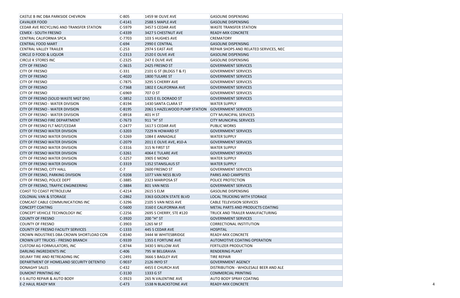| CASTLE B INC DBA PARKSIDE CHEVRON        | $C-805$  | 1459 W OLIVE AVE              | GASOLINE DISPENSING                    |
|------------------------------------------|----------|-------------------------------|----------------------------------------|
| <b>CAVALIER FOOD</b>                     | $C-4141$ | 2588 S MAPLE AVE              | <b>GASOLINE DISPENSING</b>             |
| CEDAR AVE RECYCLING AND TRANSFER STATION | $C-5979$ | 3457 S CEDAR AVE              | <b>WASTE TRANSFER STATION</b>          |
| <b>CEMEX - SOUTH FRESNO</b>              | $C-4339$ | 3427 S CHESTNUT AVE           | <b>READY-MIX CONCRETE</b>              |
| <b>CENTRAL CALIFORNIA SPCA</b>           | $C-7703$ | 103 S HUGHES AVE              | <b>CREMATORY</b>                       |
| <b>CENTRAL FOOD MART</b>                 | $C-694$  | 2990 E CENTRAL                | <b>GASOLINE DISPENSING</b>             |
| <b>CENTRAL VALLEY TRAILER</b>            | $C-253$  | 2974 S EAST AVE               | REPAIR SHOPS AND RELATED SERVICES, NEC |
| <b>CIRCLE D FOOD &amp; LIQUOR</b>        | $C-2313$ | 2520 E OLIVE AVE              | <b>GASOLINE DISPENSING</b>             |
| <b>CIRCLE K STORES INC</b>               | $C-2325$ | 247 E OLIVE AVE               | <b>GASOLINE DISPENSING</b>             |
| <b>CITY OF FRESNO</b>                    | $C-3615$ | 2425 FRESNO ST                | <b>GOVERNMENT SERVICES</b>             |
| <b>CITY OF FRESNO</b>                    | $C-331$  | 2101 G ST (BLDGS T & F)       | <b>GOVERNMENT SERVICES</b>             |
| <b>CITY OF FRESNO</b>                    | $C-4020$ | 1800 TULARE ST                | <b>GOVERNMENT SERVICES</b>             |
| <b>CITY OF FRESNO</b>                    | $C-7875$ | 3295 S CHERRY AVE             | <b>GOVERNMENT SERVICES</b>             |
| <b>CITY OF FRESNO</b>                    | $C-7368$ | 1802 E CALIFORNIA AVE         | <b>GOVERNMENT SERVICES</b>             |
| <b>CITY OF FRESNO</b>                    | $C-6969$ | 707 O ST                      | <b>GOVERNMENT SERVICES</b>             |
| CITY OF FRESNO (SOLID WASTE MGT DIV)     | $C-3852$ | 1325 E EL DORADO ST           | <b>GOVERNMENT SERVICES</b>             |
| <b>CITY OF FRESNO - WATER DIVISION</b>   | $C-8194$ | 1430 SANTA CLARA ST           | <b>WATER SUPPLY</b>                    |
| <b>CITY OF FRESNO - WATER DIVISION</b>   | $C-8195$ | 2061 S HAZELWOOD PUMP STATION | <b>GOVERNMENT SERVICES</b>             |
| <b>CITY OF FRESNO - WATER DIVISION</b>   | $C-8918$ | 401 HST                       | <b>CITY MUNICIPAL SERVICES</b>         |
| CITY OF FRESNO FIRE DEPARTMENT           | $C-7673$ | 911 "H" ST                    | <b>CITY MUNICIPAL SERVICES</b>         |
| <b>CITY OF FRESNO FLT MGT/CEDAR</b>      | $C-2477$ | 1617 S CEDAR AVE              | <b>PUBLIC WORKS</b>                    |
| CITY OF FRESNO WATER DIVISION            | $C-3203$ | 7229 N HOWARD ST              | <b>GOVERNMENT SERVICES</b>             |
| <b>CITY OF FRESNO WATER DIVISION</b>     | $C-3269$ | 1084 E ANNADALE               | <b>WATER SUPPLY</b>                    |
| <b>CITY OF FRESNO WATER DIVISION</b>     | $C-2079$ | 2011 E OLIVE AVE, #10-A       | <b>GOVERNMENT SERVICES</b>             |
| CITY OF FRESNO WATER DIVISION            | $C-3316$ | 315 N FIRST ST                | <b>WATER SUPPLY</b>                    |
| CITY OF FRESNO WATER DIVISION            | $C-3261$ | 4064 E TULARE AVE             | <b>GOVERNMENT SERVICES</b>             |
| <b>CITY OF FRESNO WATER DIVISION</b>     | $C-3257$ | 3905 E MONO                   | <b>WATER SUPPLY</b>                    |
| <b>CITY OF FRESNO WATER DIVISION</b>     | $C-3319$ | 1352 STANISLAUS ST            | <b>WATER SUPPLY</b>                    |
| <b>CITY OF FRESNO, CITY HALL</b>         | $C-7$    | 2600 FRESNO ST                | <b>GOVERNMENT SERVICES</b>             |
| CITY OF FRESNO, PARKING DIVISION         | C-9208   | 1077 VAN NESS BLVD            | <b>PARKS AND CAMPSITES</b>             |
| <b>CITY OF FRESNO, POLICE DEPT</b>       | $C-3885$ | 2323 MARIPOSA ST              | <b>POLICE PROTECTION</b>               |
| CITY OF FRESNO, TRAFFIC ENGINEERING      | C-3884   | 801 VAN NESS                  | <b>GOVERNMENT SERVICES</b>             |
| COAST TO COAST PETROLEUM                 | $C-4214$ | 2615 S ELM                    | <b>GASOLINE DISPENSING</b>             |
| <b>COLONIAL VAN &amp; STORAGE</b>        | $C-2862$ | 3363 GOLDEN STATE BLVD        | <b>LOCAL TRUCKING WITH STORAGE</b>     |
| COMCAST CABLE COMMUNICATIONS INC         | $C-3296$ | 2105 S VAN NESS AVE           | <b>CABLE TELEVISION SERVICES</b>       |
| <b>CONCEPT COATING</b>                   | C-5600   | 3160 E CALIFORNIA AVE         | METAL PARTS AND PRODUCTS COATING       |
| CONCEPT VEHICLE TECHNOLOGY INC           | $C-2256$ | 2695 S CHERRY, STE #120       | TRUCK AND TRAILER MANUFACTURING        |
| <b>COUNTY OF FRESNO</b>                  | $C-3920$ | 200 "H" ST                    | <b>GOVERNMENT SERVICES</b>             |
| COUNTY OF FRESNO                         | $C-3903$ | 1265 M ST                     | CORRECTIONAL INSTITUTION               |
| COUNTY OF FRESNO FACILITY SERVICES       | $C-1333$ | 445 S CEDAR AVE               | <b>HOSPITAL</b>                        |
| CROWN INDUSTRIES DBA CROWN SHORTLOAD CON | $C-8340$ | 3444 W WHITESBRIDGE           | <b>READY-MIX CONCRETE</b>              |
| <b>CROWN LIFT TRUCKS - FRESNO BRANCH</b> | C-9339   | 1355 E FORTUNE AVE            | AUTOMOTIVE COATING OPERATION           |
| <b>CUSTOM AG FORMULATORS, INC</b>        | $C-8744$ | 3430 S WILLOW AVE             | <b>FERTILIZER PRODUCTION</b>           |
| DARLING INGREDIENTS INC                  | $C-406$  | 795 W BELGRAVIA               | <b>RENDERING PLANT</b>                 |
| DELRAY TIRE AND RETREADING INC           | $C-2491$ | 3666 S BAGLEY AVE             | <b>TIRE REPAIR</b>                     |
| DEPARTMENT OF HOMELAND SECURITY DETENTIO | C-9037   | <b>2126 INYO ST</b>           | <b>GOVERNMENT AGENCY</b>               |
| <b>DONAGHY SALES</b>                     | $C-432$  | 4455 E CHURCH AVE             | DISTRIBUTION - WHOLESALE BEER AND ALE  |
| DUMONT PRINTING INC                      | $C-3130$ | 1333 G ST                     | <b>COMMERCIAL PRINTING</b>             |
| <b>E-S AUTO REPAIR &amp; AUTO BODY</b>   | $C-3923$ | 265 N VALENTINE AVE           | <b>AUTO BODY SPRAY COATING</b>         |
| <b>E-Z HAUL READY MIX</b>                | $C-473$  | 1538 N BLACKSTONE AVE         | <b>READY-MIX CONCRETE</b>              |

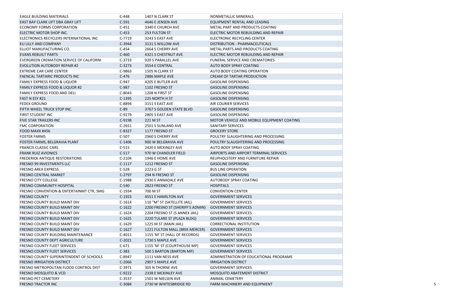| <b>EAGLE BUILDING MATERIALS</b>                     | $C-448$  | 1407 N CLARK ST                  | NONMETALLIC MINERALS                       |
|-----------------------------------------------------|----------|----------------------------------|--------------------------------------------|
| EAST BAY CLARK LIFT DBA GRAY LIFT                   | $C-591$  | 4646 E JENSEN AVE                | EQUIPMENT RENTAL AND LEASING               |
| ECONOMY FORMS CORPORATION                           | $C-451$  | 3340 E CHURCH AVE                | METAL PART AND PRODUCTS COATING            |
| ELECTRIC MOTOR SHOP INC.                            | $C-453$  | 253 FULTON ST                    | ELECTRIC MOTOR REBUILDING AND REPAIR       |
| ELECTRONICS RECYCLERS INTERNATIONAL INC             | $C-7719$ | 3243 S EAST AVE                  | <b>ELECTRONIC RECYCLING CENTER</b>         |
| ELI LILLY AND COMPANY                               | C-3944   | 3131 S WILLOW AVE                | DISTRIBUTION - PHARMACEUTICALS             |
| ELLIOT MANUFACTURING CO.                            | $C-454$  | 2664 S CHERRY AVE                | METAL PARTS AND PRODUCTS COATING           |
| <b>EVANS REBUILT PARTS</b>                          | $C-460$  | 4321 S CHESTNUT AVE              | ELECTRIC MOTOR REBUILDING AND REPAIR       |
| EVERGREEN CREMATION SERVICE OF CALIFORNI            | $C-3733$ | 920 S PARALLEL AVE               | FUNERAL SERVICE AND CREMATORIES            |
| EVOLUTION AUTOBODY REPAIR #2                        | $C-3273$ | 3554 E CENTRAL                   | AUTO BODY SPRAY COATING                    |
| EXTREME CAR CARE CENTER                             | $C-9863$ | 1505 N CLARK ST                  | <b>AUTO BODY COATING OPERATION</b>         |
| <b>FAENCAL TARTARIC PRODUCTS INC</b>                | $C-476$  | 2886 MAPLE AVE                   | CREAM OF TARTAR PRODUCTION                 |
| FAMILY EXPRESS FOOD & LIQUOR                        | $C-947$  | 4205 E BUTLER AVE                | <b>GASOLINE DISPENSING</b>                 |
| <b>FAMILY EXPRESS FOOD &amp; LIQUOR #2</b>          | C-987    | 1102 FRESNO ST                   | <b>GASOLINE DISPENSING</b>                 |
| <b>FAMILY EXPRESS FOOD AND DELI</b>                 | $C-8043$ | 1208 N FIRST ST                  | <b>GASOLINE DISPENSING</b>                 |
| FAST N ESY #21                                      | $C-1395$ | 225 NORTH H ST                   | <b>GASOLINE DISPENSING</b>                 |
| <b>FEDEX GROUND</b>                                 | $C-8894$ | 3151 S EAST AVE                  | <b>AIR COURIER SERVICES</b>                |
| FIFTH WHEEL TRUCK STOP INC.                         | $C-89$   | 3767 S GOLDEN STATE BLVD         | <b>GASOLINE DISPENSING</b>                 |
| <b>FIRST STUDENT INC</b>                            | $C-9279$ | <b>2805 S EAST AVE</b>           | <b>GASOLINE DISPENSING</b>                 |
| <b>FIVE STAR TRAILERS INC</b>                       | C-9198   | 221 M ST                         | MOTOR VEHICLE AND MOBILE EQUIPMENT COATING |
| <b>FMC CORPORATION</b>                              | $C-2651$ | 2501 S SUNLAND AVE               | <b>SANITARY SERVICES</b>                   |
| FOOD MAXX #456                                      | C-8327   | 1177 FRESNO ST                   | <b>GROCERY STORE</b>                       |
| <b>FOSTER FARMS</b>                                 | $C-507$  | 2960 S CHERRY AVE                | POULTRY SLAUGHTERING AND PROCESSING        |
| FOSTER FARMS, BELGRAVIA PLANT                       | $C-1406$ | 900 W BELGRAVIA AVE              | POULTRY SLAUGHTERING AND PROCESSING        |
| <b>FRANCIS CLASSIC CARS</b>                         | $C-515$  | 2420 E MCKINLEY AVE              | <b>AUTO BODY SPRAY COATING</b>             |
| <b>FRANK RUIZ AVIONICS</b>                          | $C-517$  | 970 W CHANDLER FIELD             | AIRPORTS AND AIRPORT TERMINAL SERVICES     |
| <b>FREDERICK ANTIQUE RESTORATIONS</b>               | $C-2104$ | 1946 E HOME AVE                  | REUPHOLSTERY AND FURNITURE REPAIR          |
| <b>FRESNO 99 INVESTMENTS LLC</b>                    | $C-1117$ | 1212 FRESNO ST                   | <b>GASOLINE DISPENSING</b>                 |
| <b>FRESNO AREA EXPRESS</b>                          | $C-528$  | 2223 G ST                        | <b>BUS LINE OPERATION</b>                  |
| <b>FRESNO CENTRAL MARKET</b>                        | $C-2797$ | 294 N FRESNO ST                  | <b>GASOLINE DISPENSING</b>                 |
| <b>FRESNO CITY COLLEGE</b>                          | $C-1988$ | 2930 E ANNADALE AVE              | <b>AUTOBODY SPRAY COATING</b>              |
| FRESNO COMMUNITY HOSPITAL                           | $C-540$  | 2823 FRESNO ST                   | <b>HOSPITALS</b>                           |
| <b>FRESNO CONVENTION &amp; ENTERTAINMT CTR, SMG</b> | $C-1934$ | 700 M ST                         | <b>CONVENTION CENTER</b>                   |
| <b>FRESNO COUNTY</b>                                | $C-1923$ | 4551 E HAMILTON AVE              | <b>GOVERNMENT SERVICES</b>                 |
| <b>FRESNO COUNTY BUILD MAINT DIV</b>                | $C-1614$ | 110 "M" ST (SATELLITE JAIL)      | <b>GOVERNMENT SERVICES</b>                 |
| FRESNO COUNTY BUILD MAINT DIV                       | $C-1622$ | 2200 FRESNO ST (SHERIFF'S ADMIN) | <b>GOVERNMENT SERVICES</b>                 |
| <b>FRESNO COUNTY BUILD MAINT DIV</b>                | $C-1624$ | 2204 FRESNO ST (S ANNEX JAIL)    | <b>GOVERNMENT SERVICES</b>                 |
| FRESNO COUNTY BUILD MAINT DIV                       | $C-1625$ | 2220 TULARE ST (PLAZA BLDG)      | <b>GOVERNMENT SERVICES</b>                 |
| <b>FRESNO COUNTY BUILD MAINT DIV</b>                | $C-1629$ | $1225$ M ST (MAIN JAIL)          | CORRECTIONAL INSTITUTION                   |
| FRESNO COUNTY BUILD MAINT DIV                       | $C-1627$ | 1221 FULTON MALL (BRIX-MERCER)   | <b>GOVERNMENT SERVICES</b>                 |
| <b>FRESNO COUNTY BUILDING MAINTENANCE</b>           | $C-4011$ | 1155 'M' ST (HALL OF RECORDS)    | <b>GOVERNMENT SERVICES</b>                 |
| <b>FRESNO COUNTY DEPT AGRICULTURE</b>               | $C-2021$ | 1730 S MAPLE AVE                 | <b>GOVERNMENT SERVICES</b>                 |
| <b>FRESNO COUNTY FLEET SERVICES</b>                 | $C-671$  | 1155 'M' ST (COURTHOUSE MP)      | <b>GOVERNMENT SERVICES</b>                 |
| <b>FRESNO COUNTY FLEET SERVICES</b>                 | $C-383$  | 500 S BARTON (BARTON MP)         | <b>GOVERNMENT SERVICES</b>                 |
| <b>FRESNO COUNTY SUPERINTENDENT OF SCHOOLS</b>      | $C-8947$ | 1111 VAN NESS AVE                | ADMINISTRATION OF EDUCATIONAL PROGRAMS     |
| <b>FRESNO IRRIGATION DISTRICT</b>                   | $C-2066$ | 2907 S MAPLE AVE                 | <b>IRRIGATION DISTRICT</b>                 |
| <b>FRESNO METROPOLITAN FLOOD CONTROL DIST</b>       | $C-3971$ | 305 N THORNE AVE                 | <b>GOVERNMENT SERVICES</b>                 |
| <b>FRESNO MOSQUITO &amp; VCD</b>                    | C-9222   | 2338 E MCKINLEY AVE              | MOSQUITO ABATEMENT DISTRICT                |
| <b>FRESNO PET CEMETERY</b>                          | $C-3537$ | 1501 W NIELSEN AVE               | <b>ANIMAL CEMETERY</b>                     |
| <b>FRESNO TRACTOR INC</b>                           | C-3084   | 2730 W WHITESBRIDGE RD           | FARM MACHINERY AND EQUIPMENT               |
|                                                     |          |                                  |                                            |

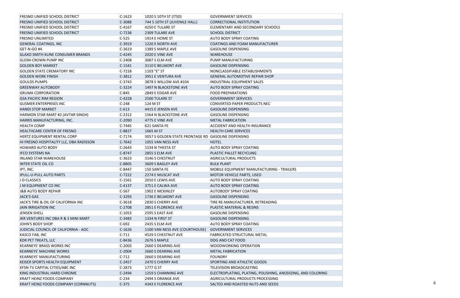| FRESNO UNIFIED SCHOOL DISTRICT           | $C-1623$ | 1020 S 10TH ST (ITSD)                               | <b>GOVERNMENT SERVICES</b>                                  |
|------------------------------------------|----------|-----------------------------------------------------|-------------------------------------------------------------|
| <b>FRESNO UNIFIED SCHOOL DISTRICT</b>    | C-3088   | 744 S 10TH ST (JUVENILE HALL)                       | <b>CORRECTIONAL INSTITUTION</b>                             |
| FRESNO UNIFIED SCHOOL DISTRICT           | $C-4167$ | 4250 E TULARE ST                                    | ELEMENTARY AND SECONDARY SCHOOLS                            |
| FRESNO UNIFIED SCHOOL DISTRICT           | C-7238   | 2309 TULARE AVE                                     | <b>SCHOOL DISTRICT</b>                                      |
| <b>FRESNO UNLIMITED</b>                  | $C-525$  | <b>1914 E HOME ST</b>                               | <b>AUTO BODY SPRAY COATING</b>                              |
| <b>GENERAL COATINGS, INC</b>             | $C-3919$ | 1220 E NORTH AVE                                    | <b>COATINGS AND FOAM MANUFACTURER</b>                       |
| GET-N-GO #4                              | $C-3619$ | 1389 S MAPLE AVE                                    | <b>GASOLINE DISPENSING</b>                                  |
| <b>GLAXO SMITH KLINE CONSUMER BRANDS</b> | $C-4245$ | 2020 E VINE AVE                                     | <b>WAREHOUSE</b>                                            |
| GLEIM-CROWN PUMP INC                     | $C-2408$ | 3087 S ELM AVE                                      | PUMP MANUFACTURING                                          |
| <b>GOLDEN BOY MARKET</b>                 | $C-1541$ | 3110 E BELMONT AVE                                  | <b>GASOLINE DISPENSING</b>                                  |
| GOLDEN STATE CREMATORY INC               | $C-7218$ | 1103 "E" ST                                         | NONCLASSIFIABLE ESTABLISHMENTS                              |
| <b>GOLDEN WORK FINISH</b>                | $C-3812$ | 3951 E VENTURA AVE                                  | <b>GENERAL AUTOMOTIVE REPAIR SHOP</b>                       |
| <b>GOULDS PUMPS</b>                      | $C-3743$ | 3878 S WILLOW AVE #104                              | <b>INDUSTRIAL EQUIPMENT SALES</b>                           |
| <b>GREENWAY AUTOBODY</b>                 | $C-3224$ | 1497 N BLACKSTONE AVE                               | <b>AUTO BODY SPRAY COATING</b>                              |
| <b>GRUMA CORPORATION</b>                 | $C-845$  | 2849 E EDGAR AVE                                    | <b>FOOD PREPARATIONS</b>                                    |
| <b>GSA PACIFIC RIM REGION</b>            | $C-4228$ | 2500 TULARE ST                                      | <b>GOVERNMENT SERVICES</b>                                  |
| GUSMER ENTERPRISES INC                   | $C-248$  | 124 M ST                                            | <b>CONVERTED PAPER PRODUCTS NEC</b>                         |
| <b>HANDI STOP MARKET</b>                 | $C-613$  | 4415 E JENSEN AVE                                   | <b>GASOLINE DISPENSING</b>                                  |
| HARMON STAR MART #2 (AVTAR SINGH)        | $C-2312$ | 1564 N BLACKSTONE AVE                               | <b>GASOLINE DISPENSING</b>                                  |
| HARRIS MANUFACTURING, INC.               | $C-2090$ | 4775 E VINE AVE                                     | <b>METAL FABRICATION</b>                                    |
| <b>HEALTH COMP</b>                       | $C-7445$ | 621 SANTA FE                                        | <b>ACCIDENT AND HEALTH INSURANCE</b>                        |
| HEALTHCARE CENTER OF FRESNO              | C-8827   | 1665 M ST                                           | <b>HEALTH CARE SERVICES</b>                                 |
| HERTZ EQUIPMENT RENTAL CORP              | $C-7174$ | 3057 S GOLDEN STATE FRONTAGE RD GASOLINE DISPENSING |                                                             |
| HI FRESNO HOSPITALITY LLC, DBA RADISSON  | $C-7642$ | 1055 VAN NESS AVE                                   | <b>HOTEL</b>                                                |
| <b>HOWARD AUTO BODY</b>                  | $C-2643$ | 1534 N THESTA ST                                    | <b>AUTO BODY SPRAY COATING</b>                              |
| <b>IFCO SYSTEMS NA</b>                   | C-8747   | <b>2855 S ELM AVE</b>                               | PLASTIC PALLET RECYCLING                                    |
| <b>INLAND STAR WAREHOUSE</b>             | $C-3623$ | 3146 S CHESTNUT                                     | <b>AGRICULTURAL PRODUCTS</b>                                |
| <b>INTER STATE OIL CO</b>                | C-8805   | 3609 S BAGLEY AVE                                   | <b>BULK PLANT</b>                                           |
| IPT, INC.                                | $C-8447$ | 150 SANTA FE                                        | MOBILE EQUIPMENT MANUFACTURING - TRAILERS                   |
| <b>IPULL-U-PULL AUTO PARTS</b>           | $C-7222$ | 2274 E MUSCAT AVE                                   | MOTOR VEHICLE PARTS, USED                                   |
| J D CLASSICS                             | $C-1561$ | 2010 E LEWIS AVE                                    | <b>AUTO BODY SPRAY COATING</b>                              |
| J M EQUIPMENT CO INC                     | $C-4137$ | 3751 E CALWA AVE                                    | <b>AUTO BODY SPRAY COATING</b>                              |
| J&B AUTO BODY REPAIR                     | $C-567$  | 1902 E MCKINLEY                                     | <b>AUTOBODY SPRAY COATING</b>                               |
| <b>JACK'S GAS</b>                        | $C-3293$ | 1736 E BELMONT AVE                                  | <b>GASOLINE DISPENSING</b>                                  |
| JACK'S TIRE & OIL OF CALIFORNIA INC      | $C-3618$ | 2830 S CHERRY AVE                                   | TIRE RE-MANUFACTURER, RETREADING                            |
| JAIN IRRIGATION INC                      | $C-2708$ | 2851 E FLORENCE AVE                                 | PLASTIC MATERIAL & RESINS                                   |
| JENSEN SHELL                             | $C-1053$ | 2595 S EAST AVE                                     | <b>GASOLINE DISPENSING</b>                                  |
| JKR VENTURES INC DBA R & S MINI MART     | $C-3483$ | 1334 N FIRST ST                                     | <b>GASOLINE DISPENSING</b>                                  |
| JOHN'S BODY SHOP                         | $C-692$  | 2435 S ELM AVE                                      | <b>AUTO BODY SPRAY COATING</b>                              |
| JUDICIAL COUNCIL OF CALIFORNIA - AOC     | $C-1626$ | 1100 VAN NESS AVE (COURTHOUSE)                      | <b>GOVERNMENT SERVICES</b>                                  |
| KASCO FAB, INC                           | $C-711$  | 4529 S CHESTNUT AVE                                 | <b>FABRICATED STRUCTURAL METAL</b>                          |
| KDR PET TREATS, LLC                      | C-8436   | 2676 S MAPLE                                        | DOG AND CAT FOOD                                            |
| <b>KEARNEYS' BRASS WORKS INC</b>         | $C-2003$ | 2660 S DEARING AVE                                  | <b>WOODWORKING OPERATION</b>                                |
| <b>KEARNEYS' MACHINE WORKS</b>           | $C-2004$ | 2660 S DEARING AVE                                  | <b>METAL FABRICATION</b>                                    |
| KEARNEYS' MANUFACTURING                  | $C-712$  | 2660 S DEARING AVE                                  | <b>FOUNDRY</b>                                              |
| KEISER SPORTS HEALTH EQUIPMENT           | $C-2457$ | 2470 S CHERRY AVE                                   | SPORTING AND ATHLETIC GOODS                                 |
| KFSN-TV CAPITAL CITIES/ABC INC           | $C-2873$ | $ 1777 \text{ G }$ ST                               | TELEVISION BROADCASTING                                     |
| KING INDUSTRIAL HARD CHROME              | $C-2494$ | 1259 S CHANNING AVE                                 | ELECTROPLATING, PLATING, POLISHING, ANODIZING, AND COLORING |
| <b>KRAFT HEINZ FOODS COMPANY</b>         | $C-234$  | 2494 S ORANGE AVE                                   | AGRICULTURAL PRODUCTS PROCESSING                            |
| KRAFT HEINZ FOODS COMPANY (CORNNUTS)     | $C-375$  | 4343 E FLORENCE AVE                                 | SALTED AND ROASTED NUTS AND SEEDS                           |

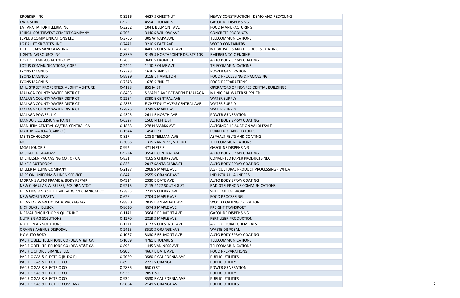| KROEKER, INC.                            | $C-3216$ | 4627 S CHESTNUT                | <b>HEAVY CONSTRUCTION - DEMO AND RECYCLING</b> |
|------------------------------------------|----------|--------------------------------|------------------------------------------------|
| <b>KWIK SERV</b>                         | $C-92$   | 4594 E TULARE ST               | <b>GASOLINE DISPENSING</b>                     |
| LA TAPATIA TORTILLERIA INC               | $C-3252$ | 104 E BELMONT AVE              | <b>FOOD MANUFACTURING</b>                      |
| LEHIGH SOUTHWEST CEMENT COMPANY          | $C-708$  | 3440 S WILLOW AVE              | <b>CONCRETE PRODUCTS</b>                       |
| LEVEL 3 COMMUNICATIONS LLC               | $C-3706$ | 305 W NAPA AVE                 | <b>TELECOMMUNICATIONS</b>                      |
| LG PALLET SREVICES, INC                  | $C-7441$ | 3210 S EAST AVE                | <b>WOOD CONTAINERS</b>                         |
| LIFTCO CAPS SANDBLASTING                 | $C-782$  | 4460 S CHESTNUT AVE            | METAL PARTS AND PRODUCTS COATING               |
| LIGHTNING SOURCE INC.                    | C-8589   | 3145 S NORTHPOINTE DR, STE 103 | <b>EMERGENCY IC ENGINE</b>                     |
| <b>LOS DOS AMIGOS AUTOBODY</b>           | $C-788$  | 3686 S FRONT ST                | AUTO BODY SPRAY COATING                        |
| LOTUS COMMUNICATIONS, CORP               | $C-2404$ | 1110 E OLIVE AVE               | <b>TELECOMMUNICATIONS</b>                      |
| LYONS MAGNUS                             | $C-2323$ | 1636 S 2ND ST                  | <b>POWER GENERATION</b>                        |
| <b>LYONS MAGNUS</b>                      | C-8829   | 3158 E HAMILTON                | FOOD PROCESSING & PACKAGING                    |
| LYONS MAGNUS                             | $C-7348$ | 1636 S 2ND ST                  | <b>FOOD PREPARATIONS</b>                       |
| M. L. STREET PROPERTIES, A JOINT VENTURE | $C-4198$ | 855 M ST                       | OPERATORS OF NONRESIDENTIAL BUILDINGS          |
| <b>MALAGA COUNTY WATER DISTRICT</b>      | $C-8403$ | S MAPLE AVE BETWEEN E MALAGA   | MUNICIPAL WATER SUPPLIER                       |
| <b>MALAGA COUNTY WATER DISTRICT</b>      | $C-2254$ | 3390 E CENTRAL AVE             | <b>WATER SUPPLY</b>                            |
| MALAGA COUNTY WATER DISTRICT             | $C-2875$ | E CHESTNUT AVE/S CENTRAL AVE   | <b>WATER SUPPLY</b>                            |
| MALAGA COUNTY WATER DISTRICT             | $C-2876$ | 3749 S MAPLE AVE               | <b>WATER SUPPLY</b>                            |
| MALAGA POWER, LLC                        | $C-4305$ | 2611 E NORTH AVE               | <b>POWER GENERATION</b>                        |
| <b>MANDO'S COLLISION &amp; PAINT</b>     | $C-6327$ | 1560 N EFFIE ST                | <b>AUTO BODY SPRAY COATING</b>                 |
| MANHEIM CENTRAL CA/TRA-CENTRAL CA        | $C-1868$ | 278 N MARKS AVE                | <b>AUTOMOBILE AUCTION WHOLESALE</b>            |
| <b>MARTIN GARCIA (GARNOL)</b>            | $C-1544$ | 1454 H ST                      | <b>FURNITURE AND FIXTURES</b>                  |
| MB TECHNOLOGY                            | $C-817$  | 188 S TEILMAN AVE              | <b>ASPHALT FELTS AND COATING</b>               |
| MCI                                      | C-3008   | 1315 VAN NESS, STE 101         | <b>TELECOMMUNICATIONS</b>                      |
| MGA LIQUOR 3                             | $C-992$  | $ 471$ N EFFIE                 | <b>GASOLINE DISPENSING</b>                     |
| MICHAEL R GRAHAM                         | C-9224   | 3554 E CENTRAL AVE             | <b>AUTO BODY SPRAY COATING</b>                 |
| MICHELSEN PACKAGING CO., OF CA           | $C-831$  | 4165 S CHERRY AVE              | CONVERTED PAPER PRODUCTS NEC                   |
| <b>MIKE'S AUTOBODY</b>                   | $C-838$  | 2017 SANTA CLARA ST            | AUTO BODY SPRAY COATING                        |
| MILLER MILLING COMPANY                   | $C-2197$ | 2908 S MAPLE AVE               | AGRICULTURAL PRODUCT PROCESSING - WHEAT        |
| MISSION UNIFORM & LINEN SERVICE          | $C-844$  | 2555 S ORANGE AVE              | <b>INDUSTRIAL LAUNDERS</b>                     |
| MORAN'S AUTO FRAME & BODY REPAIR         | $C-4314$ | <b>2330 E DATE AVE</b>         | <b>AUTO BODY SPRAY COATING</b>                 |
| NEW CINGULAR WIRELESS, PCS DBA AT&T      | $C-9215$ | 2115-2127 SOUTH G ST           | RADIOTELEPHONE COMMUNICATIONS                  |
| NEW ENGLAND SHEET METAL & MECHANICAL CO  | $C-3855$ | 2731 S CHERRY AVE              | SHEET METAL WORK                               |
| <b>NEW WORLD PASTA</b>                   | $C-626$  | 2704 S MAPLE AVE               | <b>FOOD PROCESSING</b>                         |
| NEWSTAR WAREHOUSE & PACKAGING            | $C-8850$ | 2035 E ANNADALE AVE            | <b>WOOD COATING OPERATION</b>                  |
| NICHOLAS J. BUSICK                       | C-8630   | 4574 S MAPLE AVE               | <b>FREIGHT TRANSPORT</b>                       |
| NIRMAL SINGH SHOP N QUICK INC            | $C-1141$ | 3564 E BELMONT AVE             | <b>GASOLINE DISPENSING</b>                     |
| NUTRIEN AG SOLUTIONS                     | $C-1270$ | 2819 S MAPLE AVE               | <b>FERTILIZER PRODUCTION</b>                   |
| NUTRIEN AG SOLUTIONS                     | $C-1271$ | 3173 S CHESTNUT AVE            | AGRICULTURAL CHEMICALS                         |
| ORANGE AVENUE DISPOSAL                   | $C-2425$ | 3510 S ORANGE AVE              | <b>WASTE DISPOSAL</b>                          |
| P C AUTO BODY                            | $C-1067$ | 3330 E BELMONT AVE             | <b>AUTO BODY SPRAY COATING</b>                 |
| PACIFIC BELL TELEPHONE CO (DBA AT&T CA)  | $C-1669$ | 4781 E TULARE ST               | <b>TELECOMMUNICATIONS</b>                      |
| PACIFIC BELL TELEPHONE CO (DBA AT&T CA)  | $C-898$  | 1445 VAN NESS AVE              | TELECOMMUNICATIONS                             |
| PACIFIC CHOICE BRANDS, LLC               | $C-906$  | 4667 E DATE AVE                | <b>FOOD PREPARATIONS</b>                       |
| PACIFIC GAS & ELECTRIC (BLDG B)          | $C-7089$ | 3580 E CALIFORNIA AVE          | <b>PUBLIC UTILITIES</b>                        |
| PACIFIC GAS & ELECTRIC CO                | $C-899$  | 2221 S ORANGE                  | PUBLIC UTILITY                                 |
| PACIFIC GAS & ELECTRIC CO                | $C-2886$ | 650 O ST                       | <b>POWER GENERATION</b>                        |
| PACIFIC GAS & ELECTRIC CO                | $C-933$  | 705 P ST                       | <b>PUBLIC UTILITY</b>                          |
| PACIFIC GAS & ELECTRIC CO                | $C-930$  | 3530 E CALIFORNIA AVE          | <b>PUBLIC UTILITIES</b>                        |
| PACIFIC GAS & ELECTRIC COMPANY           | C-5884   | 2141 S ORANGE AVE              | <b>PUBLIC UTILITIES</b>                        |

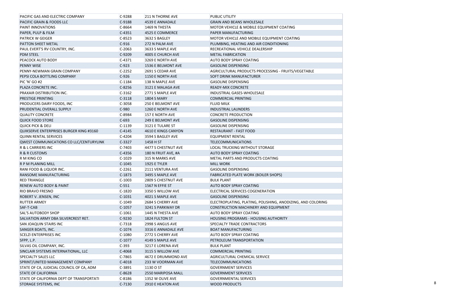| PACIFIC GAS AND ELECTRIC COMPANY         | $C-9288$ | 211 N THORNE AVE         | PUBLIC UTILITY                                              |  |
|------------------------------------------|----------|--------------------------|-------------------------------------------------------------|--|
| PACIFIC GRAIN & FOODS LLC                | C-9188   | 4539 E ANNADALE          | <b>GRAIN AND BEANS WHOLESALE</b>                            |  |
| <b>PAINT INNOVATIONS</b>                 | $C-8664$ | $1469$ N THESTA          | MOTOR VEHICLE & MOBILE EQUIPMENT COATING                    |  |
| PAPER, PULP & FILM                       | $C-4351$ | 4525 E COMMERCE          | PAPER MANUFACTURING                                         |  |
| <b>PATRICK W GEIGER</b>                  | $C-8523$ | 3632 S BAGLEY            | MOTOR VEHICLE AND MOBILE EQUIPMENT COATING                  |  |
| <b>PATTON SHEET METAL</b>                | $C-916$  | 272 N PALM AVE           | PLUMBING, HEATING AND AIR CONDITIONING                      |  |
| PAUL EVERT'S RV COUNTRY, INC.            | $C-2063$ | 3633 S MAPLE AVE         | RECREATIONAL VEHICLE DEALERSHIP                             |  |
| <b>PDM STEEL</b>                         | C-9209   | 4005 E CHURCH AVE        | <b>METAL FABRICATION</b>                                    |  |
| <b>PEACOCK AUTO BODY</b>                 | $C-4371$ | 3269 E NORTH AVE         | <b>AUTO BODY SPRAY COATING</b>                              |  |
| <b>PENNY WISE</b>                        | $C-923$  | 1536 E BELMONT AVE       | <b>GASOLINE DISPENSING</b>                                  |  |
| PENNY-NEWMAN GRAIN COMPANY               | $C-2252$ | 2691 S CEDAR AVE         | AGRICULTURAL PRODUCTS PROCESSING - FRUITS/VEGETABLE         |  |
| PEPSI COLA BOTTLING COMPANY              | $C-926$  | 1150 E NORTH AVE         | <b>SOFT DRINK MANUFACTURER</b>                              |  |
| PIC 'N' GO #2                            | $C-1184$ | 138 N MAPLE AVE          | <b>GASOLINE DISPENSING</b>                                  |  |
| PLAZA CONCRETE INC.                      | C-8256   | 3121 E MALAGA AVE        | READY-MIX CONCRETE                                          |  |
| <b>PRAXAIR DISTRIBUTION INC.</b>         | $C-3162$ | 2771 S MAPLE AVE         | <b>INDUSTRIAL GASES-WHOLESALE</b>                           |  |
| <b>PRESTIGE PRINTING</b>                 | $C-3118$ | <b>1804 S MARY</b>       | <b>COMMERCIAL PRINTING</b>                                  |  |
| <b>PRODUCERS DAIRY FOODS, INC</b>        | $C-3058$ | <b>250 E BELMONT AVE</b> | <b>FLUID MILK</b>                                           |  |
| PRUDENTIAL OVERALL SUPPLY                | $C-980$  | 1260 E NORTH AVE         | <b>INDUSTRIAL LAUNDERS</b>                                  |  |
| <b>QUALITY CONCRETE</b>                  | $C-8984$ | 157 E NORTH AVE          | <b>CONCRETE PRODUCTION</b>                                  |  |
| <b>QUICK FOOD STORE</b>                  | $C-693$  | 249 E BELMONT AVE        | <b>GASOLINE DISPENSING</b>                                  |  |
| <b>QUICK PICK &amp; DELI</b>             | $C-1139$ | 3121 E TULARE ST         | <b>GASOLINE DISPENSING</b>                                  |  |
| QUIKSERVE ENTERPRISES BURGER KING #3160  | $C-4145$ | 4610 E KINGS CANYON      | <b>RESTAURANT - FAST FOOD</b>                               |  |
| QUINN RENTAL SERVICES                    | $C-4204$ | 3594 S BAGLEY AVE        | EQUIPMENT RENTAL                                            |  |
| QWEST COMMUNICATIONS CO LLC/CENTURYLINK  | $C-3327$ | 1458 H ST                | <b>TELECOMMUNICATIONS</b>                                   |  |
| R & L CARRIERS INC                       | $C-7403$ | 4477 S CHESTNUT AVE      | LOCAL TRUCKING WITHOUT STORAGE                              |  |
| R & R CUSTOMS                            | $C-4356$ | 180 N FRUIT AVE, #A      | AUTO BODY SPRAY COATING                                     |  |
| R M KING CO                              | $C-1029$ | 315 N MARKS AVE          | METAL PARTS AND PRODUCTS COATING                            |  |
| R P M PLANING MILL                       | $C-1045$ | <b>1925 E TYLER</b>      | <b>MILL WORK</b>                                            |  |
| <b>RANI FOOD &amp; LIQUOR INC.</b>       | $C-2261$ | 2111 VENTURA AVE         | <b>GASOLINE DISPENSING</b>                                  |  |
| RANSOME MANUFACTURING                    | $C-1873$ | 3495 S MAPLE AVE         | <b>FABRICATED PLATE WORK (BOILER SHOPS)</b>                 |  |
| <b>RED TRIANGLE</b>                      | $C-1003$ | 2809 S CHESTNUT AVE      | <b>BULK PLANT</b>                                           |  |
| <b>RENEW AUTO BODY &amp; PAINT</b>       | $C-551$  | 1567 N EFFIE ST          | <b>AUTO BODY SPRAY COATING</b>                              |  |
| <b>RIO BRAVO FRESNO</b>                  | $C-1820$ | 3350 S WILLOW AVE        | ELECTRICAL SERVICES COGENERATION                            |  |
| ROBERT V. JENSEN, INC                    | $C-1031$ | 4021 S MAPLE AVE         | <b>GASOLINE DISPENSING</b>                                  |  |
| <b>RUTTER ARMEY</b>                      | $C-1049$ | 2684 S CHERRY AVE        | ELECTROPLATING, PLATING, POLISHING, ANODIZING, AND COLORING |  |
| SAF-T-CAB                                | $C-1057$ | 3241 S PARKWAY DR        | CONSTRUCTION MACHINERY AND EQUIPMENT                        |  |
| <b>SAL'S AUTOBODY SHOP</b>               | $C-1061$ | 1445 N THESTA AVE        | AUTO BODY SPRAY COATING                                     |  |
| SALVATION ARMY DBA SILVERCREST RET.      | C-9230   | 1824 FULTON ST           | HOUSING PROGRAMS - HOUSING AUTHORITY                        |  |
| <b>SAN JOAQUIN STAIRS INC</b>            | $C-7318$ | 2998 S ANGUS AVE         | <b>SPECIALTY TRADE CONTRACTORS</b>                          |  |
| SANGER BOATS, INC.                       | $C-1074$ | 3316 E ANNADALE AVE      | <b>BOAT MANUFACTURING</b>                                   |  |
| <b>SCELZI ENTERPRISES INC</b>            | $C-1080$ | 2772 S CHERRY AVE        | <b>AUTO BODY SPRAY COATING</b>                              |  |
| SFPP, L.P.                               | $C-1077$ | 4149 S MAPLE AVE         | PETROLEUM TRANSPORTATION                                    |  |
| SILVAS OIL COMPANY, INC.                 | $C-393$  | 3217 E LORENA AVE        | <b>BULK PLANT</b>                                           |  |
| SINCLAIR SYSTEMS INTERNATIONAL, LLC      | C-4068   | 3115 S WILLOW AVE        | <b>COMMERCIAL PRINTING</b>                                  |  |
| <b>SPECIALTY SALES LLC</b>               | $C-7865$ | 4672 E DRUMMOND AVE      | AGRICULTURAL CHEMICAL SERVICE                               |  |
| SPRINT/UNITED MANAGEMENT COMPANY         | $C-4018$ | 233 W VOORMAN AVE        | <b>TELECOMMUNICATIONS</b>                                   |  |
| STATE OF CA, JUDICIAL COUNCIL OF CA, ADM | $C-3891$ | 1130 O ST                | <b>GOVERNMENT SERVICES</b>                                  |  |
| <b>STATE OF CALIFORNIA</b>               | C-8628   | 2550 MARIPOSA MALL       | <b>GOVERNMENT SERVICES</b>                                  |  |
| STATE OF CALIFORNIA DEPT OF TRANSPORTATI | $C-8186$ | 1352 W OLIVE AVE         | <b>GOVERNMENTAL SERVICES</b>                                |  |
| STORAGE SYSTEMS, INC                     | $C-7130$ | 2910 E HEATON AVE        | <b>WOOD PRODUCTS</b>                                        |  |
|                                          |          |                          |                                                             |  |

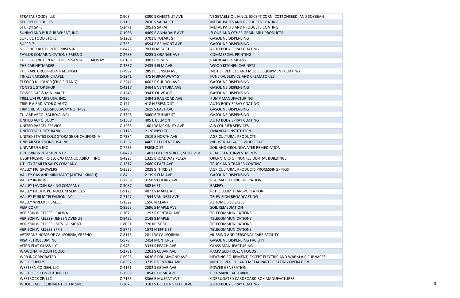| <b>STRATAS FOODS, LLC</b>                 | $C-903$  | 3390 S CHESTNUT AVE           | VEGETABLE OIL MILLS, EXCEPT CORN, COTTONSEED, AND SOYBEAN |
|-------------------------------------------|----------|-------------------------------|-----------------------------------------------------------|
| <b>STURDY PRODUCTS</b>                    | $C-1193$ | 2030 S SARAH ST               | METAL PARTS AND PRODUCTS COATING                          |
| <b>STURDY SAFE</b>                        | $C-2471$ | 2053 S SARAH                  | METAL PARTS AND PRODUCTS COATING                          |
| SUNNYLAND BULGUR WHEAT, INC.              | $C-1968$ | 4469 E ANNADALE AVE           | FLOUR AND OTHER GRAIN MILL PRODUCTS                       |
| <b>SUPER 1 FOOD STORE</b>                 | $C-1201$ | 3701 E TULARE ST              | <b>GASOLINE DISPENSING</b>                                |
| SUPER-7                                   | $C-733$  | 4594 E BELMONT AVE            | <b>GASOLINE DISPENSING</b>                                |
| <b>SUPERIOR AUTO ENTERPRISES INC</b>      | $C-8423$ | 703 N ABBY ST                 | <b>AUTO BODY SPRAY COATING</b>                            |
| <b>TAYLOR COMMUNICATIONS-FRESNO</b>       | $C-2783$ | 3225 S ORANGE AVE             | <b>COMMERCIAL PRINTING</b>                                |
| THE BURLINGTON NORTHERN SANTA FE RAILWAY  | $C-6189$ | 3901 E VINE ST                | RAILROAD COMPANY                                          |
| THE CABINETMAKER                          | $C-4367$ | <b>2435 S ELM AVE</b>         | <b>WOOD KITCHEN CABINETS</b>                              |
| THE PAPE GROUP-DAN RADONSKI               | $C-7992$ | 2892 E JENSEN AVE             | MOTOR VEHICLE AND MOBILE EQUIPMENT COATING                |
| <b>TINKLER MISSION CHAPEL</b>             | $C-1241$ | 475 N BROADWAY ST             | FUNERAL SERVICE AND CREMATORIES                           |
| TJ FOOD N LIQUOR (ERIC S. TANG)           | $C-2241$ | 4602 E CHURCH AVE             | <b>GASOLINE DISPENSING</b>                                |
| TONY'S 1 STOP SHOP                        | $C-4217$ | 3464 E VENTURA AVE            | <b>GASOLINE DISPENSING</b>                                |
| <b>TOWER GAS &amp; MINI MART</b>          | $C-1245$ | 394 E OLIVE AVE               | <b>GASOLINE DISPENSING</b>                                |
| TRILLIUM PUMPS USA, INC.                  | $C-920$  | 2494 S RAILROAD AVE           | PUMP MANUFACTURING                                        |
| TRIPLE A RADIATOR & AUTO                  | $C-177$  | 418 N FRESNO ST               | <b>AUTO BODY SPRAY COATING</b>                            |
| TRMC RETAIL LLC-SPEEDWAY NO. 1482         | $C-240$  | 2619 S EAST AVE               | <b>GASOLINE DISPENSING</b>                                |
| TULARE ARCO (SAI ROJA INC)                | $C-3793$ | 3060 E TULARE ST              | <b>GASOLINE DISPENSING</b>                                |
| <b>UNITED AUTO BODY</b>                   | $C-1568$ | 405 E BELMONT                 | <b>AUTO BODY SPRAY COATING</b>                            |
| UNITED PARCEL SERVICE                     | $C-1268$ | 1601 W MCKINLEY AVE           | <b>AIR COURIER SERVICES</b>                               |
| UNITED SECURITY BANK                      | $C-7175$ | 2126 INYO ST                  | <b>FINANCIAL INSTITUTION</b>                              |
| UNITED STATES COLD STORAGE OF CALIFORNIA  | C-7384   | 2519 E NORTH AVE              | <b>AGRICULTURAL PRODUCTS</b>                              |
| UNIVAR SOLUTIONS USA INC.                 | $C-1337$ | 4465 E FLORENCE AVE           | <b>INDUSTRIAL GASES-WHOLESALE</b>                         |
| UNIVAR USA INC                            | $C-7753$ | <b>FRESNO ST</b>              | SOIL AND GROUNDWATER REMEDIATION                          |
| UPTOWN INVESTMENTS LP                     | C-8478   | 1401 FULTON STREET, SUITE 210 | REAL ESTATE INVESTMENTS                                   |
| USGP FRESNO IRS LLC C/O MANCO ABBOTT INC  | $C-4223$ | 1325 BROADWAY PLAZA           | OPERATORS OF NONRESIDENTIAL BUILDINGS                     |
| UTILITY TRAILER SALES COMPANY             | $C-1317$ | 2680 S EAST AVE               | TRUCK AND TRAILER COATING                                 |
| <b>VALLEY FIG GROWERS</b>                 | $C-1326$ | 2028 S THIRD ST               | AGRICULTURAL PRODUCTS PROCESSING - FIGS                   |
| VALLEY GAS AND MINI MART (AJITPAL SINGH)  | $C-84$   | 2139 S ELM AVE                | <b>GASOLINE DISPENSING</b>                                |
| <b>VALLEY IRON INC</b>                    | $C-7259$ | 3158 S CHERRY AVE             | PLASMA CUTTING OPERATION                                  |
| VALLEY LAVOSH BAKING COMPANY              | C-3087   | 502 M ST                      | <b>BAKERY</b>                                             |
| <b>VALLEY PACIFIC PETROLEUM SERVICES</b>  | $C-9123$ | 4073 S MAPLE AVE              | PETROLEUM TRANSPORTATION                                  |
| VALLEY PUBLIC TELEVISION INC              | $C-7147$ | 1544 VAN NESS AVE             | <b>TELEVISION BROADCASTING</b>                            |
| <b>VALLEY WRECKER SALES</b>               | $C-1322$ | 1556 N CLARK                  | <b>AUTOMOBILE SALES</b>                                   |
| <b>VEIR CORP</b>                          | C-8965   | 2696 S MAPLE AVE              | <b>SOIL REMEDIATION</b>                                   |
| <b>VERIZON WIRELESS - CALWA</b>           | $C-367$  | 1293 E CENTRAL AVE            | <b>TELECOMMUNICATIONS</b>                                 |
| VERIZON WIRELESS- JENSEN AVENUE           | $C-8452$ | 2148 S MAPLE                  | <b>TELECOMMUNICATIONS</b>                                 |
| <b>VERIZON WIRELESS-1ST &amp; BELMONT</b> | $C-8051$ | 720 N 1ST ST                  | <b>TELECOMMUNICATIONS</b>                                 |
| <b>VERIZON WIRELESS:EFFIE</b>             | $C-8745$ | 1573 N EFFIE ST               | <b>TELECOMMUNICATIONS</b>                                 |
| VETERANS HOME OF CALIFORNIA, FRESNO       | $C-8176$ | 2811 W CALIFORNIA             | NURSING AND PERSONAL CARE FACILITY                        |
| <b>VISA PETROLEUM INC</b>                 | $C-578$  | 2414 MONTEREY                 | <b>GASOLINE DISPENSING FACILITY</b>                       |
| <b>VITRO FLAT GLASS LLC</b>               | $C-948$  | 3333 S PEACH AVE              | <b>GLASS MANUFACTURING</b>                                |
| <b>WAWONA FROZEN FOODS</b>                | $C-2781$ | 2202 S CEDAR AVE              | PACKAGED FROZEN FOODS                                     |
| <b>WCR INCORPORATED</b>                   | $C-6926$ | 4636 E DRUMMOND AVE           | HEATING EQUIPMENT, EXCEPT ELECTRIC AND WARM AIR FURNACES  |
| <b>WECO SUPPLY</b>                        | C-8392   | 3735 E VENTURA AVE            | MOTOR VEHICLE AND METAL PARTS COATING OPERATION           |
| WESTERN CO-GEN, LLC                       | $C-4161$ | 2202 S CEDAR AVE              | POWER GENERATION                                          |
| <b>WESTROCK CONVERTING LLC</b>            | C-3589   | 1854 E HOME AVE               | <b>BOX MANUFACTURING</b>                                  |
| <b>WESTROCK CP, LLC</b>                   | $C-7165$ | 3366 E MUSCAT AVE             | CORRUGATED CARDBOARD BOX MANUFACTURER                     |
| WHOLESALE EQUIPMENT OF FRESNO             | $C-2675$ | 3183 S GOLDEN STATE BLVD      | <b>AUTO BODY SPRAY COATING</b>                            |

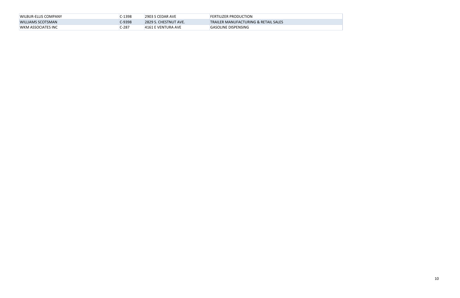| <b>WILBUR-ELLIS COMPANY</b> | C-1398  | 2903 S CEDAR AVE       | <b>FERTILIZER PRODUCTION</b>                    |
|-----------------------------|---------|------------------------|-------------------------------------------------|
| WILLIAMS SCOTSMAN           | C-9398  | 12829 S. CHESTNUT AVE. | <b>TRAILER MANUFACTURING &amp; RETAIL SALES</b> |
| <b>WKM ASSOCIATES INC</b>   | $C-287$ | 4161 E VENTURA AVE     | <b>GASOLINE DISPENSING</b>                      |

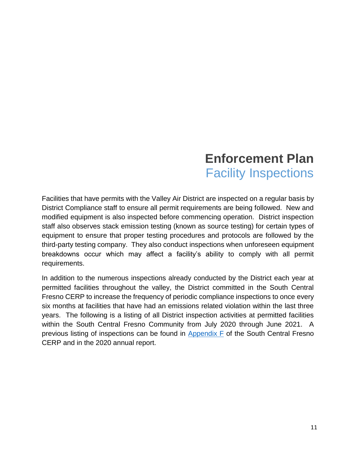## **Enforcement Plan**  Facility Inspections

Facilities that have permits with the Valley Air District are inspected on a regular basis by District Compliance staff to ensure all permit requirements are being followed. New and modified equipment is also inspected before commencing operation. District inspection staff also observes stack emission testing (known as source testing) for certain types of equipment to ensure that proper testing procedures and protocols are followed by the third-party testing company. They also conduct inspections when unforeseen equipment breakdowns occur which may affect a facility's ability to comply with all permit requirements.

In addition to the numerous inspections already conducted by the District each year at permitted facilities throughout the valley, the District committed in the South Central Fresno CERP to increase the frequency of periodic compliance inspections to once every six months at facilities that have had an emissions related violation within the last three years. The following is a listing of all District inspection activities at permitted facilities within the South Central Fresno Community from July 2020 through June 2021. A previous listing of inspections can be found in [Appendix F](http://community.valleyair.org/media/1507/12-scfresno_appf_enforcementplan.pdf) of the South Central Fresno CERP and in the 2020 annual report.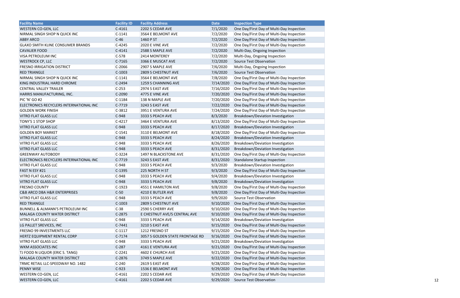| <b>Facility Name</b>                        | <b>Facility ID</b> | <b>Facility Address</b>         | <b>Date</b> | <b>Inspection Type</b>                    |
|---------------------------------------------|--------------------|---------------------------------|-------------|-------------------------------------------|
| <b>WESTERN CO-GEN, LLC</b>                  | $C-4161$           | 2202 S CEDAR AVE                | 7/1/2020    | One Day/First Day of Multi-Day Inspection |
| NIRMAL SINGH SHOP N QUICK INC               | $C-1141$           | 3564 E BELMONT AVE              | 7/2/2020    | One Day/First Day of Multi-Day Inspection |
| <b>ABBY ARCO</b>                            | $C-46$             | 1460 P ST                       | 7/2/2020    | One Day/First Day of Multi-Day Inspection |
| <b>GLAXO SMITH KLINE CONSUMER BRANDS</b>    | $C-4245$           | <b>2020 E VINE AVE</b>          | 7/2/2020    | One Day/First Day of Multi-Day Inspection |
| <b>CAVALIER FOOD</b>                        | $C-4141$           | 2588 S MAPLE AVE                | 7/2/2020    | Multi-Day, Ongoing Inspection             |
| <b>VISA PETROLEUM INC</b>                   | $C-578$            | 2414 MONTEREY                   | 7/2/2020    | Multi-Day, Ongoing Inspection             |
| <b>WESTROCK CP, LLC</b>                     | $C-7165$           | 3366 E MUSCAT AVE               | 7/2/2020    | Source Test Observation                   |
| <b>FRESNO IRRIGATION DISTRICT</b>           | $C-2066$           | 2907 S MAPLE AVE                | 7/6/2020    | Multi-Day, Ongoing Inspection             |
| <b>RED TRIANGLE</b>                         | $C-1003$           | 2809 S CHESTNUT AVE             | 7/6/2020    | Source Test Observation                   |
| NIRMAL SINGH SHOP N QUICK INC               | $C-1141$           | 3564 E BELMONT AVE              | 7/8/2020    | One Day/First Day of Multi-Day Inspection |
| KING INDUSTRIAL HARD CHROME                 | $C-2494$           | 1259 S CHANNING AVE             | 7/14/2020   | One Day/First Day of Multi-Day Inspection |
| <b>CENTRAL VALLEY TRAILER</b>               | $C-253$            | <b>2974 S EAST AVE</b>          | 7/16/2020   | One Day/First Day of Multi-Day Inspection |
| HARRIS MANUFACTURING, INC.                  | C-2090             | 4775 E VINE AVE                 | 7/20/2020   | One Day/First Day of Multi-Day Inspection |
| PIC 'N' GO #2                               | $C-1184$           | 138 N MAPLE AVE                 | 7/20/2020   | One Day/First Day of Multi-Day Inspection |
| ELECTRONICS RECYCLERS INTERNATIONAL INC     | $C-7719$           | 3243 S EAST AVE                 | 7/22/2020   | One Day/First Day of Multi-Day Inspection |
| <b>GOLDEN WORK FINISH</b>                   | $C-3812$           | 3951 E VENTURA AVE              | 7/24/2020   | One Day/First Day of Multi-Day Inspection |
| <b>VITRO FLAT GLASS LLC</b>                 | $C-948$            | 3333 S PEACH AVE                | 8/3/2020    | Breakdown/Deviation Investigation         |
| TONY'S 1 STOP SHOP                          | $C-4217$           | 3464 E VENTURA AVE              | 8/13/2020   | One Day/First Day of Multi-Day Inspection |
| <b>VITRO FLAT GLASS LLC</b>                 | $C-948$            | 3333 S PEACH AVE                | 8/17/2020   | Breakdown/Deviation Investigation         |
| <b>GOLDEN BOY MARKET</b>                    | $C-1541$           | 3110 E BELMONT AVE              | 8/18/2020   | One Day/First Day of Multi-Day Inspection |
| <b>VITRO FLAT GLASS LLC</b>                 | $C-948$            | 3333 S PEACH AVE                | 8/24/2020   | Breakdown/Deviation Investigation         |
| VITRO FLAT GLASS LLC                        | $C-948$            | 3333 S PEACH AVE                | 8/26/2020   | Breakdown/Deviation Investigation         |
| <b>VITRO FLAT GLASS LLC</b>                 | $C-948$            | 3333 S PEACH AVE                | 8/31/2020   | Breakdown/Deviation Investigation         |
| <b>GREENWAY AUTOBODY</b>                    | $C-3224$           | 1497 N BLACKSTONE AVE           | 8/31/2020   | One Day/First Day of Multi-Day Inspection |
| ELECTRONICS RECYCLERS INTERNATIONAL INC     | $C-7719$           | 3243 S EAST AVE                 | 8/31/2020   | <b>Standalone Startup Inspection</b>      |
| VITRO FLAT GLASS LLC                        | $C-948$            | 3333 S PEACH AVE                | 9/3/2020    | Breakdown/Deviation Investigation         |
| FAST N ESY #21                              | $C-1395$           | 225 NORTH H ST                  | 9/3/2020    | One Day/First Day of Multi-Day Inspection |
| <b>VITRO FLAT GLASS LLC</b>                 | $C-948$            | 3333 S PEACH AVE                | 9/4/2020    | Breakdown/Deviation Investigation         |
| <b>VITRO FLAT GLASS LLC</b>                 | $C-948$            | 3333 S PEACH AVE                | 9/8/2020    | Breakdown/Deviation Investigation         |
| <b>FRESNO COUNTY</b>                        | $C-1923$           | 4551 E HAMILTON AVE             | 9/8/2020    | One Day/First Day of Multi-Day Inspection |
| <b>C&amp;B ARCO DBA H&amp;R ENTERPRISES</b> | $C-50$             | 4210 E BUTLER AVE               | 9/8/2020    | One Day/First Day of Multi-Day Inspection |
| <b>VITRO FLAT GLASS LLC</b>                 | $C-948$            | 3333 S PEACH AVE                | 9/9/2020    | Source Test Observation                   |
| <b>RED TRIANGLE</b>                         | $C-1003$           | 2809 S CHESTNUT AVE             | 9/10/2020   | One Day/First Day of Multi-Day Inspection |
| <b>BUNNELL &amp; ALMANN'S PETROLEUM INC</b> | $C-38$             | 2590 S CHERRY AVE               | 9/10/2020   | One Day/First Day of Multi-Day Inspection |
| <b>MALAGA COUNTY WATER DISTRICT</b>         | C-2875             | E CHESTNUT AVE/S CENTRAL AVE    | 9/10/2020   | One Day/First Day of Multi-Day Inspection |
| <b>VITRO FLAT GLASS LLC</b>                 | $C-948$            | 3333 S PEACH AVE                | 9/14/2020   | Breakdown/Deviation Investigation         |
| LG PALLET SREVICES, INC                     | $C-7441$           | 3210 S EAST AVE                 | 9/15/2020   | One Day/First Day of Multi-Day Inspection |
| <b>FRESNO 99 INVESTMENTS LLC</b>            | $C-1117$           | 1212 FRESNO ST                  | 9/15/2020   | One Day/First Day of Multi-Day Inspection |
| HERTZ EQUIPMENT RENTAL CORP                 | $C-7174$           | 3057 S GOLDEN STATE FRONTAGE RD | 9/16/2020   | One Day/First Day of Multi-Day Inspection |
| <b>VITRO FLAT GLASS LLC</b>                 | $C-948$            | 3333 S PEACH AVE                | 9/21/2020   | Breakdown/Deviation Investigation         |
| <b>WKM ASSOCIATES INC</b>                   | $C-287$            | 4161 E VENTURA AVE              | 9/21/2020   | One Day/First Day of Multi-Day Inspection |
| TJ FOOD N LIQUOR (ERIC S. TANG)             | $C-2241$           | 4602 E CHURCH AVE               | 9/21/2020   | One Day/First Day of Multi-Day Inspection |
| MALAGA COUNTY WATER DISTRICT                | $C-2876$           | 3749 S MAPLE AVE                | 9/22/2020   | One Day/First Day of Multi-Day Inspection |
| TRMC RETAIL LLC-SPEEDWAY NO. 1482           | $C-240$            | 2619 S EAST AVE                 | 9/28/2020   | One Day/First Day of Multi-Day Inspection |
| <b>PENNY WISE</b>                           | $C-923$            | 1536 E BELMONT AVE              | 9/29/2020   | One Day/First Day of Multi-Day Inspection |
|                                             |                    |                                 |             |                                           |
| <b>WESTERN CO-GEN, LLC</b>                  | $C-4161$           | 2202 S CEDAR AVE                | 9/29/2020   | One Day/First Day of Multi-Day Inspection |
| <b>WESTERN CO-GEN, LLC</b>                  | $C-4161$           | 2202 S CEDAR AVE                | 9/29/2020   | Source Test Observation                   |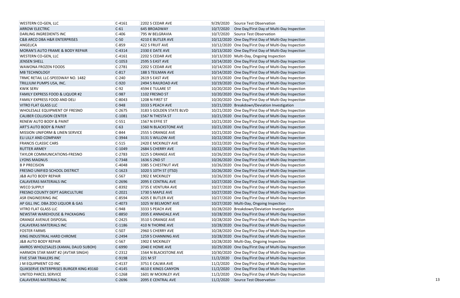| <b>WESTERN CO-GEN, LLC</b>                  | $C-4161$ | 2202 S CEDAR AVE         | 9/29/2020 Source Test Observation                      |
|---------------------------------------------|----------|--------------------------|--------------------------------------------------------|
| <b>ARROW ELECTRIC</b>                       | $C-61$   | 645 BROADWAY             | 10/7/2020 One Day/First Day of Multi-Day Inspection    |
| <b>DARLING INGREDIENTS INC</b>              | $C-406$  | 795 W BELGRAVIA          | 10/7/2020 Source Test Observation                      |
| <b>C&amp;B ARCO DBA H&amp;R ENTERPRISES</b> | $C-50$   | 4210 E BUTLER AVE        | 10/12/2020 One Day/First Day of Multi-Day Inspection   |
| ANGELICA                                    | $C-859$  | 422 S FRUIT AVE          | 10/12/2020 One Day/First Day of Multi-Day Inspection   |
| MORAN'S AUTO FRAME & BODY REPAIR            | $C-4314$ | 2330 E DATE AVE          | 10/13/2020 One Day/First Day of Multi-Day Inspection   |
| <b>WESTERN CO-GEN, LLC</b>                  | $C-4161$ | 2202 S CEDAR AVE         | 10/13/2020 Multi-Day, Ongoing Inspection               |
| <b>JENSEN SHELL</b>                         | $C-1053$ | 2595 S EAST AVE          | 10/14/2020 One Day/First Day of Multi-Day Inspection   |
| <b>WAWONA FROZEN FOODS</b>                  | $C-2781$ | 2202 S CEDAR AVE         | 10/14/2020 One Day/First Day of Multi-Day Inspection   |
| <b>MB TECHNOLOGY</b>                        | $C-817$  | 188 S TEILMAN AVE        | 10/14/2020 One Day/First Day of Multi-Day Inspection   |
| TRMC RETAIL LLC-SPEEDWAY NO. 1482           | $C-240$  | 2619 S EAST AVE          | 10/15/2020 One Day/First Day of Multi-Day Inspection   |
| TRILLIUM PUMPS USA, INC.                    | $C-920$  | 2494 S RAILROAD AVE      | 10/19/2020 One Day/First Day of Multi-Day Inspection   |
| <b>KWIK SERV</b>                            | $C-92$   | 4594 E TULARE ST         | 10/20/2020 One Day/First Day of Multi-Day Inspection   |
| <b>FAMILY EXPRESS FOOD &amp; LIQUOR #2</b>  | C-987    | 1102 FRESNO ST           | 10/20/2020 One Day/First Day of Multi-Day Inspection   |
| <b>FAMILY EXPRESS FOOD AND DELI</b>         | $C-8043$ | 1208 N FIRST ST          | 10/20/2020 One Day/First Day of Multi-Day Inspection   |
| <b>VITRO FLAT GLASS LLC</b>                 | C-948    | 3333 S PEACH AVE         | 10/21/2020 Breakdown/Deviation Investigation           |
| WHOLESALE EQUIPMENT OF FRESNO               | $C-2675$ | 3183 S GOLDEN STATE BLVD | 10/21/2020 One Day/First Day of Multi-Day Inspection   |
| <b>CALIBER COLLISION CENTER</b>             | $C-1081$ | 1567 N THESTA ST         | 10/21/2020 One Day/First Day of Multi-Day Inspection   |
| <b>RENEW AUTO BODY &amp; PAINT</b>          | $C-551$  | 1567 N EFFIE ST          | 10/21/2020 One Day/First Day of Multi-Day Inspection   |
| ART'S AUTO BODY & PAINT                     | $C-63$   | 1560 N BLACKSTONE AVE    | 10/21/2020 One Day/First Day of Multi-Day Inspection   |
| <b>MISSION UNIFORM &amp; LINEN SERVICE</b>  | $C-844$  | 2555 S ORANGE AVE        | 10/21/2020 One Day/First Day of Multi-Day Inspection   |
| ELI LILLY AND COMPANY                       | $C-3944$ | 3131 S WILLOW AVE        | 10/22/2020 One Day/First Day of Multi-Day Inspection   |
| <b>FRANCIS CLASSIC CARS</b>                 | $C-515$  | 2420 E MCKINLEY AVE      | 10/22/2020 One Day/First Day of Multi-Day Inspection   |
| <b>RUTTER ARMEY</b>                         | $C-1049$ | 2684 S CHERRY AVE        | 10/22/2020 One Day/First Day of Multi-Day Inspection   |
| <b>TAYLOR COMMUNICATIONS-FRESNO</b>         | $C-2783$ | 3225 S ORANGE AVE        | 10/26/2020 One Day/First Day of Multi-Day Inspection   |
| <b>LYONS MAGNUS</b>                         | C-7348   | 1636 S 2ND ST            | 10/26/2020 One Day/First Day of Multi-Day Inspection   |
| <b>B P PRECISION</b>                        | $C-4048$ | 3385 S CHESTNUT AVE      | 10/26/2020 One Day/First Day of Multi-Day Inspection   |
|                                             |          |                          |                                                        |
| <b>FRESNO UNIFIED SCHOOL DISTRICT</b>       | $C-1623$ | 1020 S 10TH ST (ITSD)    | 10/26/2020 One Day/First Day of Multi-Day Inspection   |
| J&B AUTO BODY REPAIR                        | $C-567$  | 1902 E MCKINLEY          | 10/26/2020 One Day/First Day of Multi-Day Inspection   |
| <b>CALAVERAS MATERIALS INC</b>              | $C-2696$ | 2095 E CENTRAL AVE       | 10/27/2020 One Day/First Day of Multi-Day Inspection   |
| <b>WECO SUPPLY</b>                          | $C-8392$ | 3735 E VENTURA AVE       | 10/27/2020 One Day/First Day of Multi-Day Inspection   |
| FRESNO COUNTY DEPT AGRICULTURE              | $C-2021$ | 1730 S MAPLE AVE         | 10/27/2020 One Day/First Day of Multi-Day Inspection   |
| ASR ENGINEERING INC                         | $C-8594$ | 4205 E BUTLER AVE        | 10/27/2020 One Day/First Day of Multi-Day Inspection   |
| AP GILL INC. DBA ZOO LIQUOR & GAS           | $C-4073$ | 1025 W BELMONT AVE       | 10/27/2020 Multi-Day, Ongoing Inspection               |
| <b>VITRO FLAT GLASS LLC</b>                 | $C-948$  | 3333 S PEACH AVE         | 10/28/2020 Breakdown/Deviation Investigation           |
| NEWSTAR WAREHOUSE & PACKAGING               | C-8850   | 2035 E ANNADALE AVE      | 10/28/2020 One Day/First Day of Multi-Day Inspection   |
| ORANGE AVENUE DISPOSAL                      | $C-2425$ | 3510 S ORANGE AVE        | 10/28/2020 One Day/First Day of Multi-Day Inspection   |
| <b>CALAVERAS MATERIALS INC</b>              | $C-1186$ | 410 N THORNE AVE         | 10/28/2020 One Day/First Day of Multi-Day Inspection   |
| <b>FOSTER FARMS</b>                         | $C-507$  | 2960 S CHERRY AVE        | 10/28/2020 One Day/First Day of Multi-Day Inspection   |
| KING INDUSTRIAL HARD CHROME                 | $C-2494$ | 1259 S CHANNING AVE      | 10/28/2020 One Day/First Day of Multi-Day Inspection   |
| J&B AUTO BODY REPAIR                        | $C-567$  | 1902 E MCKINLEY          | 10/28/2020 Multi-Day, Ongoing Inspection               |
| AMROS WHOLESALES (KAMAL DAUD SUBOH)         | C-6990   | 2040 E HOME AVE          | 10/29/2020 One Day/First Day of Multi-Day Inspection   |
| HARMON STAR MART #2 (AVTAR SINGH)           | $C-2312$ | 1564 N BLACKSTONE AVE    | 10/30/2020 One Day/First Day of Multi-Day Inspection   |
| <b>FIVE STAR TRAILERS INC</b>               | C-9198   | 221 M ST                 | 11/2/2020<br>One Day/First Day of Multi-Day Inspection |
| J M EQUIPMENT CO INC                        | $C-4137$ | 3751 E CALWA AVE         | 11/2/2020<br>One Day/First Day of Multi-Day Inspection |
| QUIKSERVE ENTERPRISES BURGER KING #3160     | $C-4145$ | 4610 E KINGS CANYON      | 11/2/2020 One Day/First Day of Multi-Day Inspection    |
| UNITED PARCEL SERVICE                       | $C-1268$ | 1601 W MCKINLEY AVE      | One Day/First Day of Multi-Day Inspection<br>11/2/2020 |
| <b>CALAVERAS MATERIALS INC</b>              | $C-2696$ | 2095 E CENTRAL AVE       | 11/2/2020 Source Test Observation                      |
|                                             |          |                          |                                                        |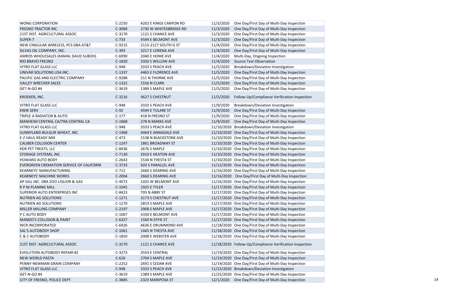| <b>WONG CORPORATION</b>                        | $C-2250$ | 4202 E KINGS CANYON RD | 11/3/2020 | One Day/First Day of Multi-Day Inspection               |
|------------------------------------------------|----------|------------------------|-----------|---------------------------------------------------------|
| <b>FRESNO TRACTOR INC</b>                      | C-3084   | 2730 W WHITESBRIDGE RD | 11/3/2020 | One Day/First Day of Multi-Day Inspection               |
| 21ST DIST. AGRICULTURAL ASSOC.                 | $C-3170$ | 1121 S CHANCE AVE      | 11/3/2020 | One Day/First Day of Multi-Day Inspection               |
| SUPER-7                                        | $C-733$  | 4594 E BELMONT AVE     | 11/3/2020 | One Day/First Day of Multi-Day Inspection               |
| <b>NEW CINGULAR WIRELESS, PCS DBA AT&amp;T</b> | $C-9215$ | 2115-2127 SOUTH G ST   | 11/4/2020 | One Day/First Day of Multi-Day Inspection               |
| SILVAS OIL COMPANY, INC.                       | $C-393$  | 3217 E LORENA AVE      | 11/4/2020 | One Day/First Day of Multi-Day Inspection               |
| AMROS WHOLESALES (KAMAL DAUD SUBOH)            | $C-6990$ | <b>2040 E HOME AVE</b> | 11/4/2020 | Multi-Day, Ongoing Inspection                           |
| <b>RIO BRAVO FRESNO</b>                        | $C-1820$ | 3350 S WILLOW AVE      | 11/4/2020 | Source Test Observation                                 |
| <b>VITRO FLAT GLASS LLC</b>                    | $C-948$  | 3333 S PEACH AVE       | 11/5/2020 | Breakdown/Deviation Investigation                       |
| UNIVAR SOLUTIONS USA INC.                      | $C-1337$ | 4465 E FLORENCE AVE    | 11/5/2020 | One Day/First Day of Multi-Day Inspection               |
| PACIFIC GAS AND ELECTRIC COMPANY               | $C-9288$ | 211 N THORNE AVE       | 11/5/2020 | One Day/First Day of Multi-Day Inspection               |
| <b>VALLEY WRECKER SALES</b>                    | $C-1322$ | <b>1556 N CLARK</b>    | 11/5/2020 | One Day/First Day of Multi-Day Inspection               |
| GET-N-GO #4                                    | $C-3619$ | 1389 S MAPLE AVE       | 11/5/2020 | One Day/First Day of Multi-Day Inspection               |
| <b>KROEKER, INC.</b>                           | $C-3216$ | 4627 S CHESTNUT        | 11/5/2020 | Follow-Up/Compliance Verification Inspection            |
| <b>VITRO FLAT GLASS LLC</b>                    | $C-948$  | 3333 S PEACH AVE       | 11/9/2020 | Breakdown/Deviation Investigation                       |
| <b>KWIK SERV</b>                               | $C-92$   | 4594 E TULARE ST       | 11/9/2020 | One Day/First Day of Multi-Day Inspection               |
| <b>TRIPLE A RADIATOR &amp; AUTO</b>            | $C-177$  | 418 N FRESNO ST        | 11/9/2020 | One Day/First Day of Multi-Day Inspection               |
| MANHEIM CENTRAL CA/TRA-CENTRAL CA              | C-1868   | 278 N MARKS AVE        | 11/9/2020 | One Day/First Day of Multi-Day Inspection               |
| <b>VITRO FLAT GLASS LLC</b>                    | $C-948$  | 3333 S PEACH AVE       |           | 11/10/2020 Breakdown/Deviation Investigation            |
| SUNNYLAND BULGUR WHEAT, INC.                   | C-1968   | 4469 E ANNADALE AVE    |           | 11/10/2020 One Day/First Day of Multi-Day Inspection    |
| <b>E-Z HAUL READY MIX</b>                      | $C-473$  | 1538 N BLACKSTONE AVE  |           | 11/10/2020 One Day/First Day of Multi-Day Inspection    |
| <b>CALIBER COLLISION CENTER</b>                | $C-1247$ | 1861 BROADWAY ST       |           | 11/10/2020 One Day/First Day of Multi-Day Inspection    |
| <b>KDR PET TREATS, LLC</b>                     | $C-8436$ | <b>2676 S MAPLE</b>    |           | 11/10/2020 One Day/First Day of Multi-Day Inspection    |
| STORAGE SYSTEMS, INC                           | $C-7130$ | 2910 E HEATON AVE      |           | 11/10/2020 One Day/First Day of Multi-Day Inspection    |
| <b>HOWARD AUTO BODY</b>                        | $C-2643$ | 1534 N THESTA ST       |           | 11/10/2020 One Day/First Day of Multi-Day Inspection    |
| EVERGREEN CREMATION SERVICE OF CALIFORNI       | $C-3733$ | 920 S PARALLEL AVE     |           | 11/12/2020 One Day/First Day of Multi-Day Inspection    |
| <b>KEARNEYS' MANUFACTURING</b>                 | $C-712$  | 2660 S DEARING AVE     |           | 11/16/2020 One Day/First Day of Multi-Day Inspection    |
| <b>KEARNEYS' MACHINE WORKS</b>                 | $C-2004$ | 2660 S DEARING AVE     |           | 11/16/2020 One Day/First Day of Multi-Day Inspection    |
| AP GILL INC. DBA ZOO LIQUOR & GAS              | $C-4073$ | 1025 W BELMONT AVE     |           | 11/16/2020 One Day/First Day of Multi-Day Inspection    |
| R P M PLANING MILL                             | $C-1045$ | <b>1925 E TYLER</b>    |           | 11/17/2020 One Day/First Day of Multi-Day Inspection    |
| <b>SUPERIOR AUTO ENTERPRISES INC</b>           | $C-8423$ | 703 N ABBY ST          |           | 11/17/2020 One Day/First Day of Multi-Day Inspection    |
| <b>NUTRIEN AG SOLUTIONS</b>                    | $C-1271$ | 3173 S CHESTNUT AVE    |           | 11/17/2020 One Day/First Day of Multi-Day Inspection    |
| <b>NUTRIEN AG SOLUTIONS</b>                    | $C-1270$ | 2819 S MAPLE AVE       |           | 11/17/2020 One Day/First Day of Multi-Day Inspection    |
| MILLER MILLING COMPANY                         | $C-2197$ | 2908 S MAPLE AVE       |           | 11/17/2020 One Day/First Day of Multi-Day Inspection    |
| P C AUTO BODY                                  | $C-1067$ | 3330 E BELMONT AVE     |           | 11/17/2020 One Day/First Day of Multi-Day Inspection    |
| <b>MANDO'S COLLISION &amp; PAINT</b>           | $C-6327$ | 1560 N EFFIE ST        |           | 11/17/2020 One Day/First Day of Multi-Day Inspection    |
| <b>WCR INCORPORATED</b>                        | $C-6926$ | 4636 E DRUMMOND AVE    |           | 11/18/2020 One Day/First Day of Multi-Day Inspection    |
| <b>SAL'S AUTOBODY SHOP</b>                     | $C-1061$ | 1445 N THESTA AVE      |           | 11/18/2020 One Day/First Day of Multi-Day Inspection    |
| C & C AUTOBODY                                 | $C-1850$ | 2008 E WEBSTER AVE     |           | 11/18/2020 One Day/First Day of Multi-Day Inspection    |
| 21ST DIST. AGRICULTURAL ASSOC.                 | $C-3170$ | 1121 S CHANCE AVE      |           | 11/18/2020 Follow-Up/Compliance Verification Inspection |
| <b>EVOLUTION AUTOBODY REPAIR #2</b>            | $C-3273$ | 3554 E CENTRAL         |           | 11/19/2020 One Day/First Day of Multi-Day Inspection    |
| <b>NEW WORLD PASTA</b>                         | $C-626$  | 2704 S MAPLE AVE       |           | 11/19/2020 One Day/First Day of Multi-Day Inspection    |
| PENNY-NEWMAN GRAIN COMPANY                     | $C-2252$ | 2691 S CEDAR AVE       |           | 11/19/2020 One Day/First Day of Multi-Day Inspection    |
| <b>VITRO FLAT GLASS LLC</b>                    | $C-948$  | 3333 S PEACH AVE       |           | 11/23/2020 Breakdown/Deviation Investigation            |
| GET-N-GO #4                                    | $C-3619$ | 1389 S MAPLE AVE       |           | 11/25/2020 One Day/First Day of Multi-Day Inspection    |
| CITY OF FRESNO, POLICE DEPT                    | C-3885   | 2323 MARIPOSA ST       |           | 12/1/2020 One Day/First Day of Multi-Day Inspection     |
|                                                |          |                        |           |                                                         |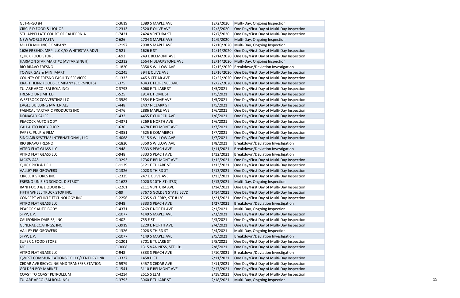| GET-N-GO #4                              | $C-3619$ | 1389 S MAPLE AVE         | 12/2/2020  | Multi-Day, Ongoing Inspection                        |
|------------------------------------------|----------|--------------------------|------------|------------------------------------------------------|
| <b>CIRCLE D FOOD &amp; LIQUOR</b>        | $C-2313$ | 2520 E OLIVE AVE         | 12/3/2020  | One Day/First Day of Multi-Day Inspection            |
| 5TH APPELLATE COURT OF CALIFORNIA        | $C-7421$ | 2424 VENTURA ST          | 12/7/2020  | One Day/First Day of Multi-Day Inspection            |
| <b>NEW WORLD PASTA</b>                   | $C-626$  | 2704 S MAPLE AVE         | 12/9/2020  | Multi-Day, Ongoing Inspection                        |
| MILLER MILLING COMPANY                   | $C-2197$ | 2908 S MAPLE AVE         |            | 12/10/2020   Multi-Day, Ongoing Inspection           |
| 1626 FRESNO, MRP, LLC C/O WHITESTAR ADVI | $C-521$  | 1626 E ST                |            | 12/14/2020 One Day/First Day of Multi-Day Inspection |
| <b>QUICK FOOD STORE</b>                  | $C-693$  | 249 E BELMONT AVE        |            | 12/14/2020 One Day/First Day of Multi-Day Inspection |
| HARMON STAR MART #2 (AVTAR SINGH)        | $C-2312$ | 1564 N BLACKSTONE AVE    |            | 12/14/2020 Multi-Day, Ongoing Inspection             |
| RIO BRAVO FRESNO                         | $C-1820$ | 3350 S WILLOW AVE        |            | 12/15/2020 Breakdown/Deviation Investigation         |
| <b>TOWER GAS &amp; MINI MART</b>         | $C-1245$ | 394 E OLIVE AVE          |            | 12/16/2020 One Day/First Day of Multi-Day Inspection |
| COUNTY OF FRESNO FACILITY SERVICES       | $C-1333$ | 445 S CEDAR AVE          |            | 12/22/2020 One Day/First Day of Multi-Day Inspection |
| KRAFT HEINZ FOODS COMPANY (CORNNUTS)     | $C-375$  | 4343 E FLORENCE AVE      | 12/22/2020 | One Day/First Day of Multi-Day Inspection            |
| TULARE ARCO (SAI ROJA INC)               | $C-3793$ | 3060 E TULARE ST         | 1/5/2021   | One Day/First Day of Multi-Day Inspection            |
| <b>FRESNO UNLIMITED</b>                  | $C-525$  | 1914 E HOME ST           | 1/5/2021   | One Day/First Day of Multi-Day Inspection            |
| <b>WESTROCK CONVERTING LLC</b>           | $C-3589$ | 1854 E HOME AVE          | 1/5/2021   | One Day/First Day of Multi-Day Inspection            |
| <b>EAGLE BUILDING MATERIALS</b>          | $C-448$  | 1407 N CLARK ST          | 1/5/2021   | One Day/First Day of Multi-Day Inspection            |
| FAENCAL TARTARIC PRODUCTS INC            | $C-476$  | 2886 MAPLE AVE           | 1/6/2021   | One Day/First Day of Multi-Day Inspection            |
| <b>DONAGHY SALES</b>                     | $C-432$  | 4455 E CHURCH AVE        | 1/6/2021   | One Day/First Day of Multi-Day Inspection            |
| PEACOCK AUTO BODY                        | $C-4371$ | 3269 E NORTH AVE         | 1/6/2021   | One Day/First Day of Multi-Day Inspection            |
| <b>CALI AUTO BODY SHOP</b>               | $C-630$  | 4678 E BELMONT AVE       | 1/7/2021   | One Day/First Day of Multi-Day Inspection            |
| PAPER, PULP & FILM                       | $C-4351$ | 4525 E COMMERCE          | 1/7/2021   | One Day/First Day of Multi-Day Inspection            |
| SINCLAIR SYSTEMS INTERNATIONAL, LLC      | C-4068   | 3115 S WILLOW AVE        | 1/7/2021   | One Day/First Day of Multi-Day Inspection            |
| RIO BRAVO FRESNO                         | $C-1820$ | 3350 S WILLOW AVE        | 1/8/2021   | Breakdown/Deviation Investigation                    |
| <b>VITRO FLAT GLASS LLC</b>              | $C-948$  | 3333 S PEACH AVE         | 1/11/2021  | Breakdown/Deviation Investigation                    |
| VITRO FLAT GLASS LLC                     | $C-948$  | 3333 S PEACH AVE         | 1/12/2021  | Breakdown/Deviation Investigation                    |
| <b>JACK'S GAS</b>                        | $C-3293$ | 1736 E BELMONT AVE       | 1/12/2021  | One Day/First Day of Multi-Day Inspection            |
| <b>QUICK PICK &amp; DELI</b>             | $C-1139$ | 3121 E TULARE ST         | 1/13/2021  | One Day/First Day of Multi-Day Inspection            |
| <b>VALLEY FIG GROWERS</b>                | $C-1326$ | 2028 S THIRD ST          | 1/13/2021  | One Day/First Day of Multi-Day Inspection            |
| <b>CIRCLE K STORES INC</b>               | $C-2325$ | 247 E OLIVE AVE          | 1/13/2021  | One Day/First Day of Multi-Day Inspection            |
| FRESNO UNIFIED SCHOOL DISTRICT           | $C-1623$ | 1020 S 10TH ST (ITSD)    | 1/13/2021  | Multi-Day, Ongoing Inspection                        |
| RANI FOOD & LIQUOR INC.                  | $C-2261$ | 2111 VENTURA AVE         | 1/14/2021  | One Day/First Day of Multi-Day Inspection            |
| FIFTH WHEEL TRUCK STOP INC.              | $C-89$   | 3767 S GOLDEN STATE BLVD | 1/14/2021  | One Day/First Day of Multi-Day Inspection            |
| CONCEPT VEHICLE TECHNOLOGY INC           | $C-2256$ | 2695 S CHERRY, STE #120  | 1/21/2021  | One Day/First Day of Multi-Day Inspection            |
| VITRO FLAT GLASS LLC                     | $C-948$  | 3333 S PEACH AVE         | 1/27/2021  | Breakdown/Deviation Investigation                    |
| PEACOCK AUTO BODY                        | $C-4371$ | 3269 E NORTH AVE         | 2/1/2021   | Multi-Day, Ongoing Inspection                        |
| SFPP, L.P.                               | $C-1077$ | 4149 S MAPLE AVE         | 2/3/2021   | One Day/First Day of Multi-Day Inspection            |
| CALIFORNIA DAIRIES, INC.                 | $C-402$  | 755 F ST                 | 2/3/2021   | One Day/First Day of Multi-Day Inspection            |
| <b>GENERAL COATINGS, INC</b>             | $C-3919$ | 1220 E NORTH AVE         | 2/4/2021   | One Day/First Day of Multi-Day Inspection            |
| <b>VALLEY FIG GROWERS</b>                | $C-1326$ | 2028 S THIRD ST          | 2/4/2021   | Multi-Day, Ongoing Inspection                        |
| SFPP, L.P.                               | $C-1077$ | 4149 S MAPLE AVE         | 2/5/2021   | Breakdown/Deviation Investigation                    |
| <b>SUPER 1 FOOD STORE</b>                | $C-1201$ | 3701 E TULARE ST         | 2/5/2021   | One Day/First Day of Multi-Day Inspection            |
| <b>MCI</b>                               | C-3008   | 1315 VAN NESS, STE 101   | 2/8/2021   | One Day/First Day of Multi-Day Inspection            |
| <b>VITRO FLAT GLASS LLC</b>              | $C-948$  | 3333 S PEACH AVE         | 2/10/2021  | Breakdown/Deviation Investigation                    |
| QWEST COMMUNICATIONS CO LLC/CENTURYLINK  | $C-3327$ | 1458 H ST                | 2/11/2021  | One Day/First Day of Multi-Day Inspection            |
| CEDAR AVE RECYCLING AND TRANSFER STATION | $C-5979$ | 3457 S CEDAR AVE         | 2/11/2021  | One Day/First Day of Multi-Day Inspection            |
| <b>GOLDEN BOY MARKET</b>                 | $C-1541$ | 3110 E BELMONT AVE       | 2/17/2021  | One Day/First Day of Multi-Day Inspection            |
| COAST TO COAST PETROLEUM                 | $C-4214$ | 2615 S ELM               | 2/18/2021  | One Day/First Day of Multi-Day Inspection            |
| TULARE ARCO (SAI ROJA INC)               | $C-3793$ | 3060 E TULARE ST         | 2/18/2021  | Multi-Day, Ongoing Inspection                        |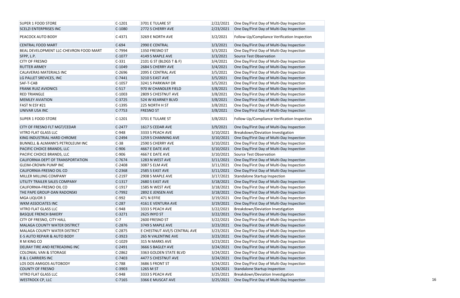| <b>SUPER 1 FOOD STORE</b>                   | $C-1201$ | 3701 E TULARE ST             | 2/22/2021 | One Day/First Day of Multi-Day Inspection           |
|---------------------------------------------|----------|------------------------------|-----------|-----------------------------------------------------|
| <b>SCELZI ENTERPRISES INC</b>               | $C-1080$ | 2772 S CHERRY AVE            | 2/23/2021 | One Day/First Day of Multi-Day Inspection           |
| PEACOCK AUTO BODY                           | $C-4371$ | 3269 E NORTH AVE             | 3/2/2021  | Follow-Up/Compliance Verification Inspection        |
| <b>CENTRAL FOOD MART</b>                    | $C-694$  | 2990 E CENTRAL               | 3/3/2021  | One Day/First Day of Multi-Day Inspection           |
| BEAL DEVELOPMENT LLC-CHEVRON FOOD MART      | C-7994   | 1350 FRESNO ST               | 3/3/2021  | One Day/First Day of Multi-Day Inspection           |
| SFPP, L.P.                                  | $C-1077$ | 4149 S MAPLE AVE             | 3/3/2021  | Source Test Observation                             |
| <b>CITY OF FRESNO</b>                       | $C-331$  | 2101 G ST (BLDGS T & F)      | 3/4/2021  | One Day/First Day of Multi-Day Inspection           |
| <b>RUTTER ARMEY</b>                         | $C-1049$ | 2684 S CHERRY AVE            | 3/4/2021  | One Day/First Day of Multi-Day Inspection           |
| CALAVERAS MATERIALS INC                     | $C-2696$ | 2095 E CENTRAL AVE           | 3/5/2021  | One Day/First Day of Multi-Day Inspection           |
| LG PALLET SREVICES, INC                     | $C-7441$ | 3210 S EAST AVE              | 3/5/2021  | One Day/First Day of Multi-Day Inspection           |
| SAF-T-CAB                                   | $C-1057$ | 3241 S PARKWAY DR            | 3/5/2021  | One Day/First Day of Multi-Day Inspection           |
| <b>FRANK RUIZ AVIONICS</b>                  | $C-517$  | 970 W CHANDLER FIELD         | 3/8/2021  | One Day/First Day of Multi-Day Inspection           |
| <b>RED TRIANGLE</b>                         | $C-1003$ | 2809 S CHESTNUT AVE          | 3/8/2021  | One Day/First Day of Multi-Day Inspection           |
| <b>MEMLEY AVIATION</b>                      | $C-3725$ | 524 W KEARNEY BLVD           | 3/8/2021  | One Day/First Day of Multi-Day Inspection           |
| FAST N ESY #21                              | $C-1395$ | 225 NORTH H ST               | 3/8/2021  | One Day/First Day of Multi-Day Inspection           |
| UNIVAR USA INC                              | $C-7753$ | <b>FRESNO ST</b>             | 3/8/2021  | One Day/First Day of Multi-Day Inspection           |
| <b>SUPER 1 FOOD STORE</b>                   | $C-1201$ | 3701 E TULARE ST             | 3/8/2021  | Follow-Up/Compliance Verification Inspection        |
| CITY OF FRESNO FLT MGT/CEDAR                | $C-2477$ | 1617 S CEDAR AVE             | 3/9/2021  | One Day/First Day of Multi-Day Inspection           |
| <b>VITRO FLAT GLASS LLC</b>                 | $C-948$  | 3333 S PEACH AVE             | 3/10/2021 | Breakdown/Deviation Investigation                   |
| KING INDUSTRIAL HARD CHROME                 | $C-2494$ | 1259 S CHANNING AVE          | 3/10/2021 | One Day/First Day of Multi-Day Inspection           |
| <b>BUNNELL &amp; ALMANN'S PETROLEUM INC</b> | $C-38$   | 2590 S CHERRY AVE            | 3/10/2021 | One Day/First Day of Multi-Day Inspection           |
| PACIFIC CHOICE BRANDS, LLC                  | $C-906$  | 4667 E DATE AVE              | 3/10/2021 | One Day/First Day of Multi-Day Inspection           |
| PACIFIC CHOICE BRANDS, LLC                  | $C-906$  | 4667 E DATE AVE              | 3/10/2021 | Source Test Observation                             |
| CALIFORNIA DEPT OF TRANSPORTATION           | $C-7674$ | 1283 N WEST AVE              | 3/11/2021 | One Day/First Day of Multi-Day Inspection           |
| <b>GLEIM-CROWN PUMP INC</b>                 | $C-2408$ | 3087 S ELM AVE               | 3/11/2021 | One Day/First Day of Multi-Day Inspection           |
| CALIFORNIA-FRESNO OIL CO                    | $C-2368$ | 2585 S EAST AVE              |           | 3/11/2021 One Day/First Day of Multi-Day Inspection |
| MILLER MILLING COMPANY                      | $C-2197$ | 2908 S MAPLE AVE             | 3/17/2021 | Standalone Startup Inspection                       |
| UTILITY TRAILER SALES COMPANY               | $C-1317$ | 2680 S EAST AVE              | 3/18/2021 | One Day/First Day of Multi-Day Inspection           |
| CALIFORNIA-FRESNO OIL CO                    | $C-1917$ | 1585 N WEST AVE              | 3/18/2021 | One Day/First Day of Multi-Day Inspection           |
| THE PAPE GROUP-DAN RADONSKI                 | C-7992   | 2892 E JENSEN AVE            | 3/18/2021 | One Day/First Day of Multi-Day Inspection           |
| MGA LIQUOR 3                                | $C-992$  | 471 N EFFIE                  | 3/19/2021 | One Day/First Day of Multi-Day Inspection           |
| WKM ASSOCIATES INC                          | $C-287$  | 4161 E VENTURA AVE           | 3/19/2021 | One Day/First Day of Multi-Day Inspection           |
| <b>VITRO FLAT GLASS LLC</b>                 | $C-948$  | 3333 S PEACH AVE             | 3/22/2021 | Breakdown/Deviation Investigation                   |
|                                             |          |                              |           |                                                     |
| <b>BASQUE FRENCH BAKERY</b>                 | $C-3271$ | <b>2625 INYO ST</b>          | 3/22/2021 | One Day/First Day of Multi-Day Inspection           |
| CITY OF FRESNO, CITY HALL                   | $C-7$    | 2600 FRESNO ST               | 3/22/2021 | One Day/First Day of Multi-Day Inspection           |
| MALAGA COUNTY WATER DISTRICT                | $C-2876$ | 3749 S MAPLE AVE             | 3/23/2021 | One Day/First Day of Multi-Day Inspection           |
| <b>MALAGA COUNTY WATER DISTRICT</b>         | $C-2875$ | E CHESTNUT AVE/S CENTRAL AVE | 3/23/2021 | One Day/First Day of Multi-Day Inspection           |
| E-S AUTO REPAIR & AUTO BODY                 | $C-3923$ | <b>265 N VALENTINE AVE</b>   | 3/23/2021 | One Day/First Day of Multi-Day Inspection           |
| R M KING CO                                 | $C-1029$ | 315 N MARKS AVE              | 3/23/2021 | One Day/First Day of Multi-Day Inspection           |
| DELRAY TIRE AND RETREADING INC              | $C-2491$ | 3666 S BAGLEY AVE            | 3/24/2021 | One Day/First Day of Multi-Day Inspection           |
| <b>COLONIAL VAN &amp; STORAGE</b>           | $C-2862$ | 3363 GOLDEN STATE BLVD       | 3/24/2021 | One Day/First Day of Multi-Day Inspection           |
| R & L CARRIERS INC                          | $C-7403$ | 4477 S CHESTNUT AVE          | 3/24/2021 | One Day/First Day of Multi-Day Inspection           |
| LOS DOS AMIGOS AUTOBODY                     | $C-788$  | 3686 S FRONT ST              | 3/24/2021 | One Day/First Day of Multi-Day Inspection           |
| <b>COUNTY OF FRESNO</b>                     | $C-3903$ | 1265 M ST                    | 3/24/2021 | <b>Standalone Startup Inspection</b>                |
| <b>VITRO FLAT GLASS LLC</b>                 | $C-948$  | 3333 S PEACH AVE             | 3/25/2021 | Breakdown/Deviation Investigation                   |
| <b>WESTROCK CP, LLC</b>                     | $C-7165$ | 3366 E MUSCAT AVE            | 3/25/2021 | One Day/First Day of Multi-Day Inspection           |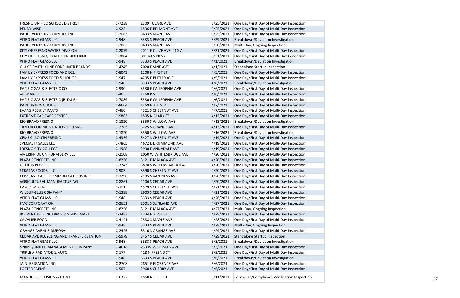| <b>FRESNO UNIFIED SCHOOL DISTRICT</b>    | $C-7238$ | 2309 TULARE AVE         | 3/25/2021 | One Day/First Day of Multi-Day Inspection           |
|------------------------------------------|----------|-------------------------|-----------|-----------------------------------------------------|
| <b>PENNY WISE</b>                        | $C-923$  | 1536 E BELMONT AVE      |           | 3/25/2021 One Day/First Day of Multi-Day Inspection |
| PAUL EVERT'S RV COUNTRY, INC.            | $C-2063$ | 3633 S MAPLE AVE        | 3/25/2021 | One Day/First Day of Multi-Day Inspection           |
| <b>VITRO FLAT GLASS LLC</b>              | $C-948$  | 3333 S PEACH AVE        | 3/29/2021 | Breakdown/Deviation Investigation                   |
| PAUL EVERT'S RV COUNTRY, INC.            | $C-2063$ | 3633 S MAPLE AVE        | 3/30/2021 | Multi-Day, Ongoing Inspection                       |
| CITY OF FRESNO WATER DIVISION            | C-2079   | 2011 E OLIVE AVE, #10-A | 3/31/2021 | One Day/First Day of Multi-Day Inspection           |
| CITY OF FRESNO, TRAFFIC ENGINEERING      | $C-3884$ | 801 VAN NESS            | 3/31/2021 | One Day/First Day of Multi-Day Inspection           |
| VITRO FLAT GLASS LLC                     | $C-948$  | 3333 S PEACH AVE        | 4/1/2021  | Breakdown/Deviation Investigation                   |
| <b>GLAXO SMITH KLINE CONSUMER BRANDS</b> | $C-4245$ | <b>2020 E VINE AVE</b>  | 4/1/2021  | Standalone Startup Inspection                       |
| FAMILY EXPRESS FOOD AND DELI             | C-8043   | 1208 N FIRST ST         | 4/5/2021  | One Day/First Day of Multi-Day Inspection           |
| <b>FAMILY EXPRESS FOOD &amp; LIQUOR</b>  | $C-947$  | 4205 E BUTLER AVE       | 4/5/2021  | One Day/First Day of Multi-Day Inspection           |
| VITRO FLAT GLASS LLC                     | $C-948$  | 3333 S PEACH AVE        | 4/6/2021  | Breakdown/Deviation Investigation                   |
| PACIFIC GAS & ELECTRIC CO                | $C-930$  | 3530 E CALIFORNIA AVE   | 4/6/2021  | One Day/First Day of Multi-Day Inspection           |
| <b>ABBY ARCO</b>                         | $C-46$   | 1460 P ST               | 4/6/2021  | One Day/First Day of Multi-Day Inspection           |
| PACIFIC GAS & ELECTRIC (BLDG B)          | $C-7089$ | 3580 E CALIFORNIA AVE   | 4/6/2021  | One Day/First Day of Multi-Day Inspection           |
| PAINT INNOVATIONS                        | C-8664   | 1469 N THESTA           | 4/7/2021  | One Day/First Day of Multi-Day Inspection           |
| <b>EVANS REBUILT PARTS</b>               | $C-460$  | 4321 S CHESTNUT AVE     | 4/7/2021  | One Day/First Day of Multi-Day Inspection           |
| <b>EXTREME CAR CARE CENTER</b>           | C-9863   | 1505 N CLARK ST         | 4/12/2021 | One Day/First Day of Multi-Day Inspection           |
| <b>RIO BRAVO FRESNO</b>                  | $C-1820$ | 3350 S WILLOW AVE       | 4/13/2021 | Breakdown/Deviation Investigation                   |
| TAYLOR COMMUNICATIONS-FRESNO             | $C-2783$ | 3225 S ORANGE AVE       | 4/13/2021 | One Day/First Day of Multi-Day Inspection           |
| <b>RIO BRAVO FRESNO</b>                  | $C-1820$ | 3350 S WILLOW AVE       | 4/16/2021 | Breakdown/Deviation Investigation                   |
| <b>CEMEX - SOUTH FRESNO</b>              | $C-4339$ | 3427 S CHESTNUT AVE     | 4/19/2021 | One Day/First Day of Multi-Day Inspection           |
| <b>SPECIALTY SALES LLC</b>               | $C-7865$ | 4672 E DRUMMOND AVE     | 4/19/2021 | One Day/First Day of Multi-Day Inspection           |
| <b>FRESNO CITY COLLEGE</b>               | C-1988   | 2930 E ANNADALE AVE     | 4/19/2021 | One Day/First Day of Multi-Day Inspection           |
| <b>AMERIPRIDE UNIFORM SERVICES</b>       | $C-2108$ | 1050 W WHITESBRIDGE AVE | 4/20/2021 | One Day/First Day of Multi-Day Inspection           |
| PLAZA CONCRETE INC.                      | C-8256   | 3121 E MALAGA AVE       |           | 4/20/2021 One Day/First Day of Multi-Day Inspection |
| <b>GOULDS PUMPS</b>                      | $C-3743$ | 3878 S WILLOW AVE #104  | 4/20/2021 | One Day/First Day of Multi-Day Inspection           |
| <b>STRATAS FOODS, LLC</b>                | $C-903$  | 3390 S CHESTNUT AVE     | 4/20/2021 | One Day/First Day of Multi-Day Inspection           |
| COMCAST CABLE COMMUNICATIONS INC         | $C-3296$ | 2105 S VAN NESS AVE     | 4/20/2021 | One Day/First Day of Multi-Day Inspection           |
| AGRICULTURAL MANUFACTURING               | C-8861   | 4106 S CEDAR AVE        | 4/20/2021 | One Day/First Day of Multi-Day Inspection           |
| <b>KASCO FAB, INC</b>                    | $C-711$  | 4529 S CHESTNUT AVE     | 4/21/2021 | One Day/First Day of Multi-Day Inspection           |
| <b>WILBUR-ELLIS COMPANY</b>              | $C-1398$ | 2903 S CEDAR AVE        | 4/21/2021 | One Day/First Day of Multi-Day Inspection           |
| <b>VITRO FLAT GLASS LLC</b>              | $C-948$  | 3333 S PEACH AVE        | 4/26/2021 | One Day/First Day of Multi-Day Inspection           |
| <b>FMC CORPORATION</b>                   | $C-2651$ | 2501 S SUNLAND AVE      | 4/27/2021 | One Day/First Day of Multi-Day Inspection           |
| PLAZA CONCRETE INC.                      | $C-8256$ | 3121 E MALAGA AVE       | 4/27/2021 | Multi-Day, Ongoing Inspection                       |
| JKR VENTURES INC DBA R & S MINI MART     | C-3483   | 1334 N FIRST ST         | 4/28/2021 | One Day/First Day of Multi-Day Inspection           |
| <b>CAVALIER FOOD</b>                     | $C-4141$ | 2588 S MAPLE AVE        | 4/28/2021 | One Day/First Day of Multi-Day Inspection           |
| VITRO FLAT GLASS LLC                     | $C-948$  | 3333 S PEACH AVE        | 4/28/2021 | Multi-Day, Ongoing Inspection                       |
| ORANGE AVENUE DISPOSAL                   | $C-2425$ | 3510 S ORANGE AVE       | 4/29/2021 | One Day/First Day of Multi-Day Inspection           |
| CEDAR AVE RECYCLING AND TRANSFER STATION | C-5979   | 3457 S CEDAR AVE        | 4/29/2021 | Standalone Startup Inspection                       |
| <b>VITRO FLAT GLASS LLC</b>              | $C-948$  | 3333 S PEACH AVE        | 5/3/2021  | Breakdown/Deviation Investigation                   |
| SPRINT/UNITED MANAGEMENT COMPANY         | $C-4018$ | 233 W VOORMAN AVE       | 5/3/2021  | One Day/First Day of Multi-Day Inspection           |
| TRIPLE A RADIATOR & AUTO                 | $C-177$  | 418 N FRESNO ST         | 5/5/2021  | One Day/First Day of Multi-Day Inspection           |
| VITRO FLAT GLASS LLC                     | $C-948$  | 3333 S PEACH AVE        | 5/6/2021  | Breakdown/Deviation Investigation                   |
| <b>JAIN IRRIGATION INC</b>               | $C-2708$ | 2851 E FLORENCE AVE     | 5/6/2021  | One Day/First Day of Multi-Day Inspection           |
| <b>FOSTER FARMS</b>                      | $C-507$  | 2960 S CHERRY AVE       | 5/6/2021  | One Day/First Day of Multi-Day Inspection           |
|                                          |          |                         |           |                                                     |
| <b>MANDO'S COLLISION &amp; PAINT</b>     | $C-6327$ | 1560 N EFFIE ST         | 5/11/2021 | Follow-Up/Compliance Verification Inspection        |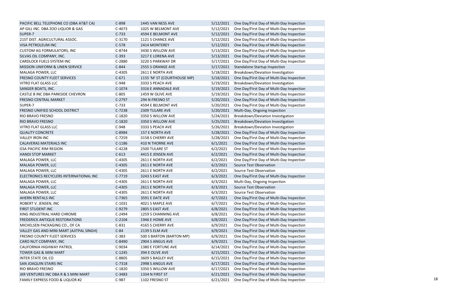| PACIFIC BELL TELEPHONE CO (DBA AT&T CA)    | $C-898$  | 1445 VAN NESS AVE           |           | 5/12/2021 One Day/First Day of Multi-Day Inspection |
|--------------------------------------------|----------|-----------------------------|-----------|-----------------------------------------------------|
| AP GILL INC. DBA ZOO LIQUOR & GAS          | $C-4073$ | 1025 W BELMONT AVE          | 5/12/2021 | One Day/First Day of Multi-Day Inspection           |
| SUPER-7                                    | $C-733$  | 4594 E BELMONT AVE          | 5/12/2021 | One Day/First Day of Multi-Day Inspection           |
| 21ST DIST. AGRICULTURAL ASSOC.             | $C-3170$ | 1121 S CHANCE AVE           | 5/12/2021 | One Day/First Day of Multi-Day Inspection           |
| <b>VISA PETROLEUM INC</b>                  | $C-578$  | 2414 MONTEREY               | 5/12/2021 | One Day/First Day of Multi-Day Inspection           |
| <b>CUSTOM AG FORMULATORS, INC</b>          | $C-8744$ | 3430 S WILLOW AVE           | 5/13/2021 | One Day/First Day of Multi-Day Inspection           |
| SILVAS OIL COMPANY, INC.                   | $C-393$  | 3217 E LORENA AVE           | 5/13/2021 | One Day/First Day of Multi-Day Inspection           |
| <b>CARDLOCK FUELS SYSTEM INC</b>           | $C-2880$ | 3220 S PARKWAY DR           | 5/17/2021 | One Day/First Day of Multi-Day Inspection           |
| MISSION UNIFORM & LINEN SERVICE            | $C-844$  | 2555 S ORANGE AVE           | 5/17/2021 | Standalone Startup Inspection                       |
| MALAGA POWER, LLC                          | $C-4305$ | 2611 E NORTH AVE            | 5/18/2021 | Breakdown/Deviation Investigation                   |
| <b>FRESNO COUNTY FLEET SERVICES</b>        | $C-671$  | 1155 'M' ST (COURTHOUSE MP) | 5/18/2021 | One Day/First Day of Multi-Day Inspection           |
| <b>VITRO FLAT GLASS LLC</b>                | $C-948$  | 3333 S PEACH AVE            | 5/19/2021 | Breakdown/Deviation Investigation                   |
| <b>SANGER BOATS, INC.</b>                  | $C-1074$ | 3316 E ANNADALE AVE         | 5/19/2021 | One Day/First Day of Multi-Day Inspection           |
| CASTLE B INC DBA PARKSIDE CHEVRON          | $C-805$  | 1459 W OLIVE AVE            | 5/19/2021 | One Day/First Day of Multi-Day Inspection           |
| FRESNO CENTRAL MARKET                      | $C-2797$ | 294 N FRESNO ST             | 5/20/2021 | One Day/First Day of Multi-Day Inspection           |
| SUPER-7                                    | $C-733$  | 4594 E BELMONT AVE          | 5/20/2021 | One Day/First Day of Multi-Day Inspection           |
| FRESNO UNIFIED SCHOOL DISTRICT             | $C-7238$ | 2309 TULARE AVE             | 5/20/2021 | Multi-Day, Ongoing Inspection                       |
| <b>RIO BRAVO FRESNO</b>                    | $C-1820$ | 3350 S WILLOW AVE           | 5/24/2021 | Breakdown/Deviation Investigation                   |
| RIO BRAVO FRESNO                           | $C-1820$ | 3350 S WILLOW AVE           | 5/25/2021 | Breakdown/Deviation Investigation                   |
| <b>VITRO FLAT GLASS LLC</b>                | $C-948$  | 3333 S PEACH AVE            | 5/26/2021 | Breakdown/Deviation Investigation                   |
| <b>QUALITY CONCRETE</b>                    | C-8984   | 157 E NORTH AVE             | 5/28/2021 | One Day/First Day of Multi-Day Inspection           |
| <b>VALLEY IRON INC</b>                     | $C-7259$ | 3158 S CHERRY AVE           | 5/28/2021 | One Day/First Day of Multi-Day Inspection           |
| CALAVERAS MATERIALS INC                    | $C-1186$ | 410 N THORNE AVE            | 6/1/2021  | One Day/First Day of Multi-Day Inspection           |
| <b>GSA PACIFIC RIM REGION</b>              | $C-4228$ | 2500 TULARE ST              | 6/2/2021  | One Day/First Day of Multi-Day Inspection           |
| <b>HANDI STOP MARKET</b>                   | $C-613$  | 4415 E JENSEN AVE           | 6/2/2021  | One Day/First Day of Multi-Day Inspection           |
| MALAGA POWER, LLC                          | $C-4305$ | 2611 E NORTH AVE            | 6/2/2021  | One Day/First Day of Multi-Day Inspection           |
| MALAGA POWER, LLC                          | $C-4305$ | 2611 E NORTH AVE            | 6/2/2021  | Source Test Observation                             |
| MALAGA POWER, LLC                          | $C-4305$ | 2611 E NORTH AVE            | 6/2/2021  | Source Test Observation                             |
| ELECTRONICS RECYCLERS INTERNATIONAL INC    | $C-7719$ | 3243 S EAST AVE             | 6/3/2021  | One Day/First Day of Multi-Day Inspection           |
| MALAGA POWER, LLC                          | $C-4305$ | 2611 E NORTH AVE            | 6/3/2021  | Multi-Day, Ongoing Inspection                       |
| MALAGA POWER, LLC                          | $C-4305$ | 2611 E NORTH AVE            | 6/3/2021  | Source Test Observation                             |
| MALAGA POWER, LLC                          | $C-4305$ | 2611 E NORTH AVE            | 6/3/2021  | Source Test Observation                             |
| AHERN RENTALS INC                          | $C-7365$ | 3591 E DATE AVE             | 6/7/2021  | One Day/First Day of Multi-Day Inspection           |
| ROBERT V. JENSEN, INC                      | $C-1031$ | 4021 S MAPLE AVE            | 6/7/2021  | One Day/First Day of Multi-Day Inspection           |
| FIRST STUDENT INC                          | C-9279   | 2805 S EAST AVE             | 6/8/2021  | One Day/First Day of Multi-Day Inspection           |
| KING INDUSTRIAL HARD CHROME                | $C-2494$ | 1259 S CHANNING AVE         | 6/8/2021  | One Day/First Day of Multi-Day Inspection           |
| FREDERICK ANTIQUE RESTORATIONS             | $C-2104$ | 1946 E HOME AVE             | 6/8/2021  | One Day/First Day of Multi-Day Inspection           |
| MICHELSEN PACKAGING CO., OF CA             | $C-831$  | 4165 S CHERRY AVE           | 6/9/2021  | One Day/First Day of Multi-Day Inspection           |
| VALLEY GAS AND MINI MART (AJITPAL SINGH)   | $C-84$   | <b>2139 S ELM AVE</b>       | 6/9/2021  | One Day/First Day of Multi-Day Inspection           |
| <b>FRESNO COUNTY FLEET SERVICES</b>        | $C-383$  | 500 S BARTON (BARTON MP)    | 6/9/2021  | One Day/First Day of Multi-Day Inspection           |
| CARO NUT COMPANY, INC                      | C-8490   | 2904 S ANGUS AVE            | 6/9/2021  | One Day/First Day of Multi-Day Inspection           |
| <b>CALIFORNIA HIGHWAY PATROL</b>           | $C-9034$ | 1380 E FORTUNE AVE          | 6/14/2021 | One Day/First Day of Multi-Day Inspection           |
|                                            |          |                             |           |                                                     |
| <b>TOWER GAS &amp; MINI MART</b>           | $C-1245$ | 394 E OLIVE AVE             | 6/15/2021 | One Day/First Day of Multi-Day Inspection           |
| <b>INTER STATE OIL CO</b>                  | $C-8805$ | 3609 S BAGLEY AVE           | 6/15/2021 | One Day/First Day of Multi-Day Inspection           |
| SAN JOAQUIN STAIRS INC                     | $C-7318$ | 2998 S ANGUS AVE            | 6/17/2021 | One Day/First Day of Multi-Day Inspection           |
| <b>RIO BRAVO FRESNO</b>                    | $C-1820$ | 3350 S WILLOW AVE           | 6/17/2021 | One Day/First Day of Multi-Day Inspection           |
| JKR VENTURES INC DBA R & S MINI MART       | $C-3483$ | 1334 N FIRST ST             | 6/21/2021 | One Day/First Day of Multi-Day Inspection           |
| <b>FAMILY EXPRESS FOOD &amp; LIQUOR #2</b> | $C-987$  | 1102 FRESNO ST              | 6/21/2021 | One Day/First Day of Multi-Day Inspection           |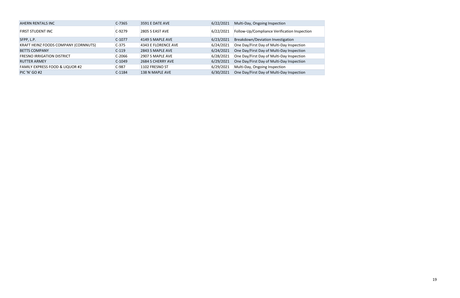| AHERN RENTALS INC                           | $C-7365$ | 3591 E DATE AVE     | 6/22/2021 | Multi-Day, Ongoing Inspection                |
|---------------------------------------------|----------|---------------------|-----------|----------------------------------------------|
| FIRST STUDENT INC                           | $C-9279$ | 2805 S EAST AVE     | 6/22/2021 | Follow-Up/Compliance Verification Inspection |
| SFPP, L.P.                                  | $C-1077$ | 4149 S MAPLE AVE    | 6/23/2021 | Breakdown/Deviation Investigation            |
| <b>KRAFT HEINZ FOODS COMPANY (CORNNUTS)</b> | $C-375$  | 4343 E FLORENCE AVE | 6/24/2021 | One Day/First Day of Multi-Day Inspection    |
| <b>BETTS COMPANY</b>                        | $C-119$  | 2843 S MAPLE AVE    | 6/24/2021 | One Day/First Day of Multi-Day Inspection    |
| <b>FRESNO IRRIGATION DISTRICT</b>           | $C-2066$ | 2907 S MAPLE AVE    | 6/28/2021 | One Day/First Day of Multi-Day Inspection    |
| <b>RUTTER ARMEY</b>                         | $C-1049$ | 2684 S CHERRY AVE   | 6/29/2021 | One Day/First Day of Multi-Day Inspection    |
| <b>FAMILY EXPRESS FOOD &amp; LIQUOR #2</b>  | $C-987$  | 1102 FRESNO ST      | 6/29/2021 | Multi-Day, Ongoing Inspection                |
| <b>PIC 'N' GO #2</b>                        | $C-1184$ | 138 N MAPLE AVE     | 6/30/2021 | One Day/First Day of Multi-Day Inspection    |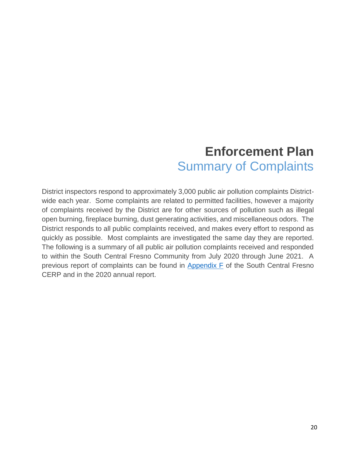## **Enforcement Plan**  Summary of Complaints

District inspectors respond to approximately 3,000 public air pollution complaints Districtwide each year. Some complaints are related to permitted facilities, however a majority of complaints received by the District are for other sources of pollution such as illegal open burning, fireplace burning, dust generating activities, and miscellaneous odors. The District responds to all public complaints received, and makes every effort to respond as quickly as possible. Most complaints are investigated the same day they are reported. The following is a summary of all public air pollution complaints received and responded to within the South Central Fresno Community from July 2020 through June 2021. A previous report of complaints can be found in [Appendix F](http://community.valleyair.org/media/1507/12-scfresno_appf_enforcementplan.pdf) of the South Central Fresno CERP and in the 2020 annual report.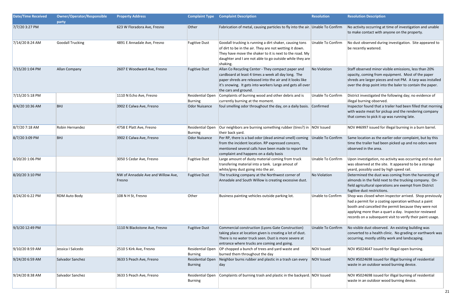| <b>Date/Time Received</b> | <b>Owner/Operator/Responsible</b><br>party | <b>Property Address</b>                      |                                           | <b>Complaint Type Complaint Description</b>                                                                                                                                                                                                                 | <b>Resolution</b>        | <b>Resolution Description</b>                                                                                                                                                                                                                                                                 |
|---------------------------|--------------------------------------------|----------------------------------------------|-------------------------------------------|-------------------------------------------------------------------------------------------------------------------------------------------------------------------------------------------------------------------------------------------------------------|--------------------------|-----------------------------------------------------------------------------------------------------------------------------------------------------------------------------------------------------------------------------------------------------------------------------------------------|
| 7/7/20 3:27 PM            |                                            | 623 W Floradora Ave, Fresno                  | Other                                     | Fabrication of metal, causing particles to fly into the air. Unable To Confirm                                                                                                                                                                              |                          | No activity occurring at time of investigation and unable<br>to make contact with anyone on the property.                                                                                                                                                                                     |
| 7/14/20 8:24 AM           | <b>Goodall Trucking</b>                    | 4891 E Annadale Ave, Fresno                  | <b>Fugitive Dust</b>                      | Goodall trucking is running a dirt shaker, causing tons<br>of dirt to be in the air. They are not wetting it down.<br>They have move the shaker to it is next to the road. My<br>daughter and I are not able to go outside while they are<br>shaking.       | Unable To Confirm        | No dust observed during investigation. Site appeared to<br>be recently watered.                                                                                                                                                                                                               |
| 7/15/20 1:04 PM           | Allan Company                              | 2607 E Woodward Ave, Fresno                  | <b>Fugitive Dust</b>                      | Allan Co Recycling Center - They compact paper and<br>cardboard at least 4 times a week all day long. The<br>paper shreds are released into the air and it looks like<br>it's snowing. It gets into workers lungs and gets all over<br>the cars and ground. | No Violation             | Staff observed minor visible emissions, less than 20%<br>opacity, coming from equipment. Most of the paper<br>shreds are larger pieces and not PM. A tarp was installed<br>over the drop point into the baler to contain the paper.                                                           |
| 7/15/20 5:18 PM           |                                            | 1110 N Echo Ave, Fresno                      | Residential Open<br>Burning               | Complaints of burning wood and other debris and is<br>currently burning at the moment.                                                                                                                                                                      | Unable To Confirm        | District investigated the following day; no evidence of<br>illegal burning observed.                                                                                                                                                                                                          |
| 8/4/20 10:36 AM           | <b>BHJ</b>                                 | 3902 E Calwa Ave, Fresno                     | Odor Nuisance                             | foul smelling odor throughout the day, on a daily basis. Confirmed                                                                                                                                                                                          |                          | Inspector found that a trailer had been filled that morning<br>with waste meat for pickup and the rendering company<br>that comes to pick it up was running late.                                                                                                                             |
| 8/7/20 7:18 AM            | Robin Hernandez                            | 4758 E Platt Ave, Fresno                     | Residential Open<br>Burning               | Our neighbors are burning something rubber (tires?) in NOV Issued<br>their back yard.                                                                                                                                                                       |                          | NOV #46997 issued for illegal burning in a burn barrel.                                                                                                                                                                                                                                       |
| 8/7/20 3:09 PM            | <b>BHJ</b>                                 | 3902 E Calwa Ave, Fresno                     | Odor Nuisance                             | Per RP, there is a bad odor (dead animal smell) coming Unable To Confirm<br>from the incident location. RP expressed concern,<br>mentioned several calls have been made to report the<br>complaint and happens on a daily basis                             |                          | Same location as the earlier odor complaint, but by this<br>time the trailer had been picked up and no odors were<br>observed in the area.                                                                                                                                                    |
| 8/20/20 1:06 PM           |                                            | 3050 S Cedar Ave, Fresno                     | <b>Fugitive Dust</b>                      | Large amount of dusty material coming from truck<br>transfering material into a tank. Large amout of<br>white/grey dust going into the air.                                                                                                                 | Unable To Confirm        | Upon investigation, no activity was occurring and no dust<br>was observed at the site. It appeared to be a storage<br>yeard, possibly used by high speed rail.                                                                                                                                |
| 8/20/20 3:10 PM           |                                            | NW of Annadale Ave and Willow Ave,<br>Fresno | <b>Fugitive Dust</b>                      | The trucking company at the Northwest corner of<br>Annadale and South Willow is creating excessive dust.                                                                                                                                                    | No Violation             | Determined the dust was coming from the harvesting of<br>almonds in the field next to the trucking company. On-<br>field agricultural operations are exempt from District<br>fugitive dust restrictions.                                                                                      |
| 8/24/20 6:22 PM           | RDM Auto Body                              | 108 N H St, Fresno                           | Other                                     | Business painting vehicles outside parking lot.                                                                                                                                                                                                             | <b>Unable to Confirm</b> | Shop was closed when inspector arrived. Shop previously<br>had a permit for a coating operation without a paint<br>booth and cancelled the permit because they were not<br>applying more than a quart a day. Inspector reviewed<br>records on a subsequent visit to verify their paint usage. |
| 9/3/20 12:49 PM           |                                            | 1110 N Blackstone Ave, Fresno                | <b>Fugitive Dust</b>                      | Commercial construction (Lyons Gate Construction)<br>taking place at location given is creating a lot of dust.<br>There is no water truck seen. Dust is more severe at<br>entrance where trucks are coming and going.                                       | <b>Unable To Confirm</b> | No visible dust observed. An existing building was<br>converted to a health clinic. No grading or earthwork was<br>occurring, mostly utility work and landscaping.                                                                                                                            |
| 9/10/20 8:59 AM           | Jessica I Salcedo                          | 2510 S Kirk Ave, Fresno                      | <b>Residential Open</b><br><b>Burning</b> | OP chopped a bunch of trees and yard waste and<br>burned them throughout the day                                                                                                                                                                            | NOV Issued               | NOV #5024647 issued for illegal open burning.                                                                                                                                                                                                                                                 |
| 9/24/20 6:59 AM           | Salvador Sanchez                           | 3633 S Peach Ave, Fresno                     | <b>Residential Open</b><br><b>Burning</b> | Neighbor burns rubber and plastic in a trash can every<br>day                                                                                                                                                                                               | NOV Issued               | NOV #5024698 issued for illigal burning of residential<br>waste in an outdoor wood burning device.                                                                                                                                                                                            |
| 9/24/20 8:38 AM           | Salvador Sanchez                           | 3633 S Peach Ave, Fresno                     | <b>Residential Open</b><br>Burning        | Complaints of burning trash and plastic in the backyard. NOV Issued                                                                                                                                                                                         |                          | NOV #5024698 issued for illigal burning of residential<br>waste in an outdoor wood burning device.                                                                                                                                                                                            |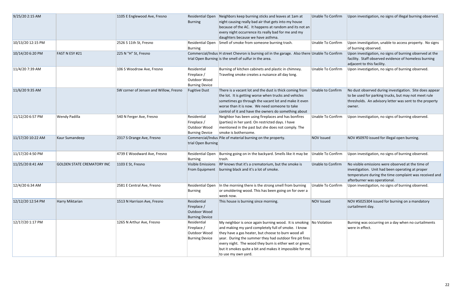| 9/25/20 2:15 AM   |                                   | 1105 E Englewood Ave, Fresno           | <b>Residential Open</b><br><b>Burning</b>                           | Neighbors keep burning sticks and leaves at 1am at<br>night causing really bad air that gets into my house<br>because of the AC. It happens at random and its not an<br>every night occurrence its really bad for me and my                                                                                                                                                                  | <b>Unable To Confirm</b> | Upon investigation, no signs of illegal burning observed.                                                                                                                                       |
|-------------------|-----------------------------------|----------------------------------------|---------------------------------------------------------------------|----------------------------------------------------------------------------------------------------------------------------------------------------------------------------------------------------------------------------------------------------------------------------------------------------------------------------------------------------------------------------------------------|--------------------------|-------------------------------------------------------------------------------------------------------------------------------------------------------------------------------------------------|
| 10/13/20 12:15 PM |                                   | 2526 S 11th St, Fresno                 | Residential Open<br>Burning                                         | daughters because we have asthma.<br>Smell of smoke from someone burning trash.                                                                                                                                                                                                                                                                                                              | Unable To Confirm        | Upon investigation, unable to access property. No signs<br>of burning observed.                                                                                                                 |
| 10/14/20 6:20 PM  | <b>FAST N ESY #21</b>             | 225 N "H" St, Fresno                   |                                                                     | Commercial/Indus H street Chevron is burning oil in the garage. Also there Unable To Confirm<br>trial Open Burning is the smell of sulfur in the area.                                                                                                                                                                                                                                       |                          | Upon investigation, no signs of burning observed at the<br>facility. Staff observed evidence of homeless burning<br>adjacent to this facility.                                                  |
| 11/4/20 7:39 AM   |                                   | 106 S Woodrow Ave, Fresno              | Residential<br>Fireplace /<br>Outdoor Wood<br><b>Burning Device</b> | Burning of kitchen cabinets and plastic in chimney.<br>Traveling smoke creates a nuisance all day long.                                                                                                                                                                                                                                                                                      | Unable To Confirm        | Upon investigation, no signs of burning observed.                                                                                                                                               |
| 11/6/20 9:35 AM   |                                   | SW corner of Jensen and Willow, Fresno | <b>Fugitive Dust</b>                                                | There is a vacant lot and the dust is thick coming from<br>the lot. It is getting worse when trucks and vehicles<br>sometimes go through the vacant lot and make it even<br>worse than it is now. We need someone to take<br>control of it and have the owners do something about                                                                                                            | Unable to Confirm        | No dust observed during investigation. Site does appear<br>to be used for parking trucks, but may not meet rule<br>thresholds. An advisory letter was sent to the property<br>owner.            |
| 11/12/20 6:57 PM  | <b>Wendy Padilla</b>              | 540 N Ferger Ave, Fresno               | Residential<br>Fireplace /<br>Outdoor Wood<br><b>Burning Device</b> | Neighbor has been using fireplaces and has bonfires<br>(parties) in her yard. On restricted days. I have<br>mentioned in the past but she does not comply. The<br>smoke is bothersome.                                                                                                                                                                                                       | Unable To Confirm        | Upon investigation, no signs of burning observed.                                                                                                                                               |
| 11/17/20 10:22 AM | Kaur Sumandeep                    | 2317 S Orange Ave, Fresno              | trial Open Burning                                                  | Commercial/Indus Pile of material burning on the property.                                                                                                                                                                                                                                                                                                                                   | <b>NOV Issued</b>        | NOV #50970 issued for illegal open burning.                                                                                                                                                     |
| 11/17/20 4:50 PM  |                                   | 4739 E Woodward Ave, Fresno            | Residential Open<br>Burning                                         | Burning going on in the backyard. Smells like it may be $\vert$ Unable To Confirm<br>ltrash.                                                                                                                                                                                                                                                                                                 |                          | Upon investigation, no signs of burning observed.                                                                                                                                               |
| 11/25/20 8:41 AM  | <b>GOLDEN STATE CREMATORY INC</b> | 1103 E St, Fresno                      |                                                                     | Visible Emissions RP knows that it's a crematorium, but the smoke is<br>From Equipment   burning black and it's a lot of smoke.                                                                                                                                                                                                                                                              | Unable to Confirm        | No visible emissions were observed at the time of<br>investigation. Unit had been operating at proper<br>temperature during the time complaint was received and<br>afterburner was operational. |
| 12/4/20 6:34 AM   |                                   | 2581 E Central Ave, Fresno             | Residential Open<br>Burning                                         | In the morning there is the strong smell from burning<br>or smoldering wood. This has been going on for over a<br>week now.                                                                                                                                                                                                                                                                  | Unable To Confirm        | Upon investigation, no signs of burning observed.                                                                                                                                               |
| 12/12/20 12:54 PM | Harry Miktarian                   | 1513 N Harrison Ave, Fresno            | Residential<br>Fireplace /<br>Outdoor Wood<br><b>Burning Device</b> | This house is burning since morning.                                                                                                                                                                                                                                                                                                                                                         | <b>NOV Issued</b>        | NOV #5025304 issued for burning on a mandatory<br>curtailment day.                                                                                                                              |
| 12/17/20 1:17 PM  |                                   | 1265 N Arthur Ave, Fresno              | Residential<br>Fireplace /<br>Outdoor Wood<br><b>Burning Device</b> | My neighbor is once again burning wood. It is smoking No Violation<br>and making my yard completely full of smoke. I know<br>they have a gas heater, but choose to burn wood all<br>$ year.$ During the summer they had outdoor fire pit fires<br>every night. The wood they burn is either wet or green,<br>but it smokes quite a bit and makes it impossible for me<br>to use my own yard. |                          | Burning was occurring on a day when no curtailments<br>were in effect.                                                                                                                          |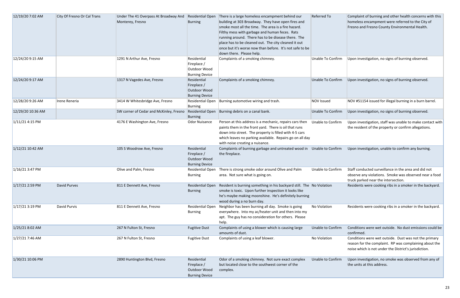| 12/19/20 7:02 AM  | City Of Fresno Or Cal Trans | Under The 41 Overpass At Broadway And<br>Monterey, Fresno | Residential Open<br>Burning                                         | There is a large homeless encampment behind our<br>building at 303 Broadway. They have open fires and<br>smoke most all the time. The area is a fire hazard.<br>Filthy mess with garbage and human feces. Rats<br>running around. There has to be disease there. The<br>place has to be cleaned out. The city cleaned it out<br>once but it's worse now than before. It's not safe to be<br>down there. Please help. | Referred To              | Complaint of burning and other health concerns with thi<br>homeless encampment were referred to the City of<br>Fresno and Fresno County Environmental Health.            |
|-------------------|-----------------------------|-----------------------------------------------------------|---------------------------------------------------------------------|----------------------------------------------------------------------------------------------------------------------------------------------------------------------------------------------------------------------------------------------------------------------------------------------------------------------------------------------------------------------------------------------------------------------|--------------------------|--------------------------------------------------------------------------------------------------------------------------------------------------------------------------|
| 12/24/20 9:15 AM  |                             | 1291 N Arthur Ave, Fresno                                 | Residential<br>Fireplace /<br>Outdoor Wood<br><b>Burning Device</b> | Complaints of a smoking chimney.                                                                                                                                                                                                                                                                                                                                                                                     | <b>Unable To Confirm</b> | Upon investigation, no signs of burning observed.                                                                                                                        |
| 12/24/20 9:17 AM  |                             | 1317 N Vagedes Ave, Fresno                                | Residential<br>Fireplace /<br>Outdoor Wood<br><b>Burning Device</b> | Complaints of a smoking chimney.                                                                                                                                                                                                                                                                                                                                                                                     | Unable To Confirm        | Upon investigation, no signs of burning observed.                                                                                                                        |
| 12/28/20 9:26 AM  | Irene Reneria               | 3414 W Whitesbridge Ave, Fresno                           | Residential Open<br><b>Burning</b>                                  | Burning automotive wiring and trash.                                                                                                                                                                                                                                                                                                                                                                                 | <b>NOV Issued</b>        | NOV #51154 issued for illegal burning in a burn barrel.                                                                                                                  |
| 12/29/20 10:36 AM |                             | SW corner of Cedar and McKinley, Fresno                   | Residential Open<br><b>Burning</b>                                  | Burning debris on a canal bank.                                                                                                                                                                                                                                                                                                                                                                                      | Unable To Confirm        | Upon investigation, no signs of burning observed.                                                                                                                        |
| 1/11/21 4:15 PM   |                             | 4176 E Washington Ave, Fresno                             | <b>Odor Nuisance</b>                                                | Person at this address is a mechanic, repairs cars then<br>paints them in the front yard. There is oil that runs<br>down into street. The property is filled with 4-5 cars<br>which leaves no parking available. Repairs go on all day<br>with noise creating a nuisance.                                                                                                                                            | Unable to Confirm        | Upon investigation, staff was unable to make contact wi<br>the resident of the property or confirm allegations.                                                          |
| 1/12/21 10:42 AM  |                             | 105 S Woodrow Ave, Fresno                                 | Residential<br>Fireplace /<br>Outdoor Wood<br><b>Burning Device</b> | Complaints of burning garbage and untreated wood in Unable to Confirm<br>the fireplace.                                                                                                                                                                                                                                                                                                                              |                          | Upon investigation, unable to confirm any burning.                                                                                                                       |
| $1/16/21$ 3:47 PM |                             | Olive and Palm, Fresno                                    | Residential Open<br><b>Burning</b>                                  | There is strong smoke odor around Olive and Palm<br>area. Not sure what is going on.                                                                                                                                                                                                                                                                                                                                 | Unable to Confirm        | Staff conducted surveillance in the area and did not<br>observe any violations. Smoke was observed near a foo<br>truck parked near the intersection.                     |
| 1/17/21 2:59 PM   | <b>David Purves</b>         | 811 E Dennett Ave, Fresno                                 | Residential Open<br><b>Burning</b>                                  | Resident is burning something in his backyard still. The No Violation<br>smoke is toxic. Upon further inspection it looks like<br>he's maybe making moonshine. He's definitely burning<br>wood during a no burn day.                                                                                                                                                                                                 |                          | Residents were cooking ribs in a smoker in the backyard                                                                                                                  |
| 1/17/21 3:19 PM   | David Purvis                | 811 E Dennett Ave, Fresno                                 | Residential Open<br><b>Burning</b>                                  | Neighbor has been burning all day. Smoke is going<br>everywhere. Into my ac/heater unit and then into my<br>apt. The guy has no consideration for others. Please<br>help.                                                                                                                                                                                                                                            | No Violation             | Residents were cooking ribs in a smoker in the backyard                                                                                                                  |
| 1/25/21 8:02 AM   |                             | 267 N Fulton St, Fresno                                   | <b>Fugitive Dust</b>                                                | Complaints of using a blower which is causing large<br>amounts of dust.                                                                                                                                                                                                                                                                                                                                              | Unable to Confirm        | Conditions were wet outside. No dust emissions could b<br>confirmed.                                                                                                     |
| $1/27/217:46$ AM  |                             | 267 N Fulton St, Fresno                                   | <b>Fugitive Dust</b>                                                | Complaints of using a leaf blower.                                                                                                                                                                                                                                                                                                                                                                                   | No Violation             | Conditions were wet outside. Dust was not the primary<br>reason for the complaint. RP was complaining about the<br>noise which is not under the District's jurisdiction. |
| 1/30/21 10:06 PM  |                             | 2890 Huntington Blvd, Fresno                              | Residential<br>Fireplace /<br>Outdoor Wood<br><b>Burning Device</b> | Odor of a smoking chimney. Not sure exact complex<br>but located close to the southwest corner of the<br>complex.                                                                                                                                                                                                                                                                                                    | Unable to Confirm        | Upon investigation, no smoke was observed from any of<br>the units at this address.                                                                                      |

| Referred To       | Complaint of burning and other health concerns with this<br>homeless encampment were referred to the City of<br>Fresno and Fresno County Environmental Health.           |
|-------------------|--------------------------------------------------------------------------------------------------------------------------------------------------------------------------|
| Unable To Confirm | Upon investigation, no signs of burning observed.                                                                                                                        |
| Unable To Confirm | Upon investigation, no signs of burning observed.                                                                                                                        |
| <b>NOV Issued</b> | NOV #51154 issued for illegal burning in a burn barrel.                                                                                                                  |
| Unable To Confirm | Upon investigation, no signs of burning observed.                                                                                                                        |
| Unable to Confirm | Upon investigation, staff was unable to make contact with<br>the resident of the property or confirm allegations.                                                        |
| Unable to Confirm | Upon investigation, unable to confirm any burning.                                                                                                                       |
| Unable to Confirm | Staff conducted surveillance in the area and did not<br>observe any violations. Smoke was observed near a food<br>truck parked near the intersection.                    |
| No Violation      | Residents were cooking ribs in a smoker in the backyard.                                                                                                                 |
| No Violation      | Residents were cooking ribs in a smoker in the backyard.                                                                                                                 |
| Unable to Confirm | Conditions were wet outside. No dust emissions could be<br>confirmed.                                                                                                    |
| No Violation      | Conditions were wet outside. Dust was not the primary<br>reason for the complaint. RP was complaining about the<br>noise which is not under the District's jurisdiction. |
| Unable to Confirm | Upon investigation, no smoke was observed from any of<br>the units at this address.                                                                                      |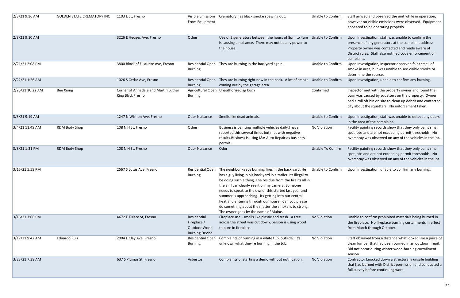| 2/3/21 9:16 AM   | <b>GOLDEN STATE CREMATORY INC</b> | 1103 E St, Fresno                                         | From Equipment                                                      | Visible Emissions Crematory has black smoke spewing out.                                                                                                                                                                                                                                                                                                                                                                                                                                                              | Unable to Confirm | Staff arrived and observed the unit while in operation,<br>however no visible emissions were observed. Equipment<br>appeared to be operating properly.                                                                                 |
|------------------|-----------------------------------|-----------------------------------------------------------|---------------------------------------------------------------------|-----------------------------------------------------------------------------------------------------------------------------------------------------------------------------------------------------------------------------------------------------------------------------------------------------------------------------------------------------------------------------------------------------------------------------------------------------------------------------------------------------------------------|-------------------|----------------------------------------------------------------------------------------------------------------------------------------------------------------------------------------------------------------------------------------|
| 2/8/21 9:10 AM   |                                   | 3226 E Hedges Ave, Fresno                                 | Other                                                               | Use of 2 generators between the hours of 8pm to 4am Unable to Confirm<br>is causing a nuisance. There may not be any power to<br>the house.                                                                                                                                                                                                                                                                                                                                                                           |                   | Upon investigation, staff was unable to confirm the<br>presence of any generators at the complaint address.<br>Property owner was contacted and made aware of<br>District rules. Staff also notified code enforcement of<br>complaint. |
| 2/21/21 2:08 PM  |                                   | 3800 Block of E Laurite Ave, Fresno                       | Residential Open<br>Burning                                         | They are burning in the backyard again.                                                                                                                                                                                                                                                                                                                                                                                                                                                                               | Unable to Confirm | Upon investigation, inspector observed faint smell of<br>smoke in area, but was unable to see visible smoke or<br>determine the source.                                                                                                |
| 2/22/21 1:26 AM  |                                   | 1026 S Cedar Ave, Fresno                                  | Residential Open<br><b>Burning</b>                                  | They are burning right now in the back. A lot of smoke Unable to Confirm<br>coming out by the garage area.                                                                                                                                                                                                                                                                                                                                                                                                            |                   | Upon investigation, unable to confirm any burning.                                                                                                                                                                                     |
| 2/25/21 10:22 AM | <b>Bee Xiong</b>                  | Corner of Annadale and Martin Luther<br>King Blvd, Fresno | <b>Burning</b>                                                      | Agricultural Open Unauthorized ag burn                                                                                                                                                                                                                                                                                                                                                                                                                                                                                | Confirmed         | Inspector met with the property owner and found the<br>burn was caused by squatters on the property. Owner<br>had a roll off bin on site to clean up debris and contacted<br>city about the squatters. No enforcement taken.           |
| 3/3/21 9:19 AM   |                                   | 1247 N Wishon Ave, Fresno                                 | <b>Odor Nuisance</b>                                                | Smells like dead animals.                                                                                                                                                                                                                                                                                                                                                                                                                                                                                             | Unable to Confirm | Upon investigation, staff was unable to detect any odors<br>in the area of the complaint.                                                                                                                                              |
| 3/4/21 11:49 AM  | <b>RDM Body Shop</b>              | 108 N H St, Fresno                                        | Other                                                               | Business is painting multiple vehicles daily.I have<br>reported this several times but met with negative<br>results. Business is using J&A Auto Repair as business<br>permit.                                                                                                                                                                                                                                                                                                                                         | No Violation      | Facility painting records show that they only paint small<br>spot jobs and are not exceeding permit thresholds. No<br>overspray was observed on any of the vehicles in the lot.                                                        |
| 3/8/21 1:31 PM   | <b>RDM Body Shop</b>              | 108 N H St, Fresno                                        | <b>Odor Nuisance</b>                                                | Odor                                                                                                                                                                                                                                                                                                                                                                                                                                                                                                                  | Unable To Confirm | Facility painting records show that they only paint small<br>spot jobs and are not exceeding permit thresholds. No<br>overspray was observed on any of the vehicles in the lot.                                                        |
| 3/15/21 5:59 PM  |                                   | 2567 S Lotus Ave, Fresno                                  | <b>Residential Open</b><br><b>Burning</b>                           | The neighbor keeps burning fires in the back yard. He<br>has a guy living in his back yard in a trailer. Its illegal to<br>be doing such a thing. The residue from the fire its all in<br>the air I can clearly see it on my camera. Someone<br>needs to speak to the owner this started last year and<br>summer is approaching. Its getting into our central<br>heat and entering through our house. Can you please<br>do something about the matter the smoke is to strong.<br>The owner goes by the name of Maine. | Unable to Confirm | Upon investigation, unable to confirm any burning.                                                                                                                                                                                     |
| 3/16/21 3:06 PM  |                                   | 4672 E Tulare St, Fresno                                  | Residential<br>Fireplace /<br>Outdoor Wood<br><b>Burning Device</b> | Fireplace use - smells like plastic and trash. A tree<br>across the street was cut down, person is using wood<br>to burn in fireplace.                                                                                                                                                                                                                                                                                                                                                                                | No Violation      | Unable to confirm prohibited materials being burned in<br>the fireplace. No fireplace burning curtailments in effect<br>from March through October.                                                                                    |
| 3/17/21 9:42 AM  | <b>Eduardo Ruiz</b>               | 2004 E Clay Ave, Fresno                                   | <b>Residential Open</b><br><b>Burning</b>                           | Complaints of burning in a white tub, outside. It's<br>unknown what they're burning in the tub.                                                                                                                                                                                                                                                                                                                                                                                                                       | No Violation      | Staff observed from a distance what looked like a piece of<br>clean lumber that had been burned in an outdoor firepit.<br>Did not occur during winter wood-burning curtailment<br>season.                                              |
| 3/23/21 7:38 AM  |                                   | 637 S Plumas St, Fresno                                   | Asbestos                                                            | Complaints of starting a demo without notification.                                                                                                                                                                                                                                                                                                                                                                                                                                                                   | No Violation      | Contractor knocked down a structurally unsafe building<br>that had burned with District permission and conducted a<br>full survey before continuing work.                                                                              |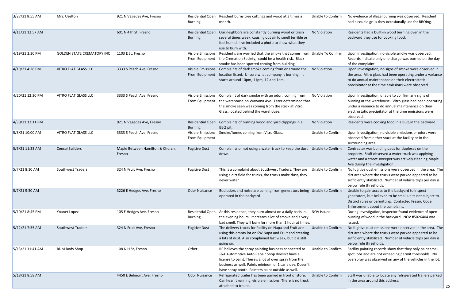| 3/27/21 8:55 AM  | Mrs. Uselton                      | 921 N Vagedes Ave, Fresno                  | Residential Open<br><b>Burning</b>        | Resident burns tree cuttings and wood at 3 times a<br>month.                                                                                                                                                                                                                      | <b>Unable to Confirm</b> | No evidence of illegal burning was observed. Resident<br>had a couple grills they occasionally use for BBQing.                                                                                                                             |
|------------------|-----------------------------------|--------------------------------------------|-------------------------------------------|-----------------------------------------------------------------------------------------------------------------------------------------------------------------------------------------------------------------------------------------------------------------------------------|--------------------------|--------------------------------------------------------------------------------------------------------------------------------------------------------------------------------------------------------------------------------------------|
| 4/11/21 12:57 AM |                                   | 601 N 4Th St, Fresno                       | <b>Residential Open</b><br><b>Burning</b> | Our neighbors are constantly burning wood or trash<br>several times week, causing out air to smell terrible or<br>feel humid. I've included a photo to show what they<br>use to burn with.                                                                                        | No Violation             | Residents had a built-in wood burning oven in the<br>backyard they use for cooking food.                                                                                                                                                   |
| 4/19/21 2:30 PM  | <b>GOLDEN STATE CREMATORY INC</b> | 1103 E St, Fresno                          | From Equipment                            | Visible Emissions Resident's are worried that the smoke that comes from Unable To Confirm<br>the Cremation Society, could be a health risk. Black<br>smoke has been spotted coming from building.                                                                                 |                          | Upon investigation, no visible smoke was observed.<br>Records indicate only one charge was burned on the day<br>of the complaint.                                                                                                          |
| 4/19/21 4:28 PM  | VITRO FLAT GLASS LLC              | 3333 S Peach Ave, Fresno                   | From Equipment                            | Visible Emissions Complaints of dark smoke coming from or around the<br>location listed. Unsure what company is burning. It<br>starts around 10pm, 11pm, 12 and 1am.                                                                                                              | No Violation             | Upon investigation, no signs of smoke were observed in<br>the area. Vitro glass had been operating under a variance<br>to do annual maintenance on their electrostatic<br>precipitator at the time emissions were observed.                |
| 4/20/21 12:30 PM | VITRO FLAT GLASS LLC              | 3333 S Peach Ave, Fresno                   |                                           | Visible Emissions Complaint of dark smoke with an odor, coming from<br>From Equipment the warehouse on Wawona Ave. Later determined that<br>the smoke seen was coming from the stack at Vitro<br>Glass, located behind the warehouse.                                             | No Violation             | Upon investigation, unable to confirm any signs of<br>burning at the warehouse. Vitro glass had been operating<br>under a variance to do annual maintenance on their<br>electrostatic precipitator at the time emissions were<br>observed. |
| 4/30/21 12:11 PM |                                   | 921 N Vagedes Ave, Fresno                  | <b>Residential Open</b><br><b>Burning</b> | Complaints of burning wood and yard clippings in a<br>BBQ pit.                                                                                                                                                                                                                    | No Violation             | Residents were cooking food in a BBQ in the backyard.                                                                                                                                                                                      |
| 5/3/21 10:00 AM  | VITRO FLAT GLASS LLC              | 3333 S Peach Ave, Fresno                   | Visible Emissions<br>From Equipment       | Smoke/fumes coming from Vitro Glass.                                                                                                                                                                                                                                              | Unable to Confirm        | Upon investigation, no visible emissions or odors were<br>observed from either stack at the facility or in the<br>surrounding area.                                                                                                        |
| 5/6/21 11:33 AM  | <b>Cencal Builders</b>            | Maple Between Hamilton & Church,<br>Fresno | <b>Fugitive Dust</b>                      | Complaints of not using a water truck to keep the dust Unable to Confirm<br>down.                                                                                                                                                                                                 |                          | Contractor was building pads for duplexes on the<br>property. Staff observed a water truck was applying<br>water and a street sweeper was actively cleaning Maple<br>Ave during the investigation.                                         |
| 5/7/21 8:10 AM   | Southwest Traders                 | 324 N Fruit Ave, Fresno                    | <b>Fugitive Dust</b>                      | This is a complaint about Southwest Traders. They are<br>using a dirt field for trucks, the trucks make dust, they<br>never water                                                                                                                                                 | Unable to Confirm        | No fugitive dust emissions were observed in the area. The<br>dirt area where the trucks were parked appeared to be<br>sufficiently stabilized. Number of vehicle trips per day is<br>below rule thresholds.                                |
| 5/7/21 9:30 AM   |                                   | 3226 E Hedges Ave, Fresno                  | <b>Odor Nuisance</b>                      | Bod odors and noise are coming from generators being Unable to Confirm<br>operated in the backyard                                                                                                                                                                                |                          | Unable to gain access to the backyard to inspect<br>generators, but believed to be small units not subject to<br>District rules or permitting. Contacted Fresno Code<br>Enforcement about the complaint.                                   |
| 5/10/21 8:45 PM  | Ynanet Lopez                      | 105 E Hedges Ave, Fresno                   | Residential Open<br><b>Burning</b>        | At this residence, they burn almost on a daily basis in<br>the evening hours. It creates a lot of smoke and a very<br>bad smell. They will burn for more than 1 hour at times.                                                                                                    | <b>NOV Issued</b>        | During investigation, inspector found evidence of open<br>burning of wood in the backyard. NOV #5026404 was<br>issued.                                                                                                                     |
| 5/12/21 7:35 AM  | <b>Southwest Traders</b>          | 324 N Fruit Ave, Fresno                    | <b>Fugitive Dust</b>                      | The delivery trucks for facility on Napa and Fruit are<br>using this empty lot on SW Napa and Fruit and creating<br>a lots of dust. Also complained last week, but it is still<br>going on.                                                                                       | <b>Unable to Confirm</b> | No fugitive dust emissions were observed in the area. The<br>dirt area where the trucks were parked appeared to be<br>sufficiently stabilized. Number of vehicle trips per day is<br>below rule thresholds.                                |
| 5/13/21 11:41 AM | RDM Body Shop                     | 108 N H St, Fresno                         | Other                                     | RP believes the spray painting business connected to<br>J&A Automotive Auto Repair Shop doesn't have a<br>license to paint. There's a lot of over spray from the<br>business as well. Paints mininum of 1 car a day. Doesn't<br>have spray booth. Painters paint outside as well. | <b>Unable to Confirm</b> | Facility painting records show that they only paint small<br>spot jobs and are not exceeding permit thresholds. No<br>overspray was observed on any of the vehicles in the lot.                                                            |
| 5/18/21 8:58 AM  |                                   | 4450 E Belmont Ave, Fresno                 | <b>Odor Nuisance</b>                      | Refrigerated trailer has been parked in front of store.<br>Can hear it running, visible emissions. There is no truck<br>attached to trailer.                                                                                                                                      | Unable to Confirm        | Staff was unable to locate any refrigerated trailers parked<br>in the area around this address.                                                                                                                                            |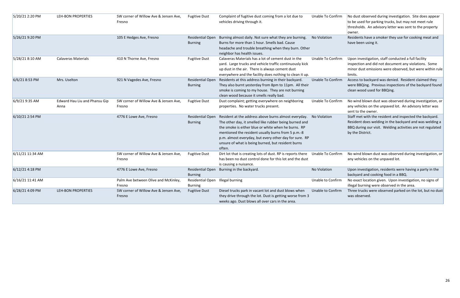| 5/20/21 2:20 PM  | LEH-BON PROPERTIES                    | SW corner of Willow Ave & Jensen Ave,<br>Fresno | <b>Fugitive Dust</b>               | Complaint of fugitive dust coming from a lot due to<br>vehicles driving through it.                                                                                                                                                                                                                                                                   | Unable To Confirm        | No dust observed during investigation. Site does appear<br>to be used for parking trucks, but may not meet rule<br>thresholds. An advisory letter was sent to the property<br>owner.              |
|------------------|---------------------------------------|-------------------------------------------------|------------------------------------|-------------------------------------------------------------------------------------------------------------------------------------------------------------------------------------------------------------------------------------------------------------------------------------------------------------------------------------------------------|--------------------------|---------------------------------------------------------------------------------------------------------------------------------------------------------------------------------------------------|
| 5/26/21 9:20 PM  |                                       | 105 E Hedges Ave, Fresno                        | Residential Open<br><b>Burning</b> | Burning almost daily. Not sure what they are burning.<br>Burns for more than 1 hour. Smells bad. Cause<br>headache and trouble breathing when they burn. Other<br>neighbor has health issues.                                                                                                                                                         | No Violation             | Residents have a smoker they use for cooking meat and<br>have been using it.                                                                                                                      |
| 5/28/21 8:10 AM  | <b>Calaveras Materials</b>            | 410 N Thorne Ave, Fresno                        | <b>Fugitive Dust</b>               | Calaveras Materials has a lot of cement dust in the<br>yard. Large trucks and vehicle traffic continuously kick<br>up dust in the air. There is always cement dust<br>everywhere and the facility does nothing to clean it up.                                                                                                                        | Unable To Confirm        | Upon investigation, staff conducted a full facility<br>inspection and did not document any violations. Some<br>minor dust emissions were observed, but were within ru<br>limits.                  |
| 6/6/21 8:53 PM   | Mrs. Uselton                          | 921 N Vagedes Ave, Fresno                       | Residential Open<br><b>Burning</b> | Residents at this address burning in their backyard.<br>They also burnt yesterday from 8pm to 11pm. All their<br>smoke is coming to my house. They are not burning<br>clean wood because it smells really bad.                                                                                                                                        | <b>Unable To Confirm</b> | Access to backyard was denied. Resident claimed they<br>were BBQing. Previous inspections of the backyard foun<br>clean wood used for BBQing.                                                     |
| 6/9/21 9:35 AM   | Edward Hau Liu and Phansu Gip<br>Anna | SW corner of Willow Ave & Jensen Ave,<br>Fresno | <b>Fugitive Dust</b>               | Dust complaint; getting everywhere on neighboring<br>properties. No water trucks present.                                                                                                                                                                                                                                                             | Unable To Confirm        | No wind blown dust was observed during investigation,<br>any vehicles on the unpaved lot. An advisory letter was<br>sent to the owner.                                                            |
| 6/10/21 2:54 PM  |                                       | 4776 E Lowe Ave, Fresno                         | Residential Open<br><b>Burning</b> | Resident at the address above burns almost everyday.<br>The other day, it smelled like rubber being burned and<br>the smoke is either blue or white when he burns. RP<br>mentioned the resident usually burns from 5 p.m.-8<br>p.m. almost everyday, but every other day for sure. RP<br>unsure of what is being burned, but resident burns<br>often. | No Violation             | Staff met with the resident and inspected the backyard.<br>Resident does welding in the backyard and was welding<br>BBQ during our visit. Welding activities are not regulate<br>by the District. |
| 6/11/21 11:34 AM |                                       | SW corner of Willow Ave & Jensen Ave,<br>Fresno | <b>Fugitive Dust</b>               | Dirt lot that is creating lots of dust. RP is reports there Unable To Confirm<br>has been no dust control done for this lot and the dust<br>is causing a nuisance.                                                                                                                                                                                    |                          | No wind blown dust was observed during investigation,<br>any vehicles on the unpaved lot.                                                                                                         |
| 6/12/21 4:18 PM  |                                       | 4776 E Lowe Ave, Fresno                         | Residential Open<br><b>Burning</b> | Burning in the backyard.                                                                                                                                                                                                                                                                                                                              | No Violation             | Upon investigation, residents were having a party in the<br>backyard and cooking food in a BBQ.                                                                                                   |
| 6/16/21 11:41 AM |                                       | Palm Ave between Olive and McKinley,<br>Fresno  | Residential Open<br><b>Burning</b> | <b>Illegal burning</b>                                                                                                                                                                                                                                                                                                                                | Unable to Confirm        | No exact location given. Upon investigation, no signs of<br>illegal burning were observed in the area.                                                                                            |
| 6/28/21 4:09 PM  | <b>LEH-BON PROPERTIES</b>             | SW corner of Willow Ave & Jensen Ave,<br>Fresno | <b>Fugitive Dust</b>               | Diesel trucks park in vacant lot and dust blows when<br>they drive through the lot. Dust is getting worse from 3<br>weeks ago. Dust blows all over cars in the area.                                                                                                                                                                                  | Unable to Confirm        | Three trucks were observed parked on the lot, but no du<br>was observed.                                                                                                                          |

| Unable To Confirm | No dust observed during investigation. Site does appear<br>to be used for parking trucks, but may not meet rule<br>thresholds. An advisory letter was sent to the property<br>owner.                 |
|-------------------|------------------------------------------------------------------------------------------------------------------------------------------------------------------------------------------------------|
| No Violation      | Residents have a smoker they use for cooking meat and<br>have been using it.                                                                                                                         |
| Unable To Confirm | Upon investigation, staff conducted a full facility<br>inspection and did not document any violations. Some<br>minor dust emissions were observed, but were within rule<br>limits.                   |
| Unable To Confirm | Access to backyard was denied. Resident claimed they<br>were BBQing. Previous inspections of the backyard found<br>clean wood used for BBQing.                                                       |
| Unable To Confirm | No wind blown dust was observed during investigation, or<br>any vehicles on the unpaved lot. An advisory letter was<br>sent to the owner.                                                            |
| No Violation      | Staff met with the resident and inspected the backyard.<br>Resident does welding in the backyard and was welding a<br>BBQ during our visit. Welding activities are not regulated<br>by the District. |
| Unable To Confirm | No wind blown dust was observed during investigation, or<br>any vehicles on the unpaved lot.                                                                                                         |
| No Violation      | Upon investigation, residents were having a party in the<br>backyard and cooking food in a BBQ.                                                                                                      |
| Unable to Confirm | No exact location given. Upon investigation, no signs of<br>illegal burning were observed in the area.                                                                                               |
| Unable to Confirm | Three trucks were observed parked on the lot, but no dust<br>was observed.                                                                                                                           |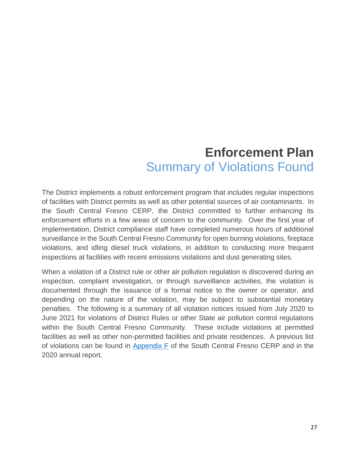#### **Enforcement Plan**  Summary of Violations Found

The District implements a robust enforcement program that includes regular inspections of facilities with District permits as well as other potential sources of air contaminants. In the South Central Fresno CERP, the District committed to further enhancing its enforcement efforts in a few areas of concern to the community. Over the first year of implementation, District compliance staff have completed numerous hours of additional surveillance in the South Central Fresno Community for open burning violations, fireplace violations, and idling diesel truck violations, in addition to conducting more frequent inspections at facilities with recent emissions violations and dust generating sites.

When a violation of a District rule or other air pollution regulation is discovered during an inspection, complaint investigation, or through surveillance activities, the violation is documented through the issuance of a formal notice to the owner or operator, and depending on the nature of the violation, may be subject to substantial monetary penalties. The following is a summary of all violation notices issued from July 2020 to June 2021 for violations of District Rules or other State air pollution control regulations within the South Central Fresno Community. These include violations at permitted facilities as well as other non-permitted facilities and private residences. A previous list of violations can be found in [Appendix F](http://community.valleyair.org/media/1507/12-scfresno_appf_enforcementplan.pdf) of the South Central Fresno CERP and in the 2020 annual report.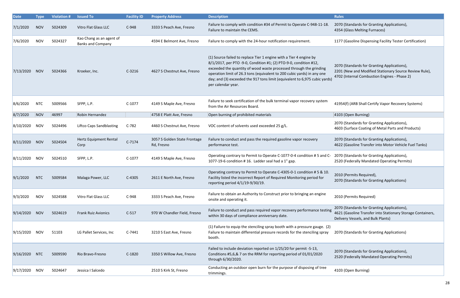| <b>Date</b>   | <b>Type</b> | <b>Violation #</b> | <b>Issued To</b>                                     | <b>Facility ID</b> | <b>Property Address</b>                    | <b>Description</b>                                                                                                                                                                                                                                                                                                                                                                           | <b>Rules</b>                                                                                                                                          |
|---------------|-------------|--------------------|------------------------------------------------------|--------------------|--------------------------------------------|----------------------------------------------------------------------------------------------------------------------------------------------------------------------------------------------------------------------------------------------------------------------------------------------------------------------------------------------------------------------------------------------|-------------------------------------------------------------------------------------------------------------------------------------------------------|
| 7/1/2020      | <b>NOV</b>  | 5024309            | Vitro Flat Glass LLC                                 | $C-948$            | 3333 S Peach Ave, Fresno                   | Failure to comply with condition #34 of Permit to Operate C-948-11-18.<br>Failure to maintain the CEMS.                                                                                                                                                                                                                                                                                      | 2070 (Standards for Granting Applications),<br>4354 (Glass Melting Furnaces)                                                                          |
| 7/6/2020      | <b>NOV</b>  | 5024327            | Kao Chang as an agent of<br><b>Banks and Company</b> |                    | 4594 E Belmont Ave, Fresno                 | Failure to comply with the 24-hour notification requirement.                                                                                                                                                                                                                                                                                                                                 | 1177 (Gasoline Dispensing Facility Tester Certification)                                                                                              |
| 7/13/2020     | <b>NOV</b>  | 5024366            | Kroeker, Inc.                                        | $C-3216$           | 4627 S Chestnut Ave, Fresno                | (1) Source failed to replace Tier 1 engine with a Tier 4 engine by<br>8/1/2017, per PTO -9-0, Condition #1; (2) PTO-9-0, condition #12,<br>exceeded the quantity of wood waste processed through the grinding<br>operation limit of 26.3 tons (equivalent to 200 cubic yards) in any one<br>day; and (3) exceeded the 917 tons limit (equivalent to 6,975 cubic yards)<br>per calendar year. | 2070 (Standards for Granting Applications),<br>2201 (New and Modified Stationary Source Review Rule),<br>4702 (Internal Combustion Engines - Phase 2) |
| 8/6/2020      | <b>NTC</b>  | 5009566            | SFPP, L.P.                                           | $C-1077$           | 4149 S Maple Ave, Fresno                   | Failure to seek certification of the bulk terminal vapor recovery system<br>from the Air Resources Board.                                                                                                                                                                                                                                                                                    | 41954(f) (ARB Shall Certify Vapor Recovery Systems)                                                                                                   |
| 8/7/2020      | NOV         | 46997              | Robin Hernandez                                      |                    | 4758 E Platt Ave, Fresno                   | Open burning of prohibited materials                                                                                                                                                                                                                                                                                                                                                         | 4103 (Open Burning)                                                                                                                                   |
| 8/10/2020     | <b>NOV</b>  | 5024496            | <b>Liftco Caps Sandblasting</b>                      | $C-782$            | 4460 S Chestnut Ave, Fresno                | VOC content of solvents used exceeded 25 g/L.                                                                                                                                                                                                                                                                                                                                                | 2070 (Standards for Granting Applications),<br>4603 (Surface Coating of Metal Parts and Products)                                                     |
| 8/11/2020     | <b>NOV</b>  | 5024504            | Hertz Equipment Rental<br>Corp                       | $C-7174$           | 3057 S Golden State Frontage<br>Rd, Fresno | Failure to conduct and pass the required gasoline vapor recovery<br>performance test.                                                                                                                                                                                                                                                                                                        | 2070 (Standards for Granting Applications),<br>4622 (Gasoline Transfer into Motor Vehicle Fuel Tanks)                                                 |
| 8/11/2020     | <b>NOV</b>  | 5024510            | SFPP, L.P.                                           | $C-1077$           | 4149 S Maple Ave, Fresno                   | Operating contrary to Permit to Operate C-1077-0-4 condition # 5 and C-<br>1077-19-6 condition #16. Ladder seal had a 1" gap.                                                                                                                                                                                                                                                                | 2070 (Standards for Granting Applications),<br>2520 (Federally Mandated Operating Permits)                                                            |
| 9/1/2020      | <b>NTC</b>  | 5009584            | Malaga Power, LLC                                    | $C-4305$           | 2611 E North Ave, Fresno                   | Operating contrary to Permit to Operate C-4305-0-1 condition # 5 & 10.<br>Facility listed the incorrect Report of Required Monitoring period for<br>reporting period 4/1/19-9/30/19.                                                                                                                                                                                                         | 2010 (Permits Required),<br>2070 (Standards for Granting Applications)                                                                                |
| 9/3/2020      | <b>NOV</b>  | 5024588            | Vitro Flat Glass LLC                                 | $C-948$            | 3333 S Peach Ave, Fresno                   | Failure to obtain an Authority to Construct prior to bringing an engine<br>onsite and operating it.                                                                                                                                                                                                                                                                                          | 2010 (Permits Required)                                                                                                                               |
| 9/14/2020 NOV |             | 5024619            | <b>Frank Ruiz Avionics</b>                           | $C-517$            | 970 W Chandler Field, Fresno               | Failure to conduct and pass required vapor recovery performance testing<br>within 30 days of compliance anniversary date.                                                                                                                                                                                                                                                                    | 2070 (Standards for Granting Applications),<br>4621 (Gasoline Transfer into Stationary Storage Containers,<br>Delivery Vessels, and Bulk Plants)      |
| 9/15/2020 NOV |             | 51103              | LG Pallet Services, Inc                              | $C-7441$           | 3210 S East Ave, Fresno                    | (1) Failure to equip the stenciling spray booth with a pressure gauge. (2)<br>Failure to maintain differential pressure records for the stenciling spray<br>booth.                                                                                                                                                                                                                           | 2070 (Standards for Granting Applications)                                                                                                            |
| 9/16/2020 NTC |             | 5009590            | Rio Bravo-Fresno                                     | $C-1820$           | 3350 S Willow Ave, Fresno                  | Failed to include deviation reported on 1/25/20 for permit -5-13,<br>Conditions #5,6,& 7 on the RRM for reporting period of 01/01/2020<br>through 6/30/2020.                                                                                                                                                                                                                                 | 2070 (Standards for Granting Applications),<br>2520 (Federally Mandated Operating Permits)                                                            |
| 9/17/2020     | <b>NOV</b>  | 5024647            | Jessica I Salcedo                                    |                    | 2510 S Kirk St, Fresno                     | Conducting an outdoor open burn for the purpose of disposing of tree<br>trimmings.                                                                                                                                                                                                                                                                                                           | 4103 (Open Burning)                                                                                                                                   |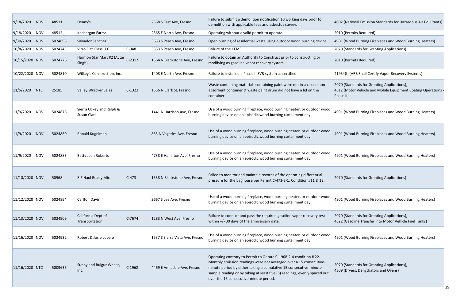| 9/18/2020        | <b>NOV</b> | 48511   | Denny's                                 |          | 2568 S East Ave, Fresno         | Failure to submit a demolition notification 10 working days prior to<br>demolition with applicable fees and asbestos survey.                                                                                                                                                                                                       | 4002 (National Emission Standards for Haz                                                          |
|------------------|------------|---------|-----------------------------------------|----------|---------------------------------|------------------------------------------------------------------------------------------------------------------------------------------------------------------------------------------------------------------------------------------------------------------------------------------------------------------------------------|----------------------------------------------------------------------------------------------------|
| 9/18/2020        | <b>NOV</b> | 48512   | Kochergan Farms                         |          | 2365 E North Ave, Fresno        | Operating without a valid permit to operate.                                                                                                                                                                                                                                                                                       | 2010 (Permits Required)                                                                            |
| 9/30/2020        | <b>NOV</b> | 5024698 | Salvador Sanchez                        |          | 3633 S Peach Ave, Fresno        | Open burning of residential waste using outdoor wood burning device.                                                                                                                                                                                                                                                               | 4901 (Wood Burning Fireplaces and Wood                                                             |
| 10/8/2020        | <b>NOV</b> | 5024745 | Vitro Flat Glass LLC                    | $C-948$  | 3333 S Peach Ave, Fresno        | Failure of the CEMS.                                                                                                                                                                                                                                                                                                               | 2070 (Standards for Granting Applications)                                                         |
| 10/15/2020 NOV   |            | 5024776 | Harmon Star Mart #2 (Avtar<br>Singh)    | $C-2312$ | 1564 N Blackstone Ave, Fresno   | Failure to obtain an Authority to Construct prior to constructing or<br>modifying as gasoline vapor recovery system                                                                                                                                                                                                                | 2010 (Permits Required)                                                                            |
| 10/22/2020 NOV   |            | 5024810 | Wilkey's Construction, Inc.             |          | 1408 E North Ave, Fresno        | Failure to installed a Phase II EVR system as certified.                                                                                                                                                                                                                                                                           | 41954(f) (ARB Shall Certify Vapor Recovery                                                         |
| 11/5/2020        | <b>NTC</b> | 25185   | Valley Wrecker Sales                    | $C-1322$ | 1556 N Clark St, Fresno         | Waste containing materials containing paint were not in a closed non-<br>absorbent container & waste paint drum did not have a lid on the<br>container.                                                                                                                                                                            | 2070 (Standards for Granting Applications)<br>4612 (Motor Vehicle and Mobile Equipmer<br>Phase II) |
| 11/9/2020        | <b>NOV</b> | 5024876 | Sierra Ockey and Ralph &<br>Susan Clark |          | 1441 N Harrison Ave, Fresno     | Use of a wood burning fireplace, wood burning heater, or outdoor wood<br>burning device on an episodic wood burning curtailment day.                                                                                                                                                                                               | 4901 (Wood Burning Fireplaces and Wood                                                             |
| 11/9/2020        | <b>NOV</b> | 5024880 | Ronald Kugelman                         |          | 835 N Vagedes Ave, Fresno       | Use of a wood burning fireplace, wood burning heater, or outdoor wood<br>burning device on an episodic wood burning curtailment day.                                                                                                                                                                                               | 4901 (Wood Burning Fireplaces and Wood                                                             |
| 11/9/2020        | <b>NOV</b> | 5024883 | <b>Betty Jean Roberts</b>               |          | 4738 E Hamilton Ave, Fresno     | Use of a wood burning fireplace, wood burning heater, or outdoor wood<br>burning device on an episodic wood burning curtailment day.                                                                                                                                                                                               | 4901 (Wood Burning Fireplaces and Wood                                                             |
| $11/10/2020$ NOV |            | 50968   | E-Z Haul Ready Mix                      | $C-473$  | 1538 N Blackstone Ave, Fresno   | Failed to monitor and maintain records of the operating differential<br>pressure for the baghouse per Permit C-473-3-1, Condition #11 & 12.                                                                                                                                                                                        | 2070 (Standards for Granting Applications)                                                         |
| $11/12/2020$ NOV |            | 5024894 | Carlton Davis II                        |          | 2667 S Lee Ave, Fresno          | Use of a wood burning fireplace, wood burning heater, or outdoor wood<br>burning device on an episodic wood burning curtailment day.                                                                                                                                                                                               | 4901 (Wood Burning Fireplaces and Wood                                                             |
| $11/13/2020$ NOV |            | 5024909 | California Dept of<br>Transportation    | $C-7674$ | 1283 N West Ave, Fresno         | Failure to conduct and pass the required gasoline vapor recovery test<br>within +/- 30 days of the anniversary date.                                                                                                                                                                                                               | 2070 (Standards for Granting Applications)<br>4622 (Gasoline Transfer into Motor Vehicle           |
| $11/16/2020$ NOV |            | 5024932 | Robert & Josie Lucero                   |          | 1537 S Sierra Vista Ave, Fresno | Use of a wood burning fireplace, wood burning heater, or outdoor wood<br>burning device on an episodic wood burning curtailment day.                                                                                                                                                                                               | 4901 (Wood Burning Fireplaces and Wood                                                             |
| $11/16/2020$ NTC |            | 5009636 | Sunnyland Bulgur Wheat,<br>Inc.         | C-1968   | 4469 E Annadale Ave, Fresno     | Operating contrary to Permit to Oerate C-1968-2-4 condition #22.<br>Monthly emission readings were not averaged over a 15 consecutive-<br>minute period by either taking a cumulative 15 consecutive-minute<br>sample reading or by taking at least five (5) readings, evenly spaced out<br>over the 15 consecutive-minute period. | 2070 (Standards for Granting Applications)<br>4309 (Dryers, Dehydrators and Ovens)                 |

002 (National Emission Standards for Hazardous Air Pollutants)

001 (Wood Burning Fireplaces and Wood Burning Heaters)

1954(f) (ARB Shall Certify Vapor Recovery Systems)

070 (Standards for Granting Applications), 612 (Motor Vehicle and Mobile Equipment Coating Operations  $\frac{1}{1}$ nase II)

1441 Harrison Ave, Spanning burning burning heaters, poor wood Burning deaters, only an episodic wood burning

901 (Wood Burning Fireplaces and Wood Burning Heaters)

901 (Wood Burning Fireplaces and Wood Burning Heaters)

901 (Wood Burning Fireplaces and Wood Burning Heaters)

070 (Standards for Granting Applications),<br>622 (Gasoline Transfer into Motor Vehicle Fuel Tanks)

901 (Wood Burning Fireplaces and Wood Burning Heaters)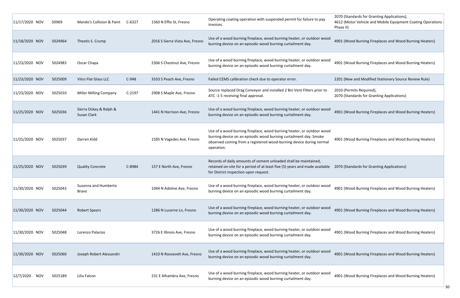| $11/17/2020$ NOV        | 50969   | Mando's Collision & Paint             | C-6327   | 1560 N Effie St, Fresno         | Operating coating operation with suspended permit for failure to pay<br>invoices.                                                                                                                                               | 2070 (Standards for Granting Applications)<br>4612 (Motor Vehicle and Mobile Equipmer<br>Phase II) |
|-------------------------|---------|---------------------------------------|----------|---------------------------------|---------------------------------------------------------------------------------------------------------------------------------------------------------------------------------------------------------------------------------|----------------------------------------------------------------------------------------------------|
| 11/18/2020 NOV          | 5024964 | Theotis S. Crump                      |          | 2016 S Sierra Vista Ave, Fresno | Use of a wood burning fireplace, wood burning heater, or outdoor wood<br>burning device on an episodic wood burning curtailment day.                                                                                            | 4901 (Wood Burning Fireplaces and Wood                                                             |
| 11/23/2020 NOV          | 5024983 | Oscar Chapa                           |          | 2306 S Chestnut Ave, Fresno     | Use of a wood burning fireplace, wood burning heater, or outdoor wood<br>burning device on an episodic wood burning curtailment day.                                                                                            | 4901 (Wood Burning Fireplaces and Wood                                                             |
| 11/23/2020 NOV          | 5025009 | Vitro Flat Glass LLC                  | $C-948$  | 3333 S Peach Ave, Fresno        | Failed CEMS calibration check due to operator error.                                                                                                                                                                            | 2201 (New and Modified Stationary Source                                                           |
| 11/23/2020 NOV          | 5025010 | <b>Miller Milling Company</b>         | $C-2197$ | 2908 S Maple Ave, Fresno        | Source replaced Drag Conveyor and installed 2 Bin Vent Filters prior to<br>ATC -1-5 receiving final approval.                                                                                                                   | 2010 (Permits Required),<br>2070 (Standards for Granting Applications)                             |
| 11/25/2020 NOV          | 5025036 | Sierra Ockey & Ralph &<br>Susan Clark |          | 1441 N Harrison Ave, Fresno     | Use of a wood burning fireplace, wood burning heater, or outdoor wood<br>burning device on an episodic wood burning curtailment day.                                                                                            | 4901 (Wood Burning Fireplaces and Wood                                                             |
| 11/25/2020 NOV          | 5025037 | Darren Kidd                           |          | 1595 N Vagedes Ave, Fresno      | Use of a wood burning fireplace, wood burning heater, or outdoor wood<br>burning device on an episodic wood burning curtailment day. Smoke<br>observed coming from a registered wood-burning device during normal<br>operation. | 4901 (Wood Burning Fireplaces and Wood                                                             |
| 11/25/2020 NOV          | 5025039 | <b>Quality Concrete</b>               | C-8984   | 157 E North Ave, Fresno         | Records of daily amounts of cement unloaded shall be maintained,<br>retained on-site for a period of at least five (5) years and made available<br>for District inspection upon request.                                        | 2070 (Standards for Granting Applications)                                                         |
| 11/30/2020 NOV          | 5025043 | Suzanna and Humberto<br><b>Bravo</b>  |          | 1044 N Adoline Ave, Fresno      | Use of a wood burning fireplace, wood burning heater, or outdoor wood<br>burning device on an episodic wood burning curtailment day.                                                                                            | 4901 (Wood Burning Fireplaces and Wood                                                             |
| 11/30/2020 NOV          | 5025044 | <b>Robert Spears</b>                  |          | 1286 N Lucerne Ln, Fresno       | Use of a wood burning fireplace, wood burning heater, or outdoor wood<br>burning device on an episodic wood burning curtailment day.                                                                                            | 4901 (Wood Burning Fireplaces and Wood                                                             |
| 11/30/2020 NOV          | 5025048 | Lorenzo Palacios                      |          | 3726 E Illinois Ave, Fresno     | Use of a wood burning fireplace, wood burning heater, or outdoor wood<br>burning device on an episodic wood burning curtailment day.                                                                                            | 4901 (Wood Burning Fireplaces and Wood                                                             |
| 11/30/2020 NOV          | 5025060 | Joseph Robert Alessandri              |          | 1410 N Roosevelt Ave, Fresno    | Use of a wood burning fireplace, wood burning heater, or outdoor wood<br>burning device on an episodic wood burning curtailment day.                                                                                            | 4901 (Wood Burning Fireplaces and Wood                                                             |
| 12/7/2020<br><b>NOV</b> | 5025189 | Lilia Falcon                          |          | 231 E Alhambra Ave, Fresno      | Use of a wood burning fireplace, wood burning heater, or outdoor wood<br>burning device on an episodic wood burning curtailment day.                                                                                            | 4901 (Wood Burning Fireplaces and Wood                                                             |

070 (Standards for Granting Applications),<br>612 (Motor Vehicle and Mobile Equipment Coating Operations ‐ Phase II)

901 (Wood Burning Fireplaces and Wood Burning Heaters)

901 (Wood Burning Fireplaces and Wood Burning Heaters)

201 (New and Modified Stationary Source Review Rule)

901 (Wood Burning Fireplaces and Wood Burning Heaters)

901 (Wood Burning Fireplaces and Wood Burning Heaters)

901 (Wood Burning Fireplaces and Wood Burning Heaters)

901 (Wood Burning Fireplaces and Wood Burning Heaters)

901 (Wood Burning Fireplaces and Wood Burning Heaters)

901 (Wood Burning Fireplaces and Wood Burning Heaters)

901 (Wood Burning Fireplaces and Wood Burning Heaters)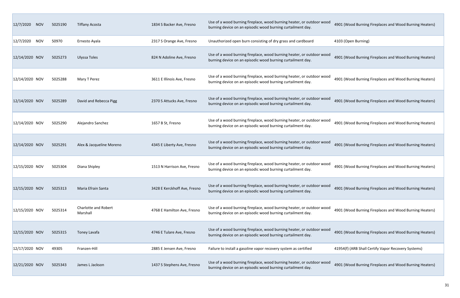| 12/7/2020      | <b>NOV</b> | 5025190 | <b>Tiffany Acosta</b>                   | 1834 S Backer Ave, Fresno    | Use of a wood burning fireplace, wood burning heater, or outdoor wood<br>burning device on an episodic wood burning curtailment day. | 4901 (Wood Burning    |
|----------------|------------|---------|-----------------------------------------|------------------------------|--------------------------------------------------------------------------------------------------------------------------------------|-----------------------|
| 12/7/2020      | <b>NOV</b> | 50970   | Ernesto Ayala                           | 2317 S Orange Ave, Fresno    | Unauthorized open burn consisting of dry grass and cardboard                                                                         | 4103 (Open Burning)   |
| 12/14/2020 NOV |            | 5025273 | Ulyssa Toles                            | 824 N Adoline Ave, Fresno    | Use of a wood burning fireplace, wood burning heater, or outdoor wood<br>burning device on an episodic wood burning curtailment day. | 4901 (Wood Burning    |
| 12/14/2020 NOV |            | 5025288 | Mary T Perez                            | 3611 E Illinois Ave, Fresno  | Use of a wood burning fireplace, wood burning heater, or outdoor wood<br>burning device on an episodic wood burning curtailment day. | 4901 (Wood Burning    |
| 12/14/2020 NOV |            | 5025289 | David and Rebecca Pigg                  | 2370 S Attucks Ave, Fresno   | Use of a wood burning fireplace, wood burning heater, or outdoor wood<br>burning device on an episodic wood burning curtailment day. | 4901 (Wood Burning    |
| 12/14/2020 NOV |            | 5025290 | Alejandro Sanchez                       | 1657 B St, Fresno            | Use of a wood burning fireplace, wood burning heater, or outdoor wood<br>burning device on an episodic wood burning curtailment day. | 4901 (Wood Burning    |
| 12/14/2020 NOV |            | 5025291 | Alex & Jacqueline Moreno                | 4345 E Liberty Ave, Fresno   | Use of a wood burning fireplace, wood burning heater, or outdoor wood<br>burning device on an episodic wood burning curtailment day. | 4901 (Wood Burning    |
| 12/15/2020 NOV |            | 5025304 | Diana Shipley                           | 1513 N Harrison Ave, Fresno  | Use of a wood burning fireplace, wood burning heater, or outdoor wood<br>burning device on an episodic wood burning curtailment day. | 4901 (Wood Burning    |
| 12/15/2020 NOV |            | 5025313 | Maria Efrain Santa                      | 3428 E Kerckhoff Ave, Fresno | Use of a wood burning fireplace, wood burning heater, or outdoor wood<br>burning device on an episodic wood burning curtailment day. | 4901 (Wood Burning    |
| 12/15/2020 NOV |            | 5025314 | <b>Charlotte and Robert</b><br>Marshall | 4768 E Hamilton Ave, Fresno  | Use of a wood burning fireplace, wood burning heater, or outdoor wood<br>burning device on an episodic wood burning curtailment day. | 4901 (Wood Burning    |
| 12/15/2020 NOV |            | 5025315 | Toney Lavafa                            | 4746 E Tulare Ave, Fresno    | Use of a wood burning fireplace, wood burning heater, or outdoor wood<br>burning device on an episodic wood burning curtailment day. | 4901 (Wood Burning    |
| 12/17/2020 NOV |            | 49305   | Franzen-Hill                            | 2885 E Jensen Ave, Fresno    | Failure to install a gasoline vapor recovery system as certified                                                                     | 41954(f) (ARB Shall O |
| 12/21/2020 NOV |            | 5025343 | James L Jackson                         | 1437 S Stephens Ave, Fresno  | Use of a wood burning fireplace, wood burning heater, or outdoor wood<br>burning device on an episodic wood burning curtailment day. | 4901 (Wood Burning    |

901 (Wood Burning Fireplaces and Wood Burning Heaters)

1901 (Wood Burning Fireplaces and Wood Burning Heaters)

901 (Wood Burning Fireplaces and Wood Burning Heaters)

1901 (Wood Burning Fireplaces and Wood Burning Heaters)

901 (Wood Burning Fireplaces and Wood Burning Heaters)

1901 (Wood Burning Fireplaces and Wood Burning Heaters)

1901 (Wood Burning Fireplaces and Wood Burning Heaters)

1901 (Wood Burning Fireplaces and Wood Burning Heaters)

901 (Wood Burning Fireplaces and Wood Burning Heaters)

41954(f) (ARB Shall Certify Vapor Recovery Systems)

901 (Wood Burning Fireplaces and Wood Burning Heaters)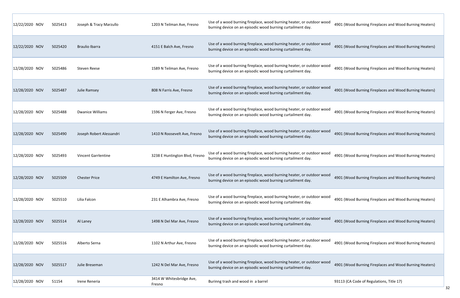| 12/22/2020 NOV | 5025413 | Joseph & Tracy Marzullo    | 1203 N Teilman Ave, Fresno         | Use of a wood burning fireplace, wood burning heater, or outdoor wood<br>burning device on an episodic wood burning curtailment day. |    |
|----------------|---------|----------------------------|------------------------------------|--------------------------------------------------------------------------------------------------------------------------------------|----|
| 12/22/2020 NOV | 5025420 | <b>Braulio Ibarra</b>      | 4151 E Balch Ave, Fresno           | Use of a wood burning fireplace, wood burning heater, or outdoor wood<br>burning device on an episodic wood burning curtailment day. |    |
| 12/28/2020 NOV | 5025486 | <b>Steven Reese</b>        | 1589 N Teilman Ave, Fresno         | Use of a wood burning fireplace, wood burning heater, or outdoor wood<br>burning device on an episodic wood burning curtailment day. |    |
| 12/28/2020 NOV | 5025487 | Julie Ramsey               | 808 N Farris Ave, Fresno           | Use of a wood burning fireplace, wood burning heater, or outdoor wood<br>burning device on an episodic wood burning curtailment day. |    |
| 12/28/2020 NOV | 5025488 | <b>Dwanice Williams</b>    | 1596 N Ferger Ave, Fresno          | Use of a wood burning fireplace, wood burning heater, or outdoor wood<br>burning device on an episodic wood burning curtailment day. |    |
| 12/28/2020 NOV | 5025490 | Joseph Robert Alessandri   | 1410 N Roosevelt Ave, Fresno       | Use of a wood burning fireplace, wood burning heater, or outdoor wood<br>burning device on an episodic wood burning curtailment day. |    |
| 12/28/2020 NOV | 5025493 | <b>Vincent Garrlentine</b> | 3238 E Huntington Blvd, Fresno     | Use of a wood burning fireplace, wood burning heater, or outdoor wood<br>burning device on an episodic wood burning curtailment day. |    |
| 12/28/2020 NOV | 5025509 | <b>Chester Price</b>       | 4749 E Hamilton Ave, Fresno        | Use of a wood burning fireplace, wood burning heater, or outdoor wood<br>burning device on an episodic wood burning curtailment day. |    |
| 12/28/2020 NOV | 5025510 | Lilia Falcon               | 231 E Alhambra Ave, Fresno         | Use of a wood burning fireplace, wood burning heater, or outdoor wood<br>burning device on an episodic wood burning curtailment day. |    |
| 12/28/2020 NOV | 5025514 | Al Laney                   | 1498 N Del Mar Ave, Fresno         | Use of a wood burning fireplace, wood burning heater, or outdoor wood<br>burning device on an episodic wood burning curtailment day. |    |
| 12/28/2020 NOV | 5025516 | Alberto Serna              | 1102 N Arthur Ave, Fresno          | Use of a wood burning fireplace, wood burning heater, or outdoor wood<br>burning device on an episodic wood burning curtailment day. |    |
| 12/28/2020 NOV | 5025517 | Julie Breseman             | 1242 N Del Mar Ave, Fresno         | Use of a wood burning fireplace, wood burning heater, or outdoor wood<br>burning device on an episodic wood burning curtailment day. |    |
| 12/28/2020 NOV | 51154   | Irene Reneria              | 3414 W Whitesbridge Ave,<br>Fresno | Burinng trash and wood in a barrel                                                                                                   | 9. |

1901 (Wood Burning Fireplaces and Wood Burning Heaters)

1901 (Wood Burning Fireplaces and Wood Burning Heaters)

1901 (Wood Burning Fireplaces and Wood Burning Heaters)

1901 (Wood Burning Fireplaces and Wood Burning Heaters)

1901 (Wood Burning Fireplaces and Wood Burning Heaters)

1901 (Wood Burning Fireplaces and Wood Burning Heaters)

901 (Wood Burning Fireplaces and Wood Burning Heaters)

1901 (Wood Burning Fireplaces and Wood Burning Heaters)

901 (Wood Burning Fireplaces and Wood Burning Heaters)

1901 (Wood Burning Fireplaces and Wood Burning Heaters)

901 (Wood Burning Fireplaces and Wood Burning Heaters)

93113 (CA Code of Regulations, Title 17)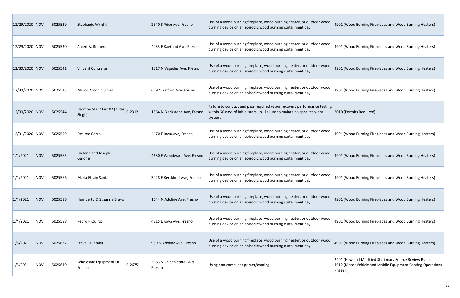| 12/29/2020 NOV |            | 5025529 | Stephanie Wright                                 | 2540 S Price Ave, Fresno            | Use of a wood burning fireplace, wood burning heater, or outdoor wood<br>burning device on an episodic wood burning curtailment day.                         | 4901 (Wood Burning Fir                                         |
|----------------|------------|---------|--------------------------------------------------|-------------------------------------|--------------------------------------------------------------------------------------------------------------------------------------------------------------|----------------------------------------------------------------|
| 12/29/2020 NOV |            | 5025530 | Albert A. Romero                                 | 4433 E Kaviland Ave, Fresno         | Use of a wood burning fireplace, wood burning heater, or outdoor wood<br>burning device on an episodic wood burning curtailment day.                         | 4901 (Wood Burning Fir                                         |
| 12/30/2020 NOV |            | 5025541 | <b>Vincent Contreras</b>                         | 1317 N Vagedes Ave, Fresno          | Use of a wood burning fireplace, wood burning heater, or outdoor wood<br>burning device on an episodic wood burning curtailment day.                         | 4901 (Wood Burning Fir                                         |
| 12/30/2020 NOV |            | 5025543 | <b>Marco Antonio Silvas</b>                      | 619 N Safford Ave, Fresno           | Use of a wood burning fireplace, wood burning heater, or outdoor wood<br>burning device on an episodic wood burning curtailment day.                         | 4901 (Wood Burning Fire                                        |
| 12/30/2020 NOV |            | 5025544 | Harmon Star Mart #2 (Avtar<br>$C-2312$<br>Singh) | 1564 N Blackstone Ave, Fresno       | Failure to conduct and pass required vapor recovery performance testing<br>within 60 days of initial start-up. Failure to maintain vapor recovery<br>system. | 2010 (Permits Required)                                        |
| 12/31/2020 NOV |            | 5025559 | Desiree Garza                                    | 4170 E Iowa Ave, Fresno             | Use of a wood burning fireplace, wood burning heater, or outdoor wood<br>burning device on an episodic wood burning curtailment day.                         | 4901 (Wood Burning Fir                                         |
| 1/4/2021       | <b>NOV</b> | 5025565 | Darlene and Joseph<br>Gardner                    | 4630 E Woodward Ave, Fresno         | Use of a wood burning fireplace, wood burning heater, or outdoor wood<br>burning device on an episodic wood burning curtailment day.                         | 4901 (Wood Burning Fir                                         |
| 1/4/2021       | <b>NOV</b> | 5025566 | Maria Efrain Santa                               | 3428 E Kerckhoff Ave, Fresno        | Use of a wood burning fireplace, wood burning heater, or outdoor wood<br>burning device on an episodic wood burning curtailment day.                         | 4901 (Wood Burning Fir                                         |
| 1/4/2021       | <b>NOV</b> | 5025586 | Humberto & Suzanna Bravo                         | 1044 N Adoline Ave, Fresno          | Use of a wood burning fireplace, wood burning heater, or outdoor wood<br>burning device on an episodic wood burning curtailment day.                         | 4901 (Wood Burning Fir                                         |
| 1/4/2021       | <b>NOV</b> | 5025588 | Pedro R Quiroz                                   | 4215 E Iowa Ave, Fresno             | Use of a wood burning fireplace, wood burning heater, or outdoor wood<br>burning device on an episodic wood burning curtailment day.                         | 4901 (Wood Burning Fir                                         |
| 1/5/2021       | <b>NOV</b> | 5025622 | Steve Quintana                                   | 959 N Adoline Ave, Fresno           | Use of a wood burning fireplace, wood burning heater, or outdoor wood<br>burning device on an episodic wood burning curtailment day.                         | 4901 (Wood Burning Fire                                        |
| 1/5/2021       | <b>NOV</b> | 5025640 | Wholesale Equipment Of<br>$C-2675$<br>Fresno     | 3183 S Golden State Blvd,<br>Fresno | Using non compliant primer/coating                                                                                                                           | 2201 (New and Modified<br>4612 (Motor Vehicle and<br>Phase II) |

1901 (Wood Burning Fireplaces and Wood Burning Heaters)

901 (Wood Burning Fireplaces and Wood Burning Heaters)

4901 (Wood Burning Fireplaces and Wood Burning Heaters)

1901 (Wood Burning Fireplaces and Wood Burning Heaters)

4901 (Wood Burning Fireplaces and Wood Burning Heaters)

1901 (Wood Burning Fireplaces and Wood Burning Heaters)

901 (Wood Burning Fireplaces and Wood Burning Heaters)

1901 (Wood Burning Fireplaces and Wood Burning Heaters)

901 (Wood Burning Fireplaces and Wood Burning Heaters)

2201 (New and Modified Stationary Source Review Rule),<br>4612 (Motor Vehicle and Mobile Equipment Coating Operations ‐ Phase II)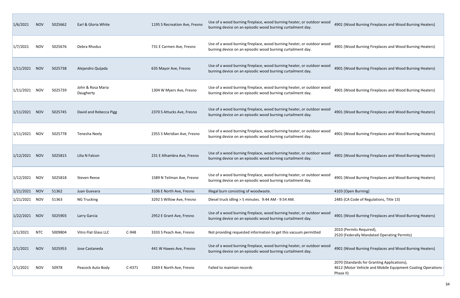| 1/6/2021  | <b>NOV</b> | 5025662 | Earl & Gloria White            |          | 1195 S Recreation Ave, Fresno | Use of a wood burning fireplace, wood burning heater, or outdoor wood<br>burning device on an episodic wood burning curtailment day. | 4901 (Wood Burning Fireplaces and Wood Bu                                                              |
|-----------|------------|---------|--------------------------------|----------|-------------------------------|--------------------------------------------------------------------------------------------------------------------------------------|--------------------------------------------------------------------------------------------------------|
| 1/7/2021  | <b>NOV</b> | 5025676 | Debra Rhodus                   |          | 731 E Carmen Ave, Fresno      | Use of a wood burning fireplace, wood burning heater, or outdoor wood<br>burning device on an episodic wood burning curtailment day. | 4901 (Wood Burning Fireplaces and Wood Bu                                                              |
| 1/11/2021 | <b>NOV</b> | 5025738 | Alejandro Quijada              |          | 635 Mayor Ave, Fresno         | Use of a wood burning fireplace, wood burning heater, or outdoor wood<br>burning device on an episodic wood burning curtailment day. | 4901 (Wood Burning Fireplaces and Wood Bu                                                              |
| 1/11/2021 | <b>NOV</b> | 5025739 | John & Rosa Maria<br>Daugherty |          | 1304 W Myers Ave, Fresno      | Use of a wood burning fireplace, wood burning heater, or outdoor wood<br>burning device on an episodic wood burning curtailment day. | 4901 (Wood Burning Fireplaces and Wood Bu                                                              |
| 1/11/2021 | <b>NOV</b> | 5025745 | David and Rebecca Pigg         |          | 2370 S Attucks Ave, Fresno    | Use of a wood burning fireplace, wood burning heater, or outdoor wood<br>burning device on an episodic wood burning curtailment day. | 4901 (Wood Burning Fireplaces and Wood Bu                                                              |
| 1/11/2021 | <b>NOV</b> | 5025778 | Tenesha Neely                  |          | 2355 S Meridian Ave, Fresno   | Use of a wood burning fireplace, wood burning heater, or outdoor wood<br>burning device on an episodic wood burning curtailment day. | 4901 (Wood Burning Fireplaces and Wood Bu                                                              |
| 1/12/2021 | <b>NOV</b> | 5025815 | Lilia N Falcon                 |          | 231 E Alhambra Ave, Fresno    | Use of a wood burning fireplace, wood burning heater, or outdoor wood<br>burning device on an episodic wood burning curtailment day. | 4901 (Wood Burning Fireplaces and Wood Bu                                                              |
| 1/12/2021 | <b>NOV</b> | 5025818 | Steven Reese                   |          | 1589 N Teilman Ave, Fresno    | Use of a wood burning fireplace, wood burning heater, or outdoor wood<br>burning device on an episodic wood burning curtailment day. | 4901 (Wood Burning Fireplaces and Wood Bu                                                              |
| 1/21/2021 | <b>NOV</b> | 51362   | Juan Guevara                   |          | 3106 E North Ave, Fresno      | Illegal burn consisting of woodwaste.                                                                                                | 4103 (Open Burning)                                                                                    |
| 1/21/2021 | <b>NOV</b> | 51363   | <b>NG Trucking</b>             |          | 3292 S Willow Ave, Fresno     | Diesel truck idling > 5 minutes. 9:44 AM - 9:54 AM.                                                                                  | 2485 (CA Code of Regulations, Title 13)                                                                |
| 1/22/2021 | <b>NOV</b> | 5025903 | Larry Garcia                   |          | 2952 E Grant Ave, Fresno      | Use of a wood burning fireplace, wood burning heater, or outdoor wood<br>burning device on an episodic wood burning curtailment day. | 4901 (Wood Burning Fireplaces and Wood Bu                                                              |
| 2/1/2021  | <b>NTC</b> | 5009804 | Vitro Flat Glass LLC           | $C-948$  | 3333 S Peach Ave, Fresno      | Not providing requested information to get this vacuum permitted                                                                     | 2010 (Permits Required),<br>2520 (Federally Mandated Operating Permits)                                |
| 2/1/2021  | <b>NOV</b> | 5025953 | Jose Castaneda                 |          | 441 W Hawes Ave, Fresno       | Use of a wood burning fireplace, wood burning heater, or outdoor wood<br>burning device on an episodic wood burning curtailment day. | 4901 (Wood Burning Fireplaces and Wood Bu                                                              |
| 2/1/2021  | <b>NOV</b> | 50978   | Peacock Auto Body              | $C-4371$ | 3269 E North Ave, Fresno      | Failed to maintain records                                                                                                           | 2070 (Standards for Granting Applications),<br>4612 (Motor Vehicle and Mobile Equipment C<br>Phase II) |

901 (Wood Burning Fireplaces and Wood Burning Heaters)

901 (Wood Burning Fireplaces and Wood Burning Heaters)

901 (Wood Burning Fireplaces and Wood Burning Heaters)

901 (Wood Burning Fireplaces and Wood Burning Heaters)

901 (Wood Burning Fireplaces and Wood Burning Heaters)

901 (Wood Burning Fireplaces and Wood Burning Heaters)

901 (Wood Burning Fireplaces and Wood Burning Heaters)

901 (Wood Burning Fireplaces and Wood Burning Heaters)

901 (Wood Burning Fireplaces and Wood Burning Heaters)

070 (Standards for Granting Applications), 612 (Motor Vehicle and Mobile Equipment Coating Operations hase II)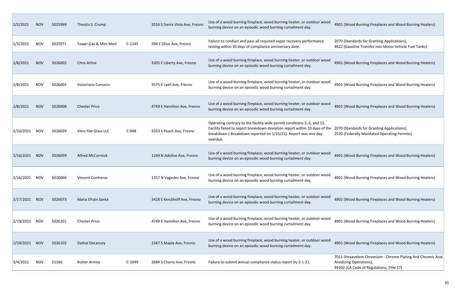| 2/2/2021        | <b>NOV</b> | 5025969 | Theotis S. Crump         |          | 2016 S Sierra Vista Ave, Fresno | Use of a wood burning fireplace, wood burning heater, or outdoor wood<br>burning device on an episodic wood burning curtailment day.                                                                                                                                           | 4901 (Wood Burning Fireplaces and Wood Burning Heaters)                                                                      |
|-----------------|------------|---------|--------------------------|----------|---------------------------------|--------------------------------------------------------------------------------------------------------------------------------------------------------------------------------------------------------------------------------------------------------------------------------|------------------------------------------------------------------------------------------------------------------------------|
| 2/3/2021        | NOV        | 5025971 | Tower Gas & Mini Mart    | $C-1245$ | 394 E Olive Ave, Fresno         | Failure to conduct and pass all required vapor recovery performance<br>testing within 30 days of compliance anniversary date.                                                                                                                                                  | 2070 (Standards for Granting Applications),<br>4622 (Gasoline Transfer into Motor Vehicle Fuel Tanks)                        |
| 2/8/2021        | <b>NOV</b> | 5026002 | Chris Arline             |          | 3205 E Liberty Ave, Fresno      | Use of a wood burning fireplace, wood burning heater, or outdoor wood<br>burning device on an episodic wood burning curtailment day.                                                                                                                                           | 4901 (Wood Burning Fireplaces and Wood Burning Heaters)                                                                      |
| 2/8/2021        | <b>NOV</b> | 5026003 | Victoriano Conseco       |          | 3575 E Lyell Ave, Fresno        | Use of a wood burning fireplace, wood burning heater, or outdoor wood<br>burning device on an episodic wood burning curtailment day.                                                                                                                                           | 4901 (Wood Burning Fireplaces and Wood Burning Heaters)                                                                      |
| 2/8/2021        | <b>NOV</b> | 5026008 | <b>Chester Price</b>     |          | 4749 E Hamilton Ave, Fresno     | Use of a wood burning fireplace, wood burning heater, or outdoor wood<br>burning device on an episodic wood burning curtailment day.                                                                                                                                           | 4901 (Wood Burning Fireplaces and Wood Burning Heaters)                                                                      |
| 2/10/2021       | <b>NOV</b> | 5026039 | Vitro Flat Glass LLC     | $C-948$  | 3333 S Peach Ave, Fresno        | Operating contrary to the facility wide permit conditions 3, 6, and 12.<br>Facility failed to report breakdown deviation report within 10 days of the 2070 (Standards for Granting Applications),<br>breakdown (Breakdown reported on 1/25/21). Report was one day<br>overdue. | 2520 (Federally Mandated Operating Permits)                                                                                  |
| 2/16/2021       | <b>NOV</b> | 5026059 | <b>Alfred McCormick</b>  |          | 1249 N Adoline Ave, Fresno      | Use of a wood burning fireplace, wood burning heater, or outdoor wood<br>burning device on an episodic wood burning curtailment day.                                                                                                                                           | 4901 (Wood Burning Fireplaces and Wood Burning Heaters)                                                                      |
| 2/16/2021       | NOV.       | 5026060 | <b>Vincent Contreras</b> |          | 1317 N Vagedes Ave, Fresno      | Use of a wood burning fireplace, wood burning heater, or outdoor wood<br>burning device on an episodic wood burning curtailment day.                                                                                                                                           | 4901 (Wood Burning Fireplaces and Wood Burning Heaters)                                                                      |
| 2/17/2021       | <b>NOV</b> | 5026073 | Maria Efrain Santa       |          | 3428 E Kerckhoff Ave, Fresno    | Use of a wood burning fireplace, wood burning heater, or outdoor wood<br>burning device on an episodic wood burning curtailment day.                                                                                                                                           | 4901 (Wood Burning Fireplaces and Wood Burning Heaters)                                                                      |
| $2/19/2021$ NOV |            | 5026101 | <b>Chester Price</b>     |          | 4749 E Hamilton Ave, Fresno     | Use of a wood burning fireplace, wood burning heater, or outdoor wood<br>burning device on an episodic wood burning curtailment day.                                                                                                                                           | 4901 (Wood Burning Fireplaces and Wood Burning Heaters)                                                                      |
| $2/19/2021$ NOV |            | 5026102 | Dathal DeLancey          |          | 2347 S Maple Ave, Fresno        | Use of a wood burning fireplace, wood burning heater, or outdoor wood<br>burning device on an episodic wood burning curtailment day.                                                                                                                                           | 4901 (Wood Burning Fireplaces and Wood Burning Heaters)                                                                      |
| 3/4/2021        | <b>NOV</b> | 51166   | <b>Rutter Armey</b>      | $C-1049$ | 2684 S Cherry Ave, Fresno       | Failure to submit annual compliance status report by 2-1-21.                                                                                                                                                                                                                   | 7011 (Hexavelent Chromium - Chrome Plating And Chromic<br>Anodizing Operations),<br>93102 (CA Code of Regulations, Title 17) |

|  |  | 01 (Wood Burning Fireplaces and Wood Burning Heaters) |  |
|--|--|-------------------------------------------------------|--|
|  |  |                                                       |  |

7011 (Hexavelent Chromium ‐ Chrome Plating And Chromic Acid Anodizing Operations), 93102 (CA Code of Regulations, Title 17)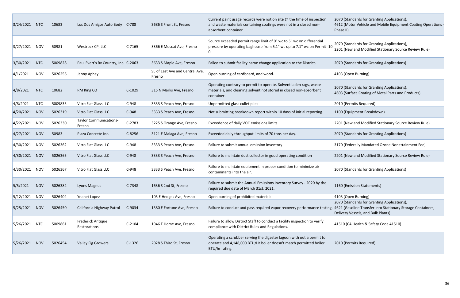2070 (Standards for Granting Applications), 603 (Surface Coating of Metal Parts and Products)

100 (Equipment Breakdown)

201 (New and Modified Stationary Source Review Rule)

170 (Standards for Granting Applications)

170 (Federally Mandated Ozone Nonattainment Fee)

201 (New and Modified Stationary Source Review Rule)

070 (Standards for Granting Applications)

070 (Standards for Granting Applications), 621 (Gasoline Transfer into Stationary Storage Containers, elivery Vessels, and Bulk Plants)

1510 (CA Health & Safety Code 41510)

2201 (New and Modified Stationary Source Review Rule)

370 (Standards for Granting Applications)

| 3/24/2021 | <b>NTC</b> | 10683   | Los Dos Amigos Auto Body                 | C-788    | 3686 S Front St, Fresno                   | Current paint usage records were not on site $\omega$ the time of inspection<br>and waste materials containing coatings were not in a closed non-<br>absorbent container. | 2070 (Standards for Grantin<br>4612 (Motor Vehicle and M<br>Phase II)                       |
|-----------|------------|---------|------------------------------------------|----------|-------------------------------------------|---------------------------------------------------------------------------------------------------------------------------------------------------------------------------|---------------------------------------------------------------------------------------------|
| 3/27/2021 | <b>NOV</b> | 50981   | Westrock CP, LLC                         | $C-7165$ | 3366 E Muscat Ave, Fresno                 | Source exceeded permit range limit of 0" wc to 5" wc on differential<br>pressure by operating baghouse from 5.1" wc up to 7.1" wc on Permit -10-<br>0                     | 2070 (Standards for Grantin<br>2201 (New and Modified St.                                   |
| 3/30/2021 | <b>NTC</b> | 5009828 | Paul Evert's Rv Country, Inc. C-2063     |          | 3633 S Maple Ave, Fresno                  | Failed to submit facility name change application to the District.                                                                                                        | 2070 (Standards for Grantin                                                                 |
| 4/1/2021  | <b>NOV</b> | 5026256 | Jenny Aphay                              |          | SE of East Ave and Central Ave,<br>Fresno | Open burning of cardboard, and wood.                                                                                                                                      | 4103 (Open Burning)                                                                         |
| 4/8/2021  | <b>NTC</b> | 10682   | RM King CO                               | $C-1029$ | 315 N Marks Ave, Fresno                   | Operating contrary to permit to operate. Solvent laden rags, waste<br>materials, and cleaning solvent not stored in closed non-absorbent<br>container.                    | 2070 (Standards for Grantin<br>4603 (Surface Coating of M                                   |
| 4/8/2021  | <b>NTC</b> | 5009835 | Vitro Flat Glass LLC                     | $C-948$  | 3333 S Peach Ave, Fresno                  | Unpermitted glass cullet piles                                                                                                                                            | 2010 (Permits Required)                                                                     |
| 4/20/2021 | <b>NOV</b> | 5026319 | Vitro Flat Glass LLC                     | $C-948$  | 3333 S Peach Ave, Fresno                  | Not submitting breakdown report within 10 days of initial reporting.                                                                                                      | 1100 (Equipment Breakdow                                                                    |
| 4/22/2021 | <b>NOV</b> | 5026330 | <b>Taylor Communications-</b><br>Fresno  | $C-2783$ | 3225 S Orange Ave, Fresno                 | Exceedence of daily VOC emissions limits                                                                                                                                  | 2201 (New and Modified St.                                                                  |
| 4/27/2021 | <b>NOV</b> | 50983   | Plaza Concrete Inc.                      | $C-8256$ | 3121 E Malaga Ave, Fresno                 | Exceeded daily throughput limits of 70 tons per day.                                                                                                                      | 2070 (Standards for Grantin                                                                 |
| 4/30/2021 | <b>NOV</b> | 5026362 | Vitro Flat Glass LLC                     | $C-948$  | 3333 S Peach Ave, Fresno                  | Failure to submit annual emission inventory                                                                                                                               | 3170 (Federally Mandated 0                                                                  |
| 4/30/2021 | <b>NOV</b> | 5026365 | Vitro Flat Glass LLC                     | $C-948$  | 3333 S Peach Ave, Fresno                  | Failure to maintain dust collector in good operating condition                                                                                                            | 2201 (New and Modified St.                                                                  |
| 4/30/2021 | <b>NOV</b> | 5026367 | <b>Vitro Flat Glass LLC</b>              | $C-948$  | 3333 S Peach Ave, Fresno                  | Failure to maintain equipment in proper condition to minimize air<br>contaminants into the air.                                                                           | 2070 (Standards for Grantin                                                                 |
| 5/5/2021  | <b>NOV</b> | 5026382 | Lyons Magnus                             | $C-7348$ | 1636 S 2nd St, Fresno                     | Failure to submit the Annual Emissions Inventory Survey - 2020 by the<br>required due date of March 31st, 2021.                                                           | 1160 (Emission Statements)                                                                  |
| 5/12/2021 | <b>NOV</b> | 5026404 | Ynanet Lopez                             |          | 105 E Hedges Ave, Fresno                  | Open burning of prohibited materials                                                                                                                                      | 4103 (Open Burning)                                                                         |
| 5/25/2021 | <b>NOV</b> | 5026450 | California Highway Patrol                | C-9034   | 1380 E Fortune Ave, Fresno                | Failure to conduct and pass required vapor recovery performance testing.                                                                                                  | 2070 (Standards for Grantin<br>4621 (Gasoline Transfer into<br>Delivery Vessels, and Bulk P |
| 5/26/2021 | <b>NTC</b> | 5009861 | <b>Frederick Antique</b><br>Restorations | $C-2104$ | 1946 E Home Ave, Fresno                   | Failure to allow District Staff to conduct a facility inspection to verify<br>compliance with District Rules and Regulations.                                             | 41510 (CA Health & Safety (                                                                 |
| 5/26/2021 | <b>NOV</b> | 5026454 | <b>Valley Fig Growers</b>                | $C-1326$ | 2028 S Third St, Fresno                   | Operating a scrubber serving the digester lagoon with out a permit to<br>operate and 4,148,000 BTU/Hr boiler doesn't match permitted boiler<br>BTU/hr rating.             | 2010 (Permits Required)                                                                     |

070 (Standards for Granting Applications), 612 (Motor Vehicle and Mobile Equipment Coating Operations nase II)

070 (Standards for Granting Applications),